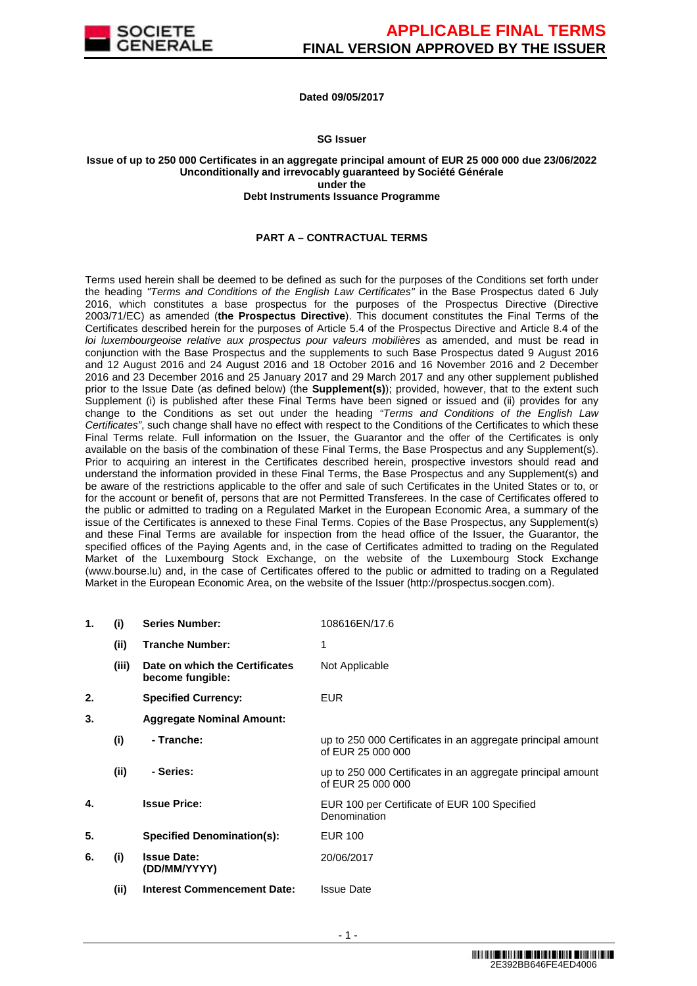

### **Dated 09/05/2017**

### **SG Issuer**

#### **Issue of up to 250 000 Certificates in an aggregate principal amount of EUR 25 000 000 due 23/06/2022 Unconditionally and irrevocably guaranteed by Société Générale under the Debt Instruments Issuance Programme**

# **PART A – CONTRACTUAL TERMS**

Terms used herein shall be deemed to be defined as such for the purposes of the Conditions set forth under the heading "Terms and Conditions of the English Law Certificates" in the Base Prospectus dated 6 July 2016, which constitutes a base prospectus for the purposes of the Prospectus Directive (Directive 2003/71/EC) as amended (**the Prospectus Directive**). This document constitutes the Final Terms of the Certificates described herein for the purposes of Article 5.4 of the Prospectus Directive and Article 8.4 of the loi luxembourgeoise relative aux prospectus pour valeurs mobilières as amended, and must be read in conjunction with the Base Prospectus and the supplements to such Base Prospectus dated 9 August 2016 and 12 August 2016 and 24 August 2016 and 18 October 2016 and 16 November 2016 and 2 December 2016 and 23 December 2016 and 25 January 2017 and 29 March 2017 and any other supplement published prior to the Issue Date (as defined below) (the **Supplement(s)**); provided, however, that to the extent such Supplement (i) is published after these Final Terms have been signed or issued and (ii) provides for any change to the Conditions as set out under the heading "Terms and Conditions of the English Law Certificates", such change shall have no effect with respect to the Conditions of the Certificates to which these Final Terms relate. Full information on the Issuer, the Guarantor and the offer of the Certificates is only available on the basis of the combination of these Final Terms, the Base Prospectus and any Supplement(s). Prior to acquiring an interest in the Certificates described herein, prospective investors should read and understand the information provided in these Final Terms, the Base Prospectus and any Supplement(s) and be aware of the restrictions applicable to the offer and sale of such Certificates in the United States or to, or for the account or benefit of, persons that are not Permitted Transferees. In the case of Certificates offered to the public or admitted to trading on a Regulated Market in the European Economic Area, a summary of the issue of the Certificates is annexed to these Final Terms. Copies of the Base Prospectus, any Supplement(s) and these Final Terms are available for inspection from the head office of the Issuer, the Guarantor, the specified offices of the Paying Agents and, in the case of Certificates admitted to trading on the Regulated Market of the Luxembourg Stock Exchange, on the website of the Luxembourg Stock Exchange (www.bourse.lu) and, in the case of Certificates offered to the public or admitted to trading on a Regulated Market in the European Economic Area, on the website of the Issuer (http://prospectus.socgen.com).

| 1. | (i)   | <b>Series Number:</b>                              | 108616EN/17.6                                                                    |
|----|-------|----------------------------------------------------|----------------------------------------------------------------------------------|
|    | (ii)  | <b>Tranche Number:</b>                             | 1                                                                                |
|    | (iii) | Date on which the Certificates<br>become fungible: | Not Applicable                                                                   |
| 2. |       | <b>Specified Currency:</b>                         | <b>EUR</b>                                                                       |
| 3. |       | <b>Aggregate Nominal Amount:</b>                   |                                                                                  |
|    | (i)   | - Tranche:                                         | up to 250 000 Certificates in an aggregate principal amount<br>of EUR 25 000 000 |
|    | (ii)  | - Series:                                          | up to 250 000 Certificates in an aggregate principal amount<br>of EUR 25 000 000 |
| 4. |       | <b>Issue Price:</b>                                | EUR 100 per Certificate of EUR 100 Specified<br>Denomination                     |
| 5. |       | <b>Specified Denomination(s):</b>                  | <b>EUR 100</b>                                                                   |
| 6. | (i)   | <b>Issue Date:</b><br>(DD/MM/YYYY)                 | 20/06/2017                                                                       |
|    | (ii)  | <b>Interest Commencement Date:</b>                 | <b>Issue Date</b>                                                                |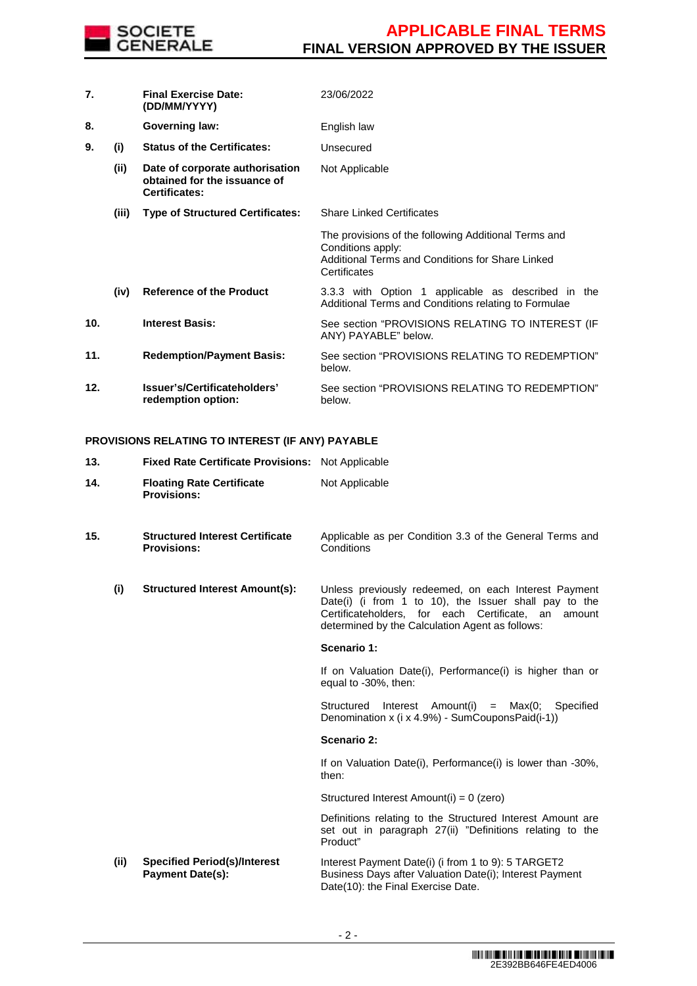

| 7.  |       | <b>Final Exercise Date:</b><br>(DD/MM/YYYY)                                             | 23/06/2022                                                                                                                                    |
|-----|-------|-----------------------------------------------------------------------------------------|-----------------------------------------------------------------------------------------------------------------------------------------------|
| 8.  |       | <b>Governing law:</b>                                                                   | English law                                                                                                                                   |
| 9.  | (i)   | <b>Status of the Certificates:</b>                                                      | Unsecured                                                                                                                                     |
|     | (ii)  | Date of corporate authorisation<br>obtained for the issuance of<br><b>Certificates:</b> | Not Applicable                                                                                                                                |
|     | (iii) | <b>Type of Structured Certificates:</b>                                                 | <b>Share Linked Certificates</b>                                                                                                              |
|     |       |                                                                                         | The provisions of the following Additional Terms and<br>Conditions apply:<br>Additional Terms and Conditions for Share Linked<br>Certificates |
|     | (iv)  | <b>Reference of the Product</b>                                                         | 3.3.3 with Option 1 applicable as described in the<br>Additional Terms and Conditions relating to Formulae                                    |
| 10. |       | <b>Interest Basis:</b>                                                                  | See section "PROVISIONS RELATING TO INTEREST (IF<br>ANY) PAYABLE" below.                                                                      |
| 11. |       | <b>Redemption/Payment Basis:</b>                                                        | See section "PROVISIONS RELATING TO REDEMPTION"<br>below.                                                                                     |
| 12. |       | Issuer's/Certificateholders'<br>redemption option:                                      | See section "PROVISIONS RELATING TO REDEMPTION"<br>below.                                                                                     |

### **PROVISIONS RELATING TO INTEREST (IF ANY) PAYABLE**

| 13. |      | Fixed Rate Certificate Provisions: Not Applicable              |                                                                                                                                                                                                                            |
|-----|------|----------------------------------------------------------------|----------------------------------------------------------------------------------------------------------------------------------------------------------------------------------------------------------------------------|
| 14. |      | <b>Floating Rate Certificate</b><br><b>Provisions:</b>         | Not Applicable                                                                                                                                                                                                             |
| 15. |      | <b>Structured Interest Certificate</b><br><b>Provisions:</b>   | Applicable as per Condition 3.3 of the General Terms and<br>Conditions                                                                                                                                                     |
|     | (i)  | <b>Structured Interest Amount(s):</b>                          | Unless previously redeemed, on each Interest Payment<br>Date(i) (i from 1 to 10), the Issuer shall pay to the<br>Certificateholders, for each Certificate, an<br>amount<br>determined by the Calculation Agent as follows: |
|     |      |                                                                | Scenario 1:                                                                                                                                                                                                                |
|     |      |                                                                | If on Valuation Date(i), Performance(i) is higher than or<br>equal to -30%, then:                                                                                                                                          |
|     |      |                                                                | Structured<br>Interest Amount(i)<br>= Max(0;<br>Specified<br>Denomination x (i x 4.9%) - SumCouponsPaid(i-1))                                                                                                              |
|     |      |                                                                | <b>Scenario 2:</b>                                                                                                                                                                                                         |
|     |      |                                                                | If on Valuation Date(i), Performance(i) is lower than -30%,<br>then:                                                                                                                                                       |
|     |      |                                                                | Structured Interest Amount(i) = $0$ (zero)                                                                                                                                                                                 |
|     |      |                                                                | Definitions relating to the Structured Interest Amount are<br>set out in paragraph 27(ii) "Definitions relating to the<br>Product"                                                                                         |
|     | (ii) | <b>Specified Period(s)/Interest</b><br><b>Payment Date(s):</b> | Interest Payment Date(i) (i from 1 to 9): 5 TARGET2<br>Business Days after Valuation Date(i); Interest Payment<br>Date(10): the Final Exercise Date.                                                                       |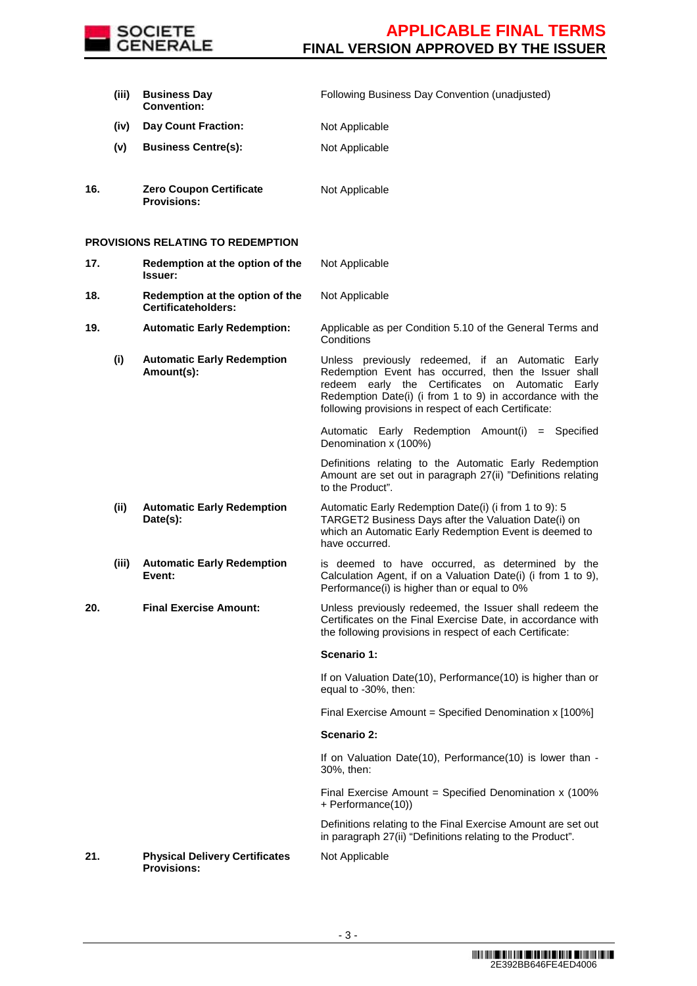

|     | (iii) | <b>Business Day</b><br><b>Convention:</b>                   | Following Business Day Convention (unadjusted)                                                                                                                                                                                                                                     |
|-----|-------|-------------------------------------------------------------|------------------------------------------------------------------------------------------------------------------------------------------------------------------------------------------------------------------------------------------------------------------------------------|
|     | (iv)  | <b>Day Count Fraction:</b>                                  | Not Applicable                                                                                                                                                                                                                                                                     |
|     | (v)   | <b>Business Centre(s):</b>                                  | Not Applicable                                                                                                                                                                                                                                                                     |
| 16. |       | <b>Zero Coupon Certificate</b><br><b>Provisions:</b>        | Not Applicable                                                                                                                                                                                                                                                                     |
|     |       | <b>PROVISIONS RELATING TO REDEMPTION</b>                    |                                                                                                                                                                                                                                                                                    |
| 17. |       | Redemption at the option of the<br>Issuer:                  | Not Applicable                                                                                                                                                                                                                                                                     |
| 18. |       | Redemption at the option of the<br>Certificateholders:      | Not Applicable                                                                                                                                                                                                                                                                     |
| 19. |       | <b>Automatic Early Redemption:</b>                          | Applicable as per Condition 5.10 of the General Terms and<br>Conditions                                                                                                                                                                                                            |
|     | (i)   | <b>Automatic Early Redemption</b><br>Amount(s):             | Unless previously redeemed, if an Automatic Early<br>Redemption Event has occurred, then the Issuer shall<br>redeem early the Certificates on Automatic Early<br>Redemption Date(i) (i from 1 to 9) in accordance with the<br>following provisions in respect of each Certificate: |
|     |       |                                                             | Automatic Early Redemption Amount(i) = Specified<br>Denomination x (100%)                                                                                                                                                                                                          |
|     |       |                                                             | Definitions relating to the Automatic Early Redemption<br>Amount are set out in paragraph 27(ii) "Definitions relating<br>to the Product".                                                                                                                                         |
|     | (ii)  | <b>Automatic Early Redemption</b><br>Date(s):               | Automatic Early Redemption Date(i) (i from 1 to 9): 5<br>TARGET2 Business Days after the Valuation Date(i) on<br>which an Automatic Early Redemption Event is deemed to<br>have occurred.                                                                                          |
|     | (iii) | <b>Automatic Early Redemption</b><br>Event:                 | is deemed to have occurred, as determined by the<br>Calculation Agent, if on a Valuation Date(i) (i from 1 to 9),<br>Performance(i) is higher than or equal to 0%                                                                                                                  |
| 20. |       | <b>Final Exercise Amount:</b>                               | Unless previously redeemed, the Issuer shall redeem the<br>Certificates on the Final Exercise Date, in accordance with<br>the following provisions in respect of each Certificate:                                                                                                 |
|     |       |                                                             | Scenario 1:                                                                                                                                                                                                                                                                        |
|     |       |                                                             | If on Valuation Date(10), Performance(10) is higher than or<br>equal to -30%, then:                                                                                                                                                                                                |
|     |       |                                                             | Final Exercise Amount = Specified Denomination x [100%]                                                                                                                                                                                                                            |
|     |       |                                                             | Scenario 2:                                                                                                                                                                                                                                                                        |
|     |       |                                                             | If on Valuation Date(10), Performance(10) is lower than -<br>30%, then:                                                                                                                                                                                                            |
|     |       |                                                             | Final Exercise Amount = Specified Denomination x (100%<br>+ Performance(10))                                                                                                                                                                                                       |
|     |       |                                                             | Definitions relating to the Final Exercise Amount are set out<br>in paragraph 27(ii) "Definitions relating to the Product".                                                                                                                                                        |
| 21. |       | <b>Physical Delivery Certificates</b><br><b>Provisions:</b> | Not Applicable                                                                                                                                                                                                                                                                     |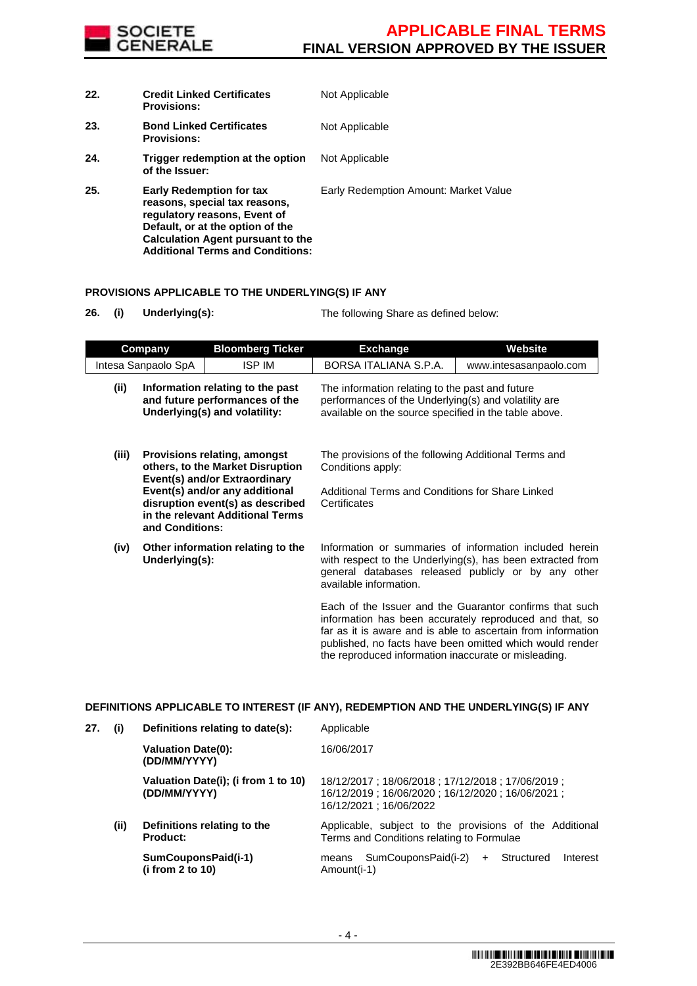

| 22. | <b>Credit Linked Certificates</b><br><b>Provisions:</b>                                                                                                                                                                     | Not Applicable                        |
|-----|-----------------------------------------------------------------------------------------------------------------------------------------------------------------------------------------------------------------------------|---------------------------------------|
| 23. | <b>Bond Linked Certificates</b><br><b>Provisions:</b>                                                                                                                                                                       | Not Applicable                        |
| 24. | Trigger redemption at the option<br>of the Issuer:                                                                                                                                                                          | Not Applicable                        |
| 25. | <b>Early Redemption for tax</b><br>reasons, special tax reasons,<br>regulatory reasons, Event of<br>Default, or at the option of the<br><b>Calculation Agent pursuant to the</b><br><b>Additional Terms and Conditions:</b> | Early Redemption Amount: Market Value |

# **PROVISIONS APPLICABLE TO THE UNDERLYING(S) IF ANY**

**26. (i) Underlying(s):** The following Share as defined below:

| Company |                               | <b>Bloomberg Ticker</b>                                                                                                                                                                                     | <b>Exchange</b>                                                                                                                                                  | <b>Website</b>                                                                                                                                                                                                                                 |
|---------|-------------------------------|-------------------------------------------------------------------------------------------------------------------------------------------------------------------------------------------------------------|------------------------------------------------------------------------------------------------------------------------------------------------------------------|------------------------------------------------------------------------------------------------------------------------------------------------------------------------------------------------------------------------------------------------|
|         | Intesa Sanpaolo SpA<br>ISP IM |                                                                                                                                                                                                             | BORSA ITALIANA S.P.A.                                                                                                                                            | www.intesasanpaolo.com                                                                                                                                                                                                                         |
| (ii)    |                               | Information relating to the past<br>and future performances of the<br>Underlying(s) and volatility:                                                                                                         | The information relating to the past and future<br>performances of the Underlying(s) and volatility are<br>available on the source specified in the table above. |                                                                                                                                                                                                                                                |
| (iii)   | and Conditions:               | Provisions relating, amongst<br>others, to the Market Disruption<br>Event(s) and/or Extraordinary<br>Event(s) and/or any additional<br>disruption event(s) as described<br>in the relevant Additional Terms | The provisions of the following Additional Terms and<br>Conditions apply:<br>Additional Terms and Conditions for Share Linked<br>Certificates                    |                                                                                                                                                                                                                                                |
| (iv)    | Underlying(s):                | Other information relating to the                                                                                                                                                                           | available information.                                                                                                                                           | Information or summaries of information included herein<br>with respect to the Underlying(s), has been extracted from<br>general databases released publicly or by any other                                                                   |
|         |                               |                                                                                                                                                                                                             | the reproduced information inaccurate or misleading.                                                                                                             | Each of the Issuer and the Guarantor confirms that such<br>information has been accurately reproduced and that, so<br>far as it is aware and is able to ascertain from information<br>published, no facts have been omitted which would render |

# **DEFINITIONS APPLICABLE TO INTEREST (IF ANY), REDEMPTION AND THE UNDERLYING(S) IF ANY**

| 27. | (i)  | Definitions relating to date(s):                    | Applicable                                                                                                                    |
|-----|------|-----------------------------------------------------|-------------------------------------------------------------------------------------------------------------------------------|
|     |      | <b>Valuation Date(0):</b><br>(DD/MM/YYYY)           | 16/06/2017                                                                                                                    |
|     |      | Valuation Date(i); (i from 1 to 10)<br>(DD/MM/YYYY) | 18/12/2017; 18/06/2018; 17/12/2018; 17/06/2019;<br>16/12/2019; 16/06/2020; 16/12/2020; 16/06/2021;<br>16/12/2021 ; 16/06/2022 |
|     | (ii) | Definitions relating to the<br><b>Product:</b>      | Applicable, subject to the provisions of the Additional<br>Terms and Conditions relating to Formulae                          |
|     |      | SumCouponsPaid(i-1)<br>(i from $2$ to $10$ )        | SumCouponsPaid(i-2)<br>Structured<br>Interest<br>$+$<br>means<br>Amount(i-1)                                                  |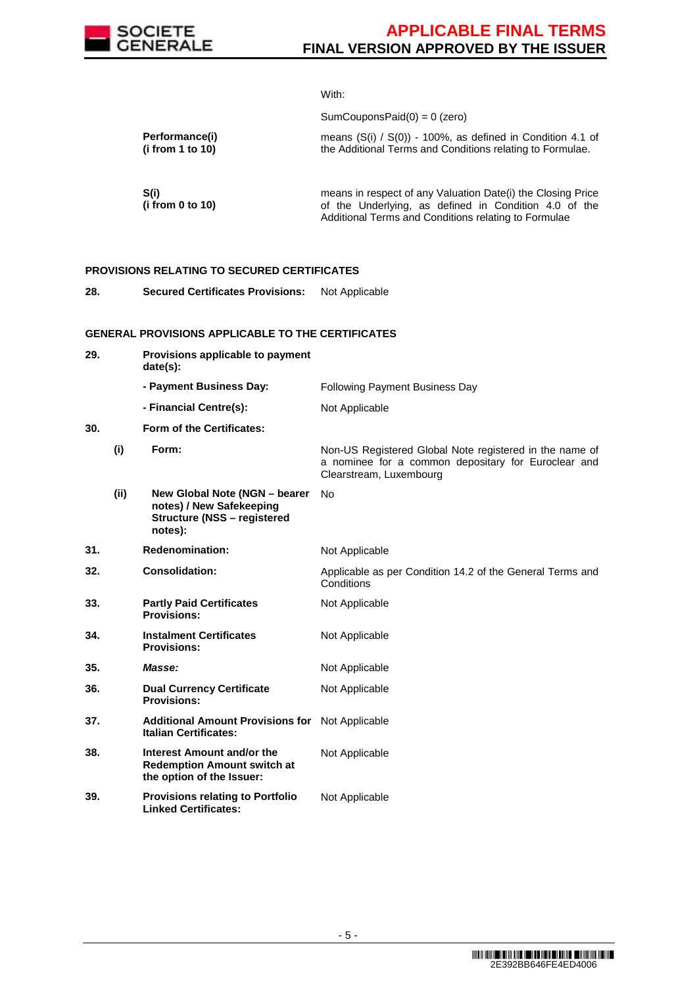

|     |                                                          | With:                                                                                                                                                                        |
|-----|----------------------------------------------------------|------------------------------------------------------------------------------------------------------------------------------------------------------------------------------|
|     |                                                          | $SumCouponsPaid(0) = 0$ (zero)                                                                                                                                               |
|     | Performance(i)<br>(i from 1 to 10)                       | means $(S(i) / S(0))$ - 100%, as defined in Condition 4.1 of<br>the Additional Terms and Conditions relating to Formulae.                                                    |
|     | S(i)<br>(i from 0 to 10)                                 | means in respect of any Valuation Date(i) the Closing Price<br>of the Underlying, as defined in Condition 4.0 of the<br>Additional Terms and Conditions relating to Formulae |
|     | <b>PROVISIONS RELATING TO SECURED CERTIFICATES</b>       |                                                                                                                                                                              |
| 28. | <b>Secured Certificates Provisions:</b>                  | Not Applicable                                                                                                                                                               |
|     |                                                          |                                                                                                                                                                              |
|     | <b>GENERAL PROVISIONS APPLICABLE TO THE CERTIFICATES</b> |                                                                                                                                                                              |
| 29. | Provisions applicable to payment                         |                                                                                                                                                                              |

|     |      | date(s):                                                                                                   |                                                                                                                                           |
|-----|------|------------------------------------------------------------------------------------------------------------|-------------------------------------------------------------------------------------------------------------------------------------------|
|     |      | - Payment Business Day:                                                                                    | <b>Following Payment Business Day</b>                                                                                                     |
|     |      | - Financial Centre(s):                                                                                     | Not Applicable                                                                                                                            |
| 30. |      | Form of the Certificates:                                                                                  |                                                                                                                                           |
|     | (i)  | Form:                                                                                                      | Non-US Registered Global Note registered in the name of<br>a nominee for a common depositary for Euroclear and<br>Clearstream, Luxembourg |
|     | (ii) | New Global Note (NGN - bearer<br>notes) / New Safekeeping<br><b>Structure (NSS - registered</b><br>notes): | No                                                                                                                                        |
| 31. |      | <b>Redenomination:</b>                                                                                     | Not Applicable                                                                                                                            |
| 32. |      | <b>Consolidation:</b>                                                                                      | Applicable as per Condition 14.2 of the General Terms and<br>Conditions                                                                   |
| 33. |      | <b>Partly Paid Certificates</b><br><b>Provisions:</b>                                                      | Not Applicable                                                                                                                            |
| 34. |      | <b>Instalment Certificates</b><br><b>Provisions:</b>                                                       | Not Applicable                                                                                                                            |
| 35. |      | Masse:                                                                                                     | Not Applicable                                                                                                                            |
| 36. |      | <b>Dual Currency Certificate</b><br><b>Provisions:</b>                                                     | Not Applicable                                                                                                                            |
| 37. |      | <b>Additional Amount Provisions for</b><br><b>Italian Certificates:</b>                                    | Not Applicable                                                                                                                            |
| 38. |      | Interest Amount and/or the<br><b>Redemption Amount switch at</b><br>the option of the Issuer:              | Not Applicable                                                                                                                            |
| 39. |      | <b>Provisions relating to Portfolio</b><br><b>Linked Certificates:</b>                                     | Not Applicable                                                                                                                            |
|     |      |                                                                                                            |                                                                                                                                           |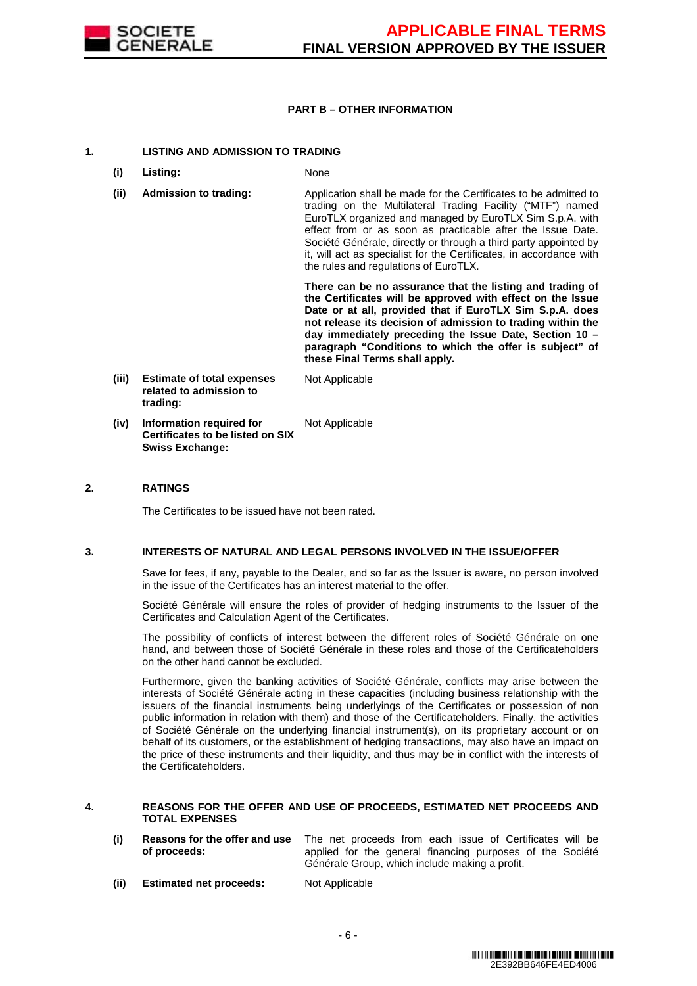

### **PART B – OTHER INFORMATION**

#### **1. LISTING AND ADMISSION TO TRADING**

- **(i) Listing:** None
- **(ii) Admission to trading:** Application shall be made for the Certificates to be admitted to trading on the Multilateral Trading Facility ("MTF") named EuroTLX organized and managed by EuroTLX Sim S.p.A. with effect from or as soon as practicable after the Issue Date. Société Générale, directly or through a third party appointed by it, will act as specialist for the Certificates, in accordance with the rules and regulations of EuroTLX.

 **There can be no assurance that the listing and trading of the Certificates will be approved with effect on the Issue Date or at all, provided that if EuroTLX Sim S.p.A. does not release its decision of admission to trading within the day immediately preceding the Issue Date, Section 10 – paragraph "Conditions to which the offer is subject" of these Final Terms shall apply.**

- **(iii) Estimate of total expenses related to admission to trading:** Not Applicable
- **(iv) Information required for Certificates to be listed on SIX Swiss Exchange:** Not Applicable

#### **2. RATINGS**

The Certificates to be issued have not been rated.

#### **3. INTERESTS OF NATURAL AND LEGAL PERSONS INVOLVED IN THE ISSUE/OFFER**

 Save for fees, if any, payable to the Dealer, and so far as the Issuer is aware, no person involved in the issue of the Certificates has an interest material to the offer.

 Société Générale will ensure the roles of provider of hedging instruments to the Issuer of the Certificates and Calculation Agent of the Certificates.

 The possibility of conflicts of interest between the different roles of Société Générale on one hand, and between those of Société Générale in these roles and those of the Certificateholders on the other hand cannot be excluded.

 Furthermore, given the banking activities of Société Générale, conflicts may arise between the interests of Société Générale acting in these capacities (including business relationship with the issuers of the financial instruments being underlyings of the Certificates or possession of non public information in relation with them) and those of the Certificateholders. Finally, the activities of Société Générale on the underlying financial instrument(s), on its proprietary account or on behalf of its customers, or the establishment of hedging transactions, may also have an impact on the price of these instruments and their liquidity, and thus may be in conflict with the interests of the Certificateholders.

#### **4. REASONS FOR THE OFFER AND USE OF PROCEEDS, ESTIMATED NET PROCEEDS AND TOTAL EXPENSES**

- **(i) Reasons for the offer and use of proceeds:** The net proceeds from each issue of Certificates will be applied for the general financing purposes of the Société Générale Group, which include making a profit.
- **(ii) Estimated net proceeds:** Not Applicable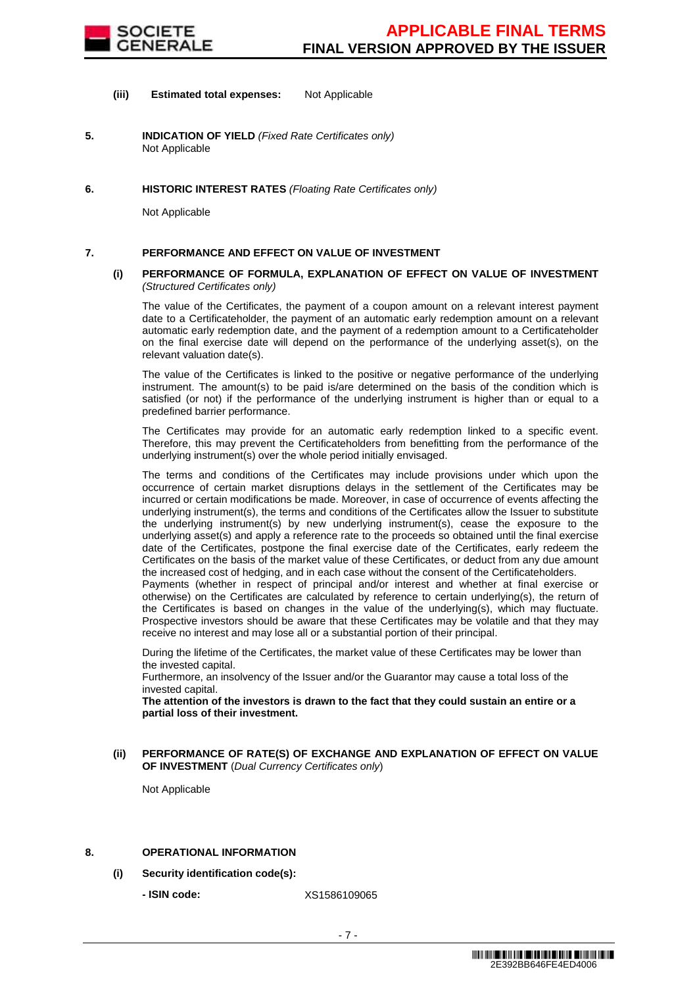

#### **(iii) Estimated total expenses:** Not Applicable

- **5. INDICATION OF YIELD** (Fixed Rate Certificates only) Not Applicable
- **6. HISTORIC INTEREST RATES** (Floating Rate Certificates only)

Not Applicable

#### **7. PERFORMANCE AND EFFECT ON VALUE OF INVESTMENT**

#### **(i) PERFORMANCE OF FORMULA, EXPLANATION OF EFFECT ON VALUE OF INVESTMENT**  (Structured Certificates only)

 The value of the Certificates, the payment of a coupon amount on a relevant interest payment date to a Certificateholder, the payment of an automatic early redemption amount on a relevant automatic early redemption date, and the payment of a redemption amount to a Certificateholder on the final exercise date will depend on the performance of the underlying asset(s), on the relevant valuation date(s).

 The value of the Certificates is linked to the positive or negative performance of the underlying instrument. The amount(s) to be paid is/are determined on the basis of the condition which is satisfied (or not) if the performance of the underlying instrument is higher than or equal to a predefined barrier performance.

 The Certificates may provide for an automatic early redemption linked to a specific event. Therefore, this may prevent the Certificateholders from benefitting from the performance of the underlying instrument(s) over the whole period initially envisaged.

 The terms and conditions of the Certificates may include provisions under which upon the occurrence of certain market disruptions delays in the settlement of the Certificates may be incurred or certain modifications be made. Moreover, in case of occurrence of events affecting the underlying instrument(s), the terms and conditions of the Certificates allow the Issuer to substitute the underlying instrument(s) by new underlying instrument(s), cease the exposure to the underlying asset(s) and apply a reference rate to the proceeds so obtained until the final exercise date of the Certificates, postpone the final exercise date of the Certificates, early redeem the Certificates on the basis of the market value of these Certificates, or deduct from any due amount the increased cost of hedging, and in each case without the consent of the Certificateholders.

Payments (whether in respect of principal and/or interest and whether at final exercise or otherwise) on the Certificates are calculated by reference to certain underlying(s), the return of the Certificates is based on changes in the value of the underlying(s), which may fluctuate. Prospective investors should be aware that these Certificates may be volatile and that they may receive no interest and may lose all or a substantial portion of their principal.

 During the lifetime of the Certificates, the market value of these Certificates may be lower than the invested capital.

Furthermore, an insolvency of the Issuer and/or the Guarantor may cause a total loss of the invested capital.

**The attention of the investors is drawn to the fact that they could sustain an entire or a partial loss of their investment.**

#### **(ii) PERFORMANCE OF RATE(S) OF EXCHANGE AND EXPLANATION OF EFFECT ON VALUE OF INVESTMENT** (Dual Currency Certificates only)

Not Applicable

## **8. OPERATIONAL INFORMATION**

- **(i) Security identification code(s):**
	-

**- ISIN code:** XS1586109065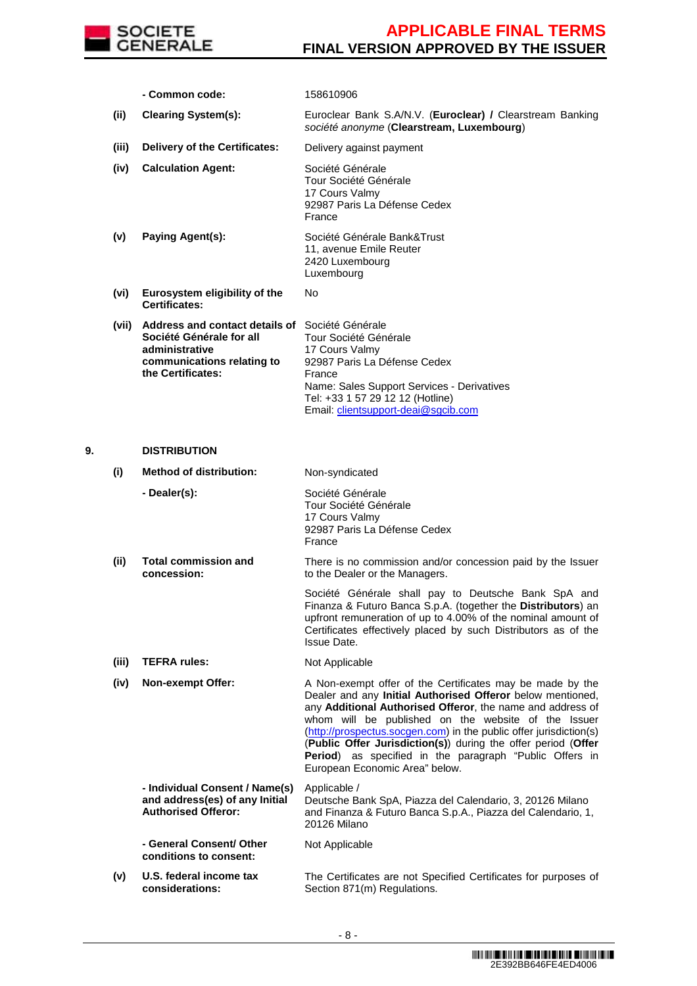

|    |       | - Common code:                                                                                                                        | 158610906                                                                                                                                                                                                                                                                                                                                                                                                                                                                        |
|----|-------|---------------------------------------------------------------------------------------------------------------------------------------|----------------------------------------------------------------------------------------------------------------------------------------------------------------------------------------------------------------------------------------------------------------------------------------------------------------------------------------------------------------------------------------------------------------------------------------------------------------------------------|
|    | (ii)  | <b>Clearing System(s):</b>                                                                                                            | Euroclear Bank S.A/N.V. (Euroclear) / Clearstream Banking<br>société anonyme (Clearstream, Luxembourg)                                                                                                                                                                                                                                                                                                                                                                           |
|    | (iii) | <b>Delivery of the Certificates:</b>                                                                                                  | Delivery against payment                                                                                                                                                                                                                                                                                                                                                                                                                                                         |
|    | (iv)  | <b>Calculation Agent:</b>                                                                                                             | Société Générale<br>Tour Société Générale<br>17 Cours Valmy<br>92987 Paris La Défense Cedex<br>France                                                                                                                                                                                                                                                                                                                                                                            |
|    | (v)   | <b>Paying Agent(s):</b>                                                                                                               | Société Générale Bank&Trust<br>11, avenue Emile Reuter<br>2420 Luxembourg<br>Luxembourg                                                                                                                                                                                                                                                                                                                                                                                          |
|    | (vi)  | Eurosystem eligibility of the<br><b>Certificates:</b>                                                                                 | No                                                                                                                                                                                                                                                                                                                                                                                                                                                                               |
|    |       | (vii) Address and contact details of<br>Société Générale for all<br>administrative<br>communications relating to<br>the Certificates: | Société Générale<br>Tour Société Générale<br>17 Cours Valmy<br>92987 Paris La Défense Cedex<br>France<br>Name: Sales Support Services - Derivatives<br>Tel: +33 1 57 29 12 12 (Hotline)<br>Email: clientsupport-deai@sgcib.com                                                                                                                                                                                                                                                   |
| 9. |       | <b>DISTRIBUTION</b>                                                                                                                   |                                                                                                                                                                                                                                                                                                                                                                                                                                                                                  |
|    | (i)   | <b>Method of distribution:</b>                                                                                                        | Non-syndicated                                                                                                                                                                                                                                                                                                                                                                                                                                                                   |
|    |       | - Dealer(s):                                                                                                                          | Société Générale<br>Tour Société Générale<br>17 Cours Valmy<br>92987 Paris La Défense Cedex<br>France                                                                                                                                                                                                                                                                                                                                                                            |
|    | (ii)  | <b>Total commission and</b><br>concession:                                                                                            | There is no commission and/or concession paid by the Issuer<br>to the Dealer or the Managers.                                                                                                                                                                                                                                                                                                                                                                                    |
|    |       |                                                                                                                                       | Société Générale shall pay to Deutsche Bank SpA and<br>Finanza & Futuro Banca S.p.A. (together the Distributors) an<br>upfront remuneration of up to 4.00% of the nominal amount of<br>Certificates effectively placed by such Distributors as of the<br>Issue Date.                                                                                                                                                                                                             |
|    | (iii) | <b>TEFRA rules:</b>                                                                                                                   | Not Applicable                                                                                                                                                                                                                                                                                                                                                                                                                                                                   |
|    | (iv)  | Non-exempt Offer:                                                                                                                     | A Non-exempt offer of the Certificates may be made by the<br>Dealer and any Initial Authorised Offeror below mentioned,<br>any Additional Authorised Offeror, the name and address of<br>whom will be published on the website of the Issuer<br>(http://prospectus.socgen.com) in the public offer jurisdiction(s)<br>(Public Offer Jurisdiction(s)) during the offer period (Offer<br>Period) as specified in the paragraph "Public Offers in<br>European Economic Area" below. |
|    |       | - Individual Consent / Name(s)<br>and address(es) of any Initial<br><b>Authorised Offeror:</b>                                        | Applicable /<br>Deutsche Bank SpA, Piazza del Calendario, 3, 20126 Milano<br>and Finanza & Futuro Banca S.p.A., Piazza del Calendario, 1,<br>20126 Milano                                                                                                                                                                                                                                                                                                                        |
|    |       | - General Consent/ Other<br>conditions to consent:                                                                                    | Not Applicable                                                                                                                                                                                                                                                                                                                                                                                                                                                                   |
|    | (v)   | U.S. federal income tax<br>considerations:                                                                                            | The Certificates are not Specified Certificates for purposes of<br>Section 871(m) Regulations.                                                                                                                                                                                                                                                                                                                                                                                   |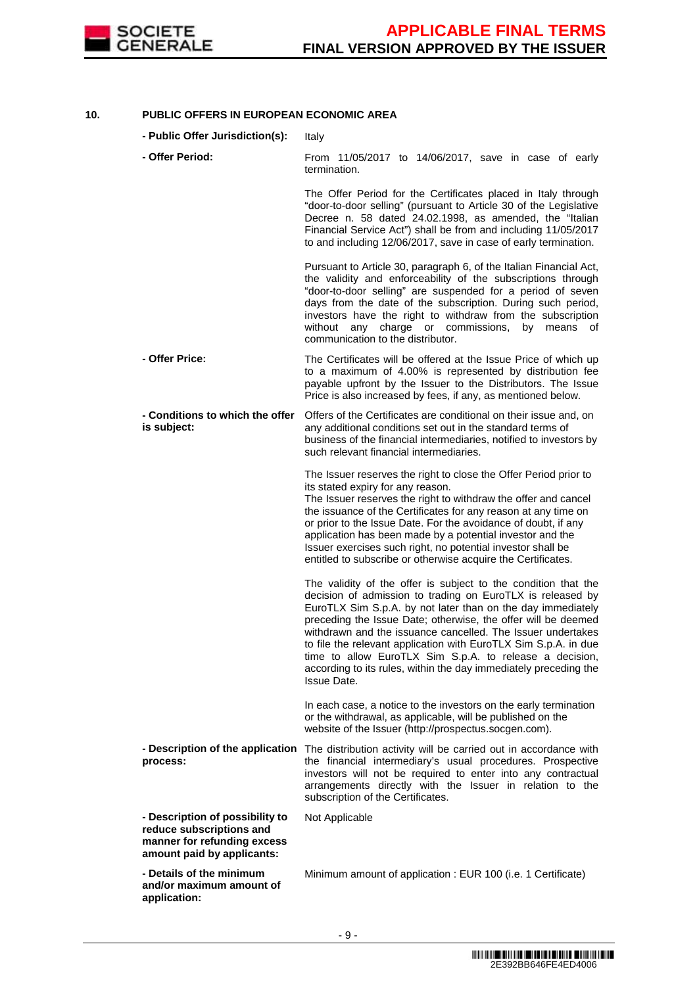

# **10. PUBLIC OFFERS IN EUROPEAN ECONOMIC AREA**

| - Public Offer Jurisdiction(s):                                                            | Italy                                                                                                                                                                                                                                                                                                                                                                                                                                                                                                                                               |
|--------------------------------------------------------------------------------------------|-----------------------------------------------------------------------------------------------------------------------------------------------------------------------------------------------------------------------------------------------------------------------------------------------------------------------------------------------------------------------------------------------------------------------------------------------------------------------------------------------------------------------------------------------------|
| - Offer Period:                                                                            | From 11/05/2017 to 14/06/2017, save in case of early<br>termination.                                                                                                                                                                                                                                                                                                                                                                                                                                                                                |
|                                                                                            | The Offer Period for the Certificates placed in Italy through<br>"door-to-door selling" (pursuant to Article 30 of the Legislative<br>Decree n. 58 dated 24.02.1998, as amended, the "Italian<br>Financial Service Act") shall be from and including 11/05/2017<br>to and including 12/06/2017, save in case of early termination.                                                                                                                                                                                                                  |
|                                                                                            | Pursuant to Article 30, paragraph 6, of the Italian Financial Act,<br>the validity and enforceability of the subscriptions through<br>"door-to-door selling" are suspended for a period of seven<br>days from the date of the subscription. During such period,<br>investors have the right to withdraw from the subscription<br>without any charge or commissions, by means of<br>communication to the distributor.                                                                                                                                |
| - Offer Price:                                                                             | The Certificates will be offered at the Issue Price of which up<br>to a maximum of 4.00% is represented by distribution fee<br>payable upfront by the Issuer to the Distributors. The Issue<br>Price is also increased by fees, if any, as mentioned below.                                                                                                                                                                                                                                                                                         |
| - Conditions to which the offer<br>is subject:                                             | Offers of the Certificates are conditional on their issue and, on<br>any additional conditions set out in the standard terms of<br>business of the financial intermediaries, notified to investors by<br>such relevant financial intermediaries.                                                                                                                                                                                                                                                                                                    |
|                                                                                            | The Issuer reserves the right to close the Offer Period prior to<br>its stated expiry for any reason.<br>The Issuer reserves the right to withdraw the offer and cancel<br>the issuance of the Certificates for any reason at any time on<br>or prior to the Issue Date. For the avoidance of doubt, if any<br>application has been made by a potential investor and the<br>Issuer exercises such right, no potential investor shall be<br>entitled to subscribe or otherwise acquire the Certificates.                                             |
|                                                                                            | The validity of the offer is subject to the condition that the<br>decision of admission to trading on EuroTLX is released by<br>EuroTLX Sim S.p.A. by not later than on the day immediately<br>preceding the Issue Date; otherwise, the offer will be deemed<br>withdrawn and the issuance cancelled. The Issuer undertakes<br>to file the relevant application with EuroTLX Sim S.p.A. in due<br>time to allow EuroTLX Sim S.p.A. to release a decision,<br>according to its rules, within the day immediately preceding the<br><b>Issue Date.</b> |
|                                                                                            | In each case, a notice to the investors on the early termination<br>or the withdrawal, as applicable, will be published on the<br>website of the Issuer (http://prospectus.socgen.com).                                                                                                                                                                                                                                                                                                                                                             |
| process:                                                                                   | - Description of the application The distribution activity will be carried out in accordance with<br>the financial intermediary's usual procedures. Prospective<br>investors will not be required to enter into any contractual<br>arrangements directly with the Issuer in relation to the<br>subscription of the Certificates.                                                                                                                                                                                                                    |
| - Description of possibility to<br>reduce subscriptions and<br>manner for refunding excess | Not Applicable                                                                                                                                                                                                                                                                                                                                                                                                                                                                                                                                      |

Minimum amount of application : EUR 100 (i.e. 1 Certificate)

 **- Details of the minimum and/or maximum amount of application:**

**amount paid by applicants:**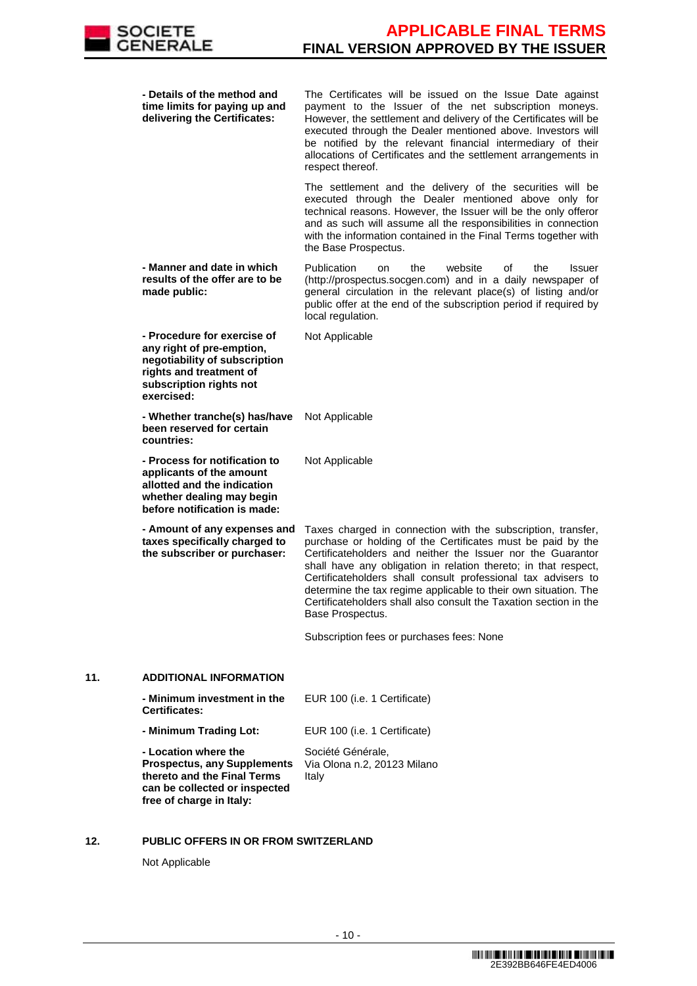

|     | - Details of the method and<br>time limits for paying up and<br>delivering the Certificates:                                                                  | The Certificates will be issued on the Issue Date against<br>payment to the Issuer of the net subscription moneys.<br>However, the settlement and delivery of the Certificates will be<br>executed through the Dealer mentioned above. Investors will<br>be notified by the relevant financial intermediary of their<br>allocations of Certificates and the settlement arrangements in<br>respect thereof.                                                                                 |
|-----|---------------------------------------------------------------------------------------------------------------------------------------------------------------|--------------------------------------------------------------------------------------------------------------------------------------------------------------------------------------------------------------------------------------------------------------------------------------------------------------------------------------------------------------------------------------------------------------------------------------------------------------------------------------------|
|     |                                                                                                                                                               | The settlement and the delivery of the securities will be<br>executed through the Dealer mentioned above only for<br>technical reasons. However, the Issuer will be the only offeror<br>and as such will assume all the responsibilities in connection<br>with the information contained in the Final Terms together with<br>the Base Prospectus.                                                                                                                                          |
|     | - Manner and date in which<br>results of the offer are to be<br>made public:                                                                                  | Publication<br>website<br>οf<br>the<br>on<br>the<br><b>Issuer</b><br>(http://prospectus.socgen.com) and in a daily newspaper of<br>general circulation in the relevant place(s) of listing and/or<br>public offer at the end of the subscription period if required by<br>local regulation.                                                                                                                                                                                                |
|     | - Procedure for exercise of<br>any right of pre-emption,<br>negotiability of subscription<br>rights and treatment of<br>subscription rights not<br>exercised: | Not Applicable                                                                                                                                                                                                                                                                                                                                                                                                                                                                             |
|     | - Whether tranche(s) has/have<br>been reserved for certain<br>countries:                                                                                      | Not Applicable                                                                                                                                                                                                                                                                                                                                                                                                                                                                             |
|     | - Process for notification to<br>applicants of the amount<br>allotted and the indication<br>whether dealing may begin<br>before notification is made:         | Not Applicable                                                                                                                                                                                                                                                                                                                                                                                                                                                                             |
|     | - Amount of any expenses and<br>taxes specifically charged to<br>the subscriber or purchaser:                                                                 | Taxes charged in connection with the subscription, transfer,<br>purchase or holding of the Certificates must be paid by the<br>Certificateholders and neither the Issuer nor the Guarantor<br>shall have any obligation in relation thereto; in that respect,<br>Certificateholders shall consult professional tax advisers to<br>determine the tax regime applicable to their own situation. The<br>Certificateholders shall also consult the Taxation section in the<br>Base Prospectus. |
|     |                                                                                                                                                               | Subscription fees or purchases fees: None                                                                                                                                                                                                                                                                                                                                                                                                                                                  |
| 11. | <b>ADDITIONAL INFORMATION</b>                                                                                                                                 |                                                                                                                                                                                                                                                                                                                                                                                                                                                                                            |

### **11. ADDITIONAL INFORMATION**

| - Minimum investment in the<br><b>Certificates:</b>                                                                                                    | EUR 100 (i.e. 1 Certificate)                              |
|--------------------------------------------------------------------------------------------------------------------------------------------------------|-----------------------------------------------------------|
| - Minimum Trading Lot:                                                                                                                                 | EUR 100 (i.e. 1 Certificate)                              |
| - Location where the<br><b>Prospectus, any Supplements</b><br>thereto and the Final Terms<br>can be collected or inspected<br>free of charge in Italy: | Société Générale,<br>Via Olona n.2, 20123 Milano<br>Italy |

# **12. PUBLIC OFFERS IN OR FROM SWITZERLAND**

Not Applicable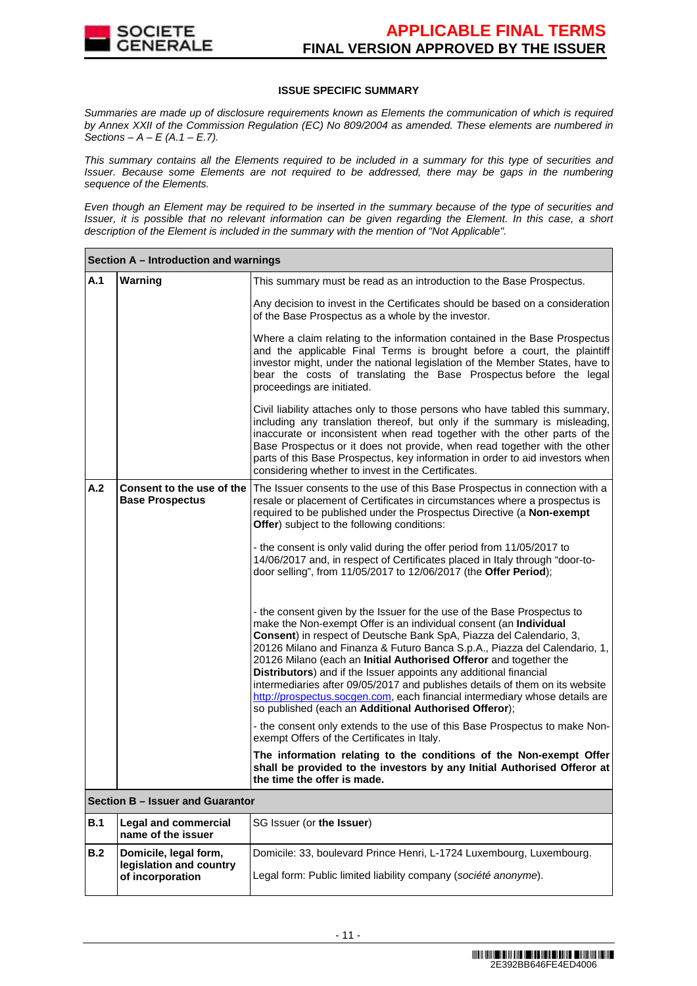

#### **ISSUE SPECIFIC SUMMARY**

Summaries are made up of disclosure requirements known as Elements the communication of which is required by Annex XXII of the Commission Regulation (EC) No 809/2004 as amended. These elements are numbered in Sections –  $A - E(A.1 - E.7)$ .

This summary contains all the Elements required to be included in a summary for this type of securities and Issuer. Because some Elements are not required to be addressed, there may be gaps in the numbering sequence of the Elements.

Even though an Element may be required to be inserted in the summary because of the type of securities and Issuer, it is possible that no relevant information can be given regarding the Element. In this case, a short description of the Element is included in the summary with the mention of "Not Applicable".

|     | Section A – Introduction and warnings                                |                                                                                                                                                                                                                                                                                                                                                                                                                                                                                                                                                                                                                                                                    |  |  |
|-----|----------------------------------------------------------------------|--------------------------------------------------------------------------------------------------------------------------------------------------------------------------------------------------------------------------------------------------------------------------------------------------------------------------------------------------------------------------------------------------------------------------------------------------------------------------------------------------------------------------------------------------------------------------------------------------------------------------------------------------------------------|--|--|
| A.1 | Warning                                                              | This summary must be read as an introduction to the Base Prospectus.                                                                                                                                                                                                                                                                                                                                                                                                                                                                                                                                                                                               |  |  |
|     |                                                                      | Any decision to invest in the Certificates should be based on a consideration<br>of the Base Prospectus as a whole by the investor.                                                                                                                                                                                                                                                                                                                                                                                                                                                                                                                                |  |  |
|     |                                                                      | Where a claim relating to the information contained in the Base Prospectus<br>and the applicable Final Terms is brought before a court, the plaintiff<br>investor might, under the national legislation of the Member States, have to<br>bear the costs of translating the Base Prospectus before the legal<br>proceedings are initiated.                                                                                                                                                                                                                                                                                                                          |  |  |
|     |                                                                      | Civil liability attaches only to those persons who have tabled this summary,<br>including any translation thereof, but only if the summary is misleading,<br>inaccurate or inconsistent when read together with the other parts of the<br>Base Prospectus or it does not provide, when read together with the other<br>parts of this Base Prospectus, key information in order to aid investors when<br>considering whether to invest in the Certificates.                                                                                                                                                                                                         |  |  |
| A.2 | Consent to the use of the<br><b>Base Prospectus</b>                  | The Issuer consents to the use of this Base Prospectus in connection with a<br>resale or placement of Certificates in circumstances where a prospectus is<br>required to be published under the Prospectus Directive (a Non-exempt<br>Offer) subject to the following conditions:                                                                                                                                                                                                                                                                                                                                                                                  |  |  |
|     |                                                                      | - the consent is only valid during the offer period from 11/05/2017 to<br>14/06/2017 and, in respect of Certificates placed in Italy through "door-to-<br>door selling", from 11/05/2017 to 12/06/2017 (the Offer Period);                                                                                                                                                                                                                                                                                                                                                                                                                                         |  |  |
|     |                                                                      | - the consent given by the Issuer for the use of the Base Prospectus to<br>make the Non-exempt Offer is an individual consent (an Individual<br>Consent) in respect of Deutsche Bank SpA, Piazza del Calendario, 3,<br>20126 Milano and Finanza & Futuro Banca S.p.A., Piazza del Calendario, 1,<br>20126 Milano (each an Initial Authorised Offeror and together the<br>Distributors) and if the Issuer appoints any additional financial<br>intermediaries after 09/05/2017 and publishes details of them on its website<br>http://prospectus.socgen.com, each financial intermediary whose details are<br>so published (each an Additional Authorised Offeror); |  |  |
|     |                                                                      | - the consent only extends to the use of this Base Prospectus to make Non-<br>exempt Offers of the Certificates in Italy.                                                                                                                                                                                                                                                                                                                                                                                                                                                                                                                                          |  |  |
|     |                                                                      | The information relating to the conditions of the Non-exempt Offer<br>shall be provided to the investors by any Initial Authorised Offeror at<br>the time the offer is made.                                                                                                                                                                                                                                                                                                                                                                                                                                                                                       |  |  |
|     | Section B - Issuer and Guarantor                                     |                                                                                                                                                                                                                                                                                                                                                                                                                                                                                                                                                                                                                                                                    |  |  |
| B.1 | <b>Legal and commercial</b><br>name of the issuer                    | SG Issuer (or the Issuer)                                                                                                                                                                                                                                                                                                                                                                                                                                                                                                                                                                                                                                          |  |  |
| B.2 | Domicile, legal form,<br>legislation and country<br>of incorporation | Domicile: 33, boulevard Prince Henri, L-1724 Luxembourg, Luxembourg.<br>Legal form: Public limited liability company (société anonyme).                                                                                                                                                                                                                                                                                                                                                                                                                                                                                                                            |  |  |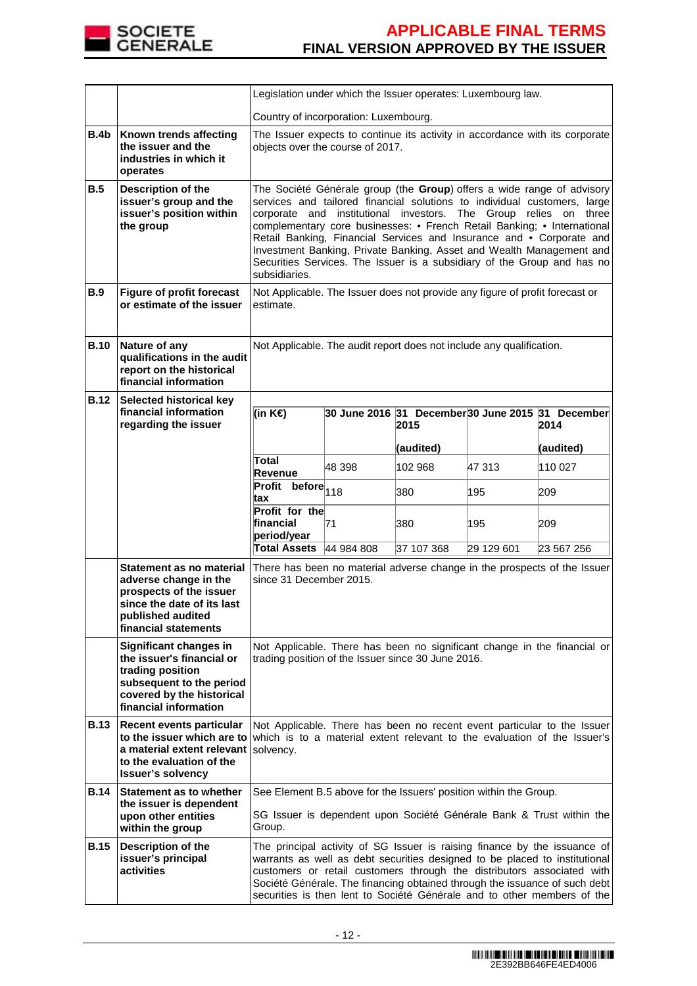

|             |                                                                                                                                                           |                                                                                                                                                                                                                                                                                                                                                                                                                                                                                                                                               |                                                                                                                  | Legislation under which the Issuer operates: Luxembourg law. |            |                                                           |
|-------------|-----------------------------------------------------------------------------------------------------------------------------------------------------------|-----------------------------------------------------------------------------------------------------------------------------------------------------------------------------------------------------------------------------------------------------------------------------------------------------------------------------------------------------------------------------------------------------------------------------------------------------------------------------------------------------------------------------------------------|------------------------------------------------------------------------------------------------------------------|--------------------------------------------------------------|------------|-----------------------------------------------------------|
|             |                                                                                                                                                           | Country of incorporation: Luxembourg.                                                                                                                                                                                                                                                                                                                                                                                                                                                                                                         |                                                                                                                  |                                                              |            |                                                           |
| B.4b        | Known trends affecting<br>the issuer and the<br>industries in which it<br>operates                                                                        |                                                                                                                                                                                                                                                                                                                                                                                                                                                                                                                                               | The Issuer expects to continue its activity in accordance with its corporate<br>objects over the course of 2017. |                                                              |            |                                                           |
| B.5         | Description of the<br>issuer's group and the<br>issuer's position within<br>the group                                                                     | The Société Générale group (the Group) offers a wide range of advisory<br>services and tailored financial solutions to individual customers, large<br>corporate and institutional investors. The Group relies on three<br>complementary core businesses: • French Retail Banking; • International<br>Retail Banking, Financial Services and Insurance and • Corporate and<br>Investment Banking, Private Banking, Asset and Wealth Management and<br>Securities Services. The Issuer is a subsidiary of the Group and has no<br>subsidiaries. |                                                                                                                  |                                                              |            |                                                           |
| <b>B.9</b>  | <b>Figure of profit forecast</b><br>or estimate of the issuer                                                                                             | estimate.                                                                                                                                                                                                                                                                                                                                                                                                                                                                                                                                     | Not Applicable. The Issuer does not provide any figure of profit forecast or                                     |                                                              |            |                                                           |
| <b>B.10</b> | Nature of any<br>qualifications in the audit<br>report on the historical<br>financial information                                                         |                                                                                                                                                                                                                                                                                                                                                                                                                                                                                                                                               | Not Applicable. The audit report does not include any qualification.                                             |                                                              |            |                                                           |
| <b>B.12</b> | Selected historical key<br>financial information<br>regarding the issuer                                                                                  | (in K€)                                                                                                                                                                                                                                                                                                                                                                                                                                                                                                                                       |                                                                                                                  | 2015                                                         |            | 30 June 2016 31 December 30 June 2015 31 December<br>2014 |
|             |                                                                                                                                                           |                                                                                                                                                                                                                                                                                                                                                                                                                                                                                                                                               |                                                                                                                  | (audited)                                                    |            | (audited)                                                 |
|             |                                                                                                                                                           | Total<br>Revenue                                                                                                                                                                                                                                                                                                                                                                                                                                                                                                                              | 48 398                                                                                                           | 102 968                                                      | 47 313     | 110 027                                                   |
|             |                                                                                                                                                           | $\overline{\mathsf{Profit}}$ before $\vert_{118}$<br>tax                                                                                                                                                                                                                                                                                                                                                                                                                                                                                      |                                                                                                                  | 380                                                          | 195        | 209                                                       |
|             |                                                                                                                                                           | Profit for the<br>financial<br>period/year                                                                                                                                                                                                                                                                                                                                                                                                                                                                                                    | 71                                                                                                               | 380                                                          | 195        | 209                                                       |
|             |                                                                                                                                                           | <b>Total Assets</b>                                                                                                                                                                                                                                                                                                                                                                                                                                                                                                                           | 44 984 808                                                                                                       | 37 107 368                                                   | 29 129 601 | 23 567 256                                                |
|             | Statement as no material<br>adverse change in the<br>prospects of the issuer<br>since the date of its last<br>published audited<br>financial statements   | There has been no material adverse change in the prospects of the Issuer<br>since 31 December 2015.                                                                                                                                                                                                                                                                                                                                                                                                                                           |                                                                                                                  |                                                              |            |                                                           |
|             | Significant changes in<br>the issuer's financial or<br>trading position<br>subsequent to the period<br>covered by the historical<br>financial information | Not Applicable. There has been no significant change in the financial or<br>trading position of the Issuer since 30 June 2016.                                                                                                                                                                                                                                                                                                                                                                                                                |                                                                                                                  |                                                              |            |                                                           |
| <b>B.13</b> | Recent events particular<br>to the issuer which are to<br>a material extent relevant<br>to the evaluation of the<br><b>Issuer's solvency</b>              | Not Applicable. There has been no recent event particular to the Issuer<br>which is to a material extent relevant to the evaluation of the Issuer's<br>solvency.                                                                                                                                                                                                                                                                                                                                                                              |                                                                                                                  |                                                              |            |                                                           |
| <b>B.14</b> | Statement as to whether<br>the issuer is dependent<br>upon other entities<br>within the group                                                             | See Element B.5 above for the Issuers' position within the Group.<br>SG Issuer is dependent upon Société Générale Bank & Trust within the<br>Group.                                                                                                                                                                                                                                                                                                                                                                                           |                                                                                                                  |                                                              |            |                                                           |
| <b>B.15</b> | <b>Description of the</b><br>issuer's principal<br>activities                                                                                             | The principal activity of SG Issuer is raising finance by the issuance of<br>warrants as well as debt securities designed to be placed to institutional<br>customers or retail customers through the distributors associated with<br>Société Générale. The financing obtained through the issuance of such debt<br>securities is then lent to Société Générale and to other members of the                                                                                                                                                    |                                                                                                                  |                                                              |            |                                                           |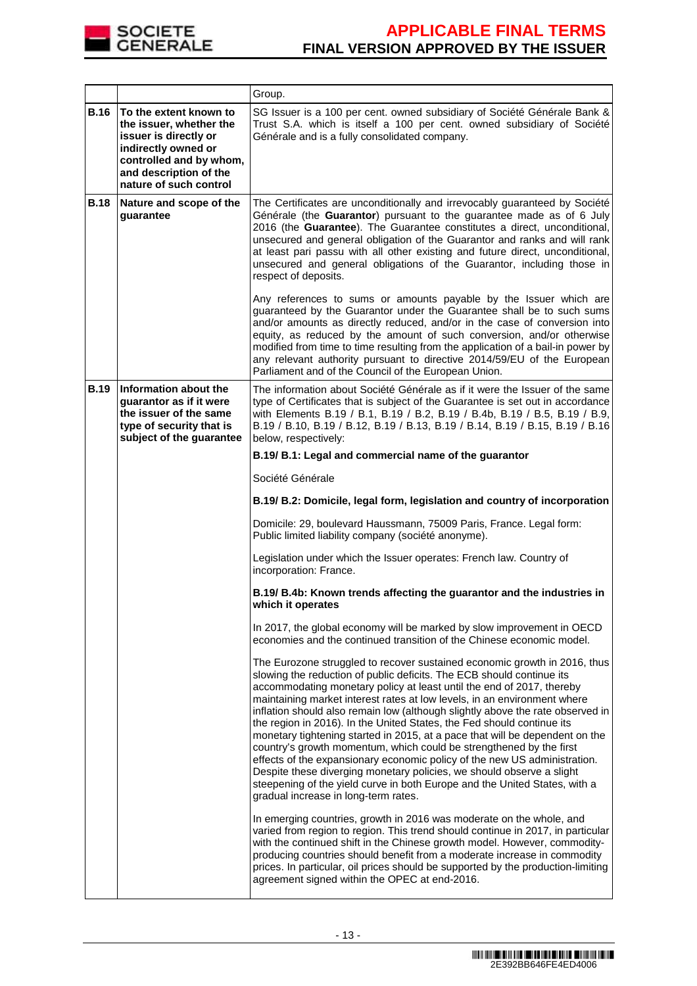

|                                                                                                                                                   |                                                                                                                                                                                  | Group.                                                                                                                                                                                                                                                                                                                                                                                                                                                                                                                                                                                                                                                                                                                                                                                                                                                                                                 |  |
|---------------------------------------------------------------------------------------------------------------------------------------------------|----------------------------------------------------------------------------------------------------------------------------------------------------------------------------------|--------------------------------------------------------------------------------------------------------------------------------------------------------------------------------------------------------------------------------------------------------------------------------------------------------------------------------------------------------------------------------------------------------------------------------------------------------------------------------------------------------------------------------------------------------------------------------------------------------------------------------------------------------------------------------------------------------------------------------------------------------------------------------------------------------------------------------------------------------------------------------------------------------|--|
| <b>B.16</b>                                                                                                                                       | To the extent known to<br>the issuer, whether the<br>issuer is directly or<br>indirectly owned or<br>controlled and by whom,<br>and description of the<br>nature of such control | SG Issuer is a 100 per cent. owned subsidiary of Société Générale Bank &<br>Trust S.A. which is itself a 100 per cent. owned subsidiary of Société<br>Générale and is a fully consolidated company.                                                                                                                                                                                                                                                                                                                                                                                                                                                                                                                                                                                                                                                                                                    |  |
| <b>B.18</b><br>Nature and scope of the<br>guarantee<br>respect of deposits.                                                                       |                                                                                                                                                                                  | The Certificates are unconditionally and irrevocably guaranteed by Société<br>Générale (the Guarantor) pursuant to the guarantee made as of 6 July<br>2016 (the Guarantee). The Guarantee constitutes a direct, unconditional,<br>unsecured and general obligation of the Guarantor and ranks and will rank<br>at least pari passu with all other existing and future direct, unconditional,<br>unsecured and general obligations of the Guarantor, including those in                                                                                                                                                                                                                                                                                                                                                                                                                                 |  |
|                                                                                                                                                   |                                                                                                                                                                                  | Any references to sums or amounts payable by the Issuer which are<br>guaranteed by the Guarantor under the Guarantee shall be to such sums<br>and/or amounts as directly reduced, and/or in the case of conversion into<br>equity, as reduced by the amount of such conversion, and/or otherwise<br>modified from time to time resulting from the application of a bail-in power by<br>any relevant authority pursuant to directive 2014/59/EU of the European<br>Parliament and of the Council of the European Union.                                                                                                                                                                                                                                                                                                                                                                                 |  |
| <b>B.19</b><br>Information about the<br>quarantor as if it were<br>the issuer of the same<br>type of security that is<br>subject of the guarantee |                                                                                                                                                                                  | The information about Société Générale as if it were the Issuer of the same<br>type of Certificates that is subject of the Guarantee is set out in accordance<br>with Elements B.19 / B.1, B.19 / B.2, B.19 / B.4b, B.19 / B.5, B.19 / B.9,<br>B.19 / B.10, B.19 / B.12, B.19 / B.13, B.19 / B.14, B.19 / B.15, B.19 / B.16<br>below, respectively:                                                                                                                                                                                                                                                                                                                                                                                                                                                                                                                                                    |  |
|                                                                                                                                                   |                                                                                                                                                                                  | B.19/ B.1: Legal and commercial name of the guarantor                                                                                                                                                                                                                                                                                                                                                                                                                                                                                                                                                                                                                                                                                                                                                                                                                                                  |  |
|                                                                                                                                                   |                                                                                                                                                                                  | Société Générale                                                                                                                                                                                                                                                                                                                                                                                                                                                                                                                                                                                                                                                                                                                                                                                                                                                                                       |  |
|                                                                                                                                                   |                                                                                                                                                                                  | B.19/ B.2: Domicile, legal form, legislation and country of incorporation                                                                                                                                                                                                                                                                                                                                                                                                                                                                                                                                                                                                                                                                                                                                                                                                                              |  |
|                                                                                                                                                   |                                                                                                                                                                                  | Domicile: 29, boulevard Haussmann, 75009 Paris, France. Legal form:<br>Public limited liability company (société anonyme).                                                                                                                                                                                                                                                                                                                                                                                                                                                                                                                                                                                                                                                                                                                                                                             |  |
|                                                                                                                                                   |                                                                                                                                                                                  | Legislation under which the Issuer operates: French law. Country of<br>incorporation: France.                                                                                                                                                                                                                                                                                                                                                                                                                                                                                                                                                                                                                                                                                                                                                                                                          |  |
|                                                                                                                                                   |                                                                                                                                                                                  | B.19/ B.4b: Known trends affecting the guarantor and the industries in<br>which it operates                                                                                                                                                                                                                                                                                                                                                                                                                                                                                                                                                                                                                                                                                                                                                                                                            |  |
|                                                                                                                                                   |                                                                                                                                                                                  | In 2017, the global economy will be marked by slow improvement in OECD<br>economies and the continued transition of the Chinese economic model.                                                                                                                                                                                                                                                                                                                                                                                                                                                                                                                                                                                                                                                                                                                                                        |  |
|                                                                                                                                                   |                                                                                                                                                                                  | The Eurozone struggled to recover sustained economic growth in 2016, thus<br>slowing the reduction of public deficits. The ECB should continue its<br>accommodating monetary policy at least until the end of 2017, thereby<br>maintaining market interest rates at low levels, in an environment where<br>inflation should also remain low (although slightly above the rate observed in<br>the region in 2016). In the United States, the Fed should continue its<br>monetary tightening started in 2015, at a pace that will be dependent on the<br>country's growth momentum, which could be strengthened by the first<br>effects of the expansionary economic policy of the new US administration.<br>Despite these diverging monetary policies, we should observe a slight<br>steepening of the yield curve in both Europe and the United States, with a<br>gradual increase in long-term rates. |  |
|                                                                                                                                                   |                                                                                                                                                                                  | In emerging countries, growth in 2016 was moderate on the whole, and<br>varied from region to region. This trend should continue in 2017, in particular<br>with the continued shift in the Chinese growth model. However, commodity-<br>producing countries should benefit from a moderate increase in commodity<br>prices. In particular, oil prices should be supported by the production-limiting<br>agreement signed within the OPEC at end-2016.                                                                                                                                                                                                                                                                                                                                                                                                                                                  |  |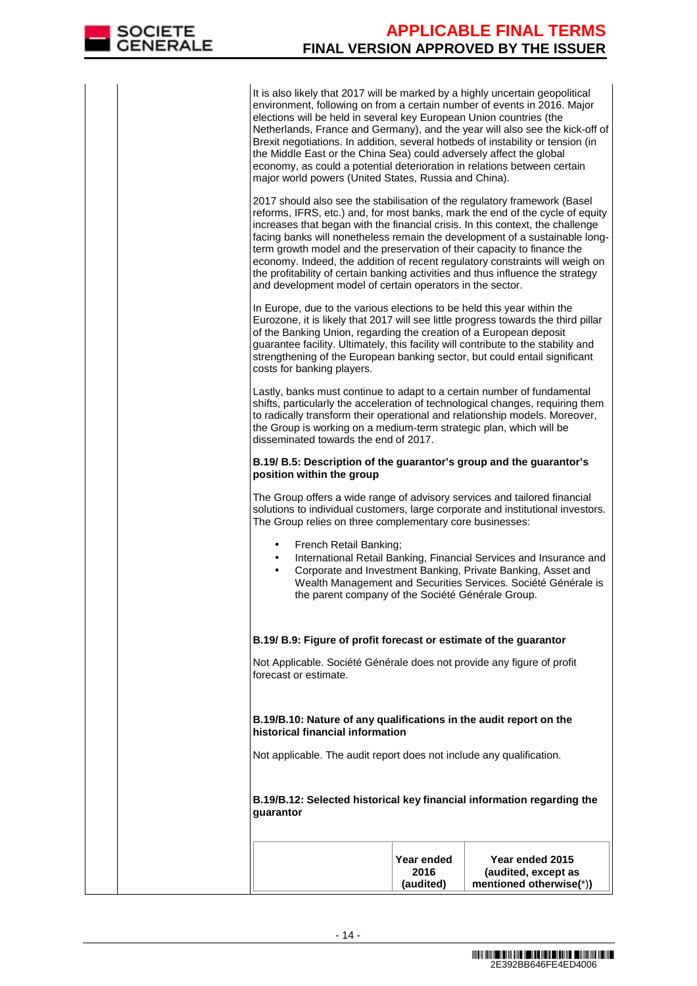It is also likely that 2017 will be marked by a highly uncertain geopolitical environment, following on from a certain number of events in 2016. Major elections will be held in several key European Union countries (the Netherlands, France and Germany), and the year will also see the kick-off of Brexit negotiations. In addition, several hotbeds of instability or tension (in the Middle East or the China Sea) could adversely affect the global economy, as could a potential deterioration in relations between certain major world powers (United States, Russia and China).

2017 should also see the stabilisation of the regulatory framework (Basel reforms, IFRS, etc.) and, for most banks, mark the end of the cycle of equity increases that began with the financial crisis. In this context, the challenge facing banks will nonetheless remain the development of a sustainable longterm growth model and the preservation of their capacity to finance the economy. Indeed, the addition of recent regulatory constraints will weigh on the profitability of certain banking activities and thus influence the strategy and development model of certain operators in the sector.

In Europe, due to the various elections to be held this year within the Eurozone, it is likely that 2017 will see little progress towards the third pillar of the Banking Union, regarding the creation of a European deposit guarantee facility. Ultimately, this facility will contribute to the stability and strengthening of the European banking sector, but could entail significant costs for banking players.

Lastly, banks must continue to adapt to a certain number of fundamental shifts, particularly the acceleration of technological changes, requiring them to radically transform their operational and relationship models. Moreover, the Group is working on a medium-term strategic plan, which will be disseminated towards the end of 2017.

### **B.19/ B.5: Description of the guarantor's group and the guarantor's position within the group**

The Group offers a wide range of advisory services and tailored financial solutions to individual customers, large corporate and institutional investors. The Group relies on three complementary core businesses:

- French Retail Banking;
- International Retail Banking, Financial Services and Insurance and
- Corporate and Investment Banking, Private Banking, Asset and Wealth Management and Securities Services. Société Générale is the parent company of the Société Générale Group.

# **B.19/ B.9: Figure of profit forecast or estimate of the guarantor**

Not Applicable. Société Générale does not provide any figure of profit forecast or estimate.

# **B.19/B.10: Nature of any qualifications in the audit report on the historical financial information**

Not applicable. The audit report does not include any qualification.

**B.19/B.12: Selected historical key financial information regarding the guarantor**

| Year ended 2015<br><b>Year ended</b><br>2016<br>(audited, except as<br>mentioned otherwise(*))<br>(audited) |  |
|-------------------------------------------------------------------------------------------------------------|--|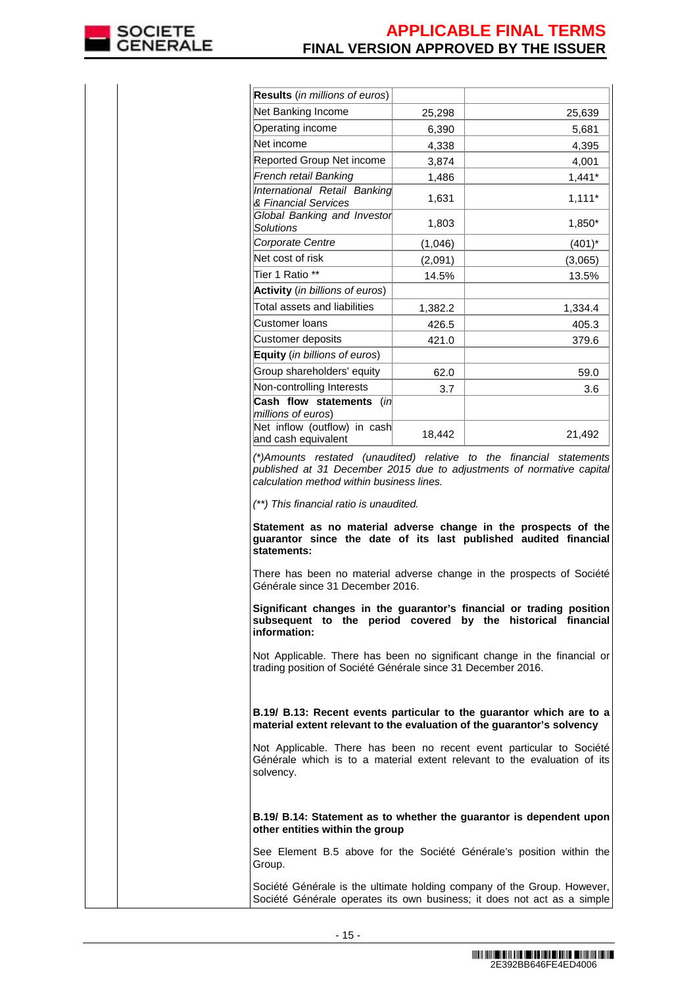

| Results (in millions of euros)                                                                                                                                                  |         |                                                                                                                                                                                                                                                                                                    |
|---------------------------------------------------------------------------------------------------------------------------------------------------------------------------------|---------|----------------------------------------------------------------------------------------------------------------------------------------------------------------------------------------------------------------------------------------------------------------------------------------------------|
|                                                                                                                                                                                 |         |                                                                                                                                                                                                                                                                                                    |
| Net Banking Income                                                                                                                                                              | 25,298  | 25,639                                                                                                                                                                                                                                                                                             |
| Operating income                                                                                                                                                                | 6,390   | 5,681                                                                                                                                                                                                                                                                                              |
| Net income                                                                                                                                                                      | 4,338   | 4,395                                                                                                                                                                                                                                                                                              |
| Reported Group Net income                                                                                                                                                       | 3,874   | 4.001                                                                                                                                                                                                                                                                                              |
| French retail Banking                                                                                                                                                           | 1,486   | $1,441*$                                                                                                                                                                                                                                                                                           |
| International Retail Banking<br>& Financial Services                                                                                                                            | 1,631   | $1,111*$                                                                                                                                                                                                                                                                                           |
| Global Banking and Investor<br><b>Solutions</b>                                                                                                                                 | 1,803   | 1,850*                                                                                                                                                                                                                                                                                             |
| Corporate Centre                                                                                                                                                                | (1,046) | $(401)^{*}$                                                                                                                                                                                                                                                                                        |
| Net cost of risk                                                                                                                                                                | (2,091) | (3,065)                                                                                                                                                                                                                                                                                            |
| Tier 1 Ratio **                                                                                                                                                                 | 14.5%   | 13.5%                                                                                                                                                                                                                                                                                              |
| Activity (in billions of euros)                                                                                                                                                 |         |                                                                                                                                                                                                                                                                                                    |
| Total assets and liabilities                                                                                                                                                    | 1,382.2 | 1,334.4                                                                                                                                                                                                                                                                                            |
| Customer Ioans                                                                                                                                                                  | 426.5   | 405.3                                                                                                                                                                                                                                                                                              |
| Customer deposits                                                                                                                                                               | 421.0   | 379.6                                                                                                                                                                                                                                                                                              |
| Equity (in billions of euros)                                                                                                                                                   |         |                                                                                                                                                                                                                                                                                                    |
| Group shareholders' equity                                                                                                                                                      | 62.0    | 59.0                                                                                                                                                                                                                                                                                               |
| Non-controlling Interests                                                                                                                                                       | 3.7     | 3.6                                                                                                                                                                                                                                                                                                |
| Cash flow statements (in<br>millions of euros)                                                                                                                                  |         |                                                                                                                                                                                                                                                                                                    |
| Net inflow (outflow) in cash<br>and cash equivalent                                                                                                                             | 18,442  | 21,492                                                                                                                                                                                                                                                                                             |
| Statement as no material adverse change in the prospects of the                                                                                                                 |         |                                                                                                                                                                                                                                                                                                    |
|                                                                                                                                                                                 |         | guarantor since the date of its last published audited financial<br>There has been no material adverse change in the prospects of Société                                                                                                                                                          |
|                                                                                                                                                                                 |         | Significant changes in the guarantor's financial or trading position<br>subsequent to the period covered by the historical financial<br>Not Applicable. There has been no significant change in the financial or                                                                                   |
|                                                                                                                                                                                 |         |                                                                                                                                                                                                                                                                                                    |
|                                                                                                                                                                                 |         | B.19/ B.13: Recent events particular to the guarantor which are to a<br>material extent relevant to the evaluation of the guarantor's solvency<br>Not Applicable. There has been no recent event particular to Société<br>Générale which is to a material extent relevant to the evaluation of its |
| statements:<br>Générale since 31 December 2016.<br>information:<br>trading position of Société Générale since 31 December 2016.<br>solvency.<br>other entities within the group |         | B.19/ B.14: Statement as to whether the guarantor is dependent upon                                                                                                                                                                                                                                |
| Group.                                                                                                                                                                          |         | See Element B.5 above for the Société Générale's position within the<br>Société Générale is the ultimate holding company of the Group. However,                                                                                                                                                    |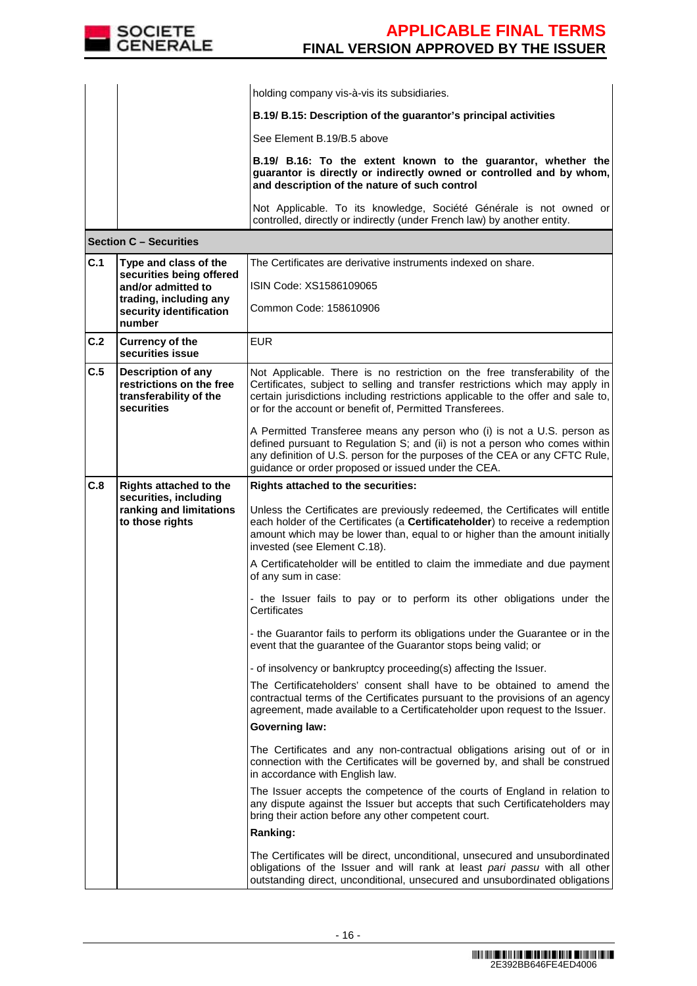

|  | holding company vis-à-vis its subsidiaries.                                                                                                                                            |
|--|----------------------------------------------------------------------------------------------------------------------------------------------------------------------------------------|
|  | B.19/ B.15: Description of the guarantor's principal activities                                                                                                                        |
|  | See Element B.19/B.5 above                                                                                                                                                             |
|  | B.19/ B.16: To the extent known to the quarantor, whether the<br>guarantor is directly or indirectly owned or controlled and by whom,<br>and description of the nature of such control |
|  | Not Applicable. To its knowledge, Société Générale is not owned or<br>controlled, directly or indirectly (under French law) by another entity.                                         |

|     | <b>Section C - Securities</b>                                                          |                                                                                                                                                                                                                                                                                                              |  |  |
|-----|----------------------------------------------------------------------------------------|--------------------------------------------------------------------------------------------------------------------------------------------------------------------------------------------------------------------------------------------------------------------------------------------------------------|--|--|
| C.1 | Type and class of the<br>securities being offered                                      | The Certificates are derivative instruments indexed on share.                                                                                                                                                                                                                                                |  |  |
|     | and/or admitted to<br>trading, including any<br>security identification<br>number      | ISIN Code: XS1586109065                                                                                                                                                                                                                                                                                      |  |  |
|     |                                                                                        | Common Code: 158610906                                                                                                                                                                                                                                                                                       |  |  |
| C.2 | <b>Currency of the</b>                                                                 | <b>EUR</b>                                                                                                                                                                                                                                                                                                   |  |  |
|     | securities issue                                                                       |                                                                                                                                                                                                                                                                                                              |  |  |
| C.5 | Description of any<br>restrictions on the free<br>transferability of the<br>securities | Not Applicable. There is no restriction on the free transferability of the<br>Certificates, subject to selling and transfer restrictions which may apply in<br>certain jurisdictions including restrictions applicable to the offer and sale to,<br>or for the account or benefit of, Permitted Transferees. |  |  |
|     |                                                                                        | A Permitted Transferee means any person who (i) is not a U.S. person as<br>defined pursuant to Regulation S; and (ii) is not a person who comes within<br>any definition of U.S. person for the purposes of the CEA or any CFTC Rule,<br>guidance or order proposed or issued under the CEA.                 |  |  |
| C.8 | <b>Rights attached to the</b>                                                          | <b>Rights attached to the securities:</b>                                                                                                                                                                                                                                                                    |  |  |
|     | securities, including<br>ranking and limitations<br>to those rights                    | Unless the Certificates are previously redeemed, the Certificates will entitle<br>each holder of the Certificates (a Certificateholder) to receive a redemption<br>amount which may be lower than, equal to or higher than the amount initially<br>invested (see Element C.18).                              |  |  |
|     |                                                                                        | A Certificateholder will be entitled to claim the immediate and due payment<br>of any sum in case:                                                                                                                                                                                                           |  |  |
|     |                                                                                        | - the Issuer fails to pay or to perform its other obligations under the<br>Certificates                                                                                                                                                                                                                      |  |  |
|     |                                                                                        | - the Guarantor fails to perform its obligations under the Guarantee or in the<br>event that the guarantee of the Guarantor stops being valid; or                                                                                                                                                            |  |  |
|     |                                                                                        | - of insolvency or bankruptcy proceeding(s) affecting the Issuer.                                                                                                                                                                                                                                            |  |  |
|     |                                                                                        | The Certificateholders' consent shall have to be obtained to amend the<br>contractual terms of the Certificates pursuant to the provisions of an agency<br>agreement, made available to a Certificateholder upon request to the Issuer.                                                                      |  |  |
|     |                                                                                        | <b>Governing law:</b>                                                                                                                                                                                                                                                                                        |  |  |
|     |                                                                                        | The Certificates and any non-contractual obligations arising out of or in<br>connection with the Certificates will be governed by, and shall be construed<br>in accordance with English law.                                                                                                                 |  |  |
|     |                                                                                        | The Issuer accepts the competence of the courts of England in relation to<br>any dispute against the Issuer but accepts that such Certificateholders may<br>bring their action before any other competent court.                                                                                             |  |  |
|     |                                                                                        | Ranking:                                                                                                                                                                                                                                                                                                     |  |  |
|     |                                                                                        | The Certificates will be direct, unconditional, unsecured and unsubordinated<br>obligations of the Issuer and will rank at least pari passu with all other<br>outstanding direct, unconditional, unsecured and unsubordinated obligations                                                                    |  |  |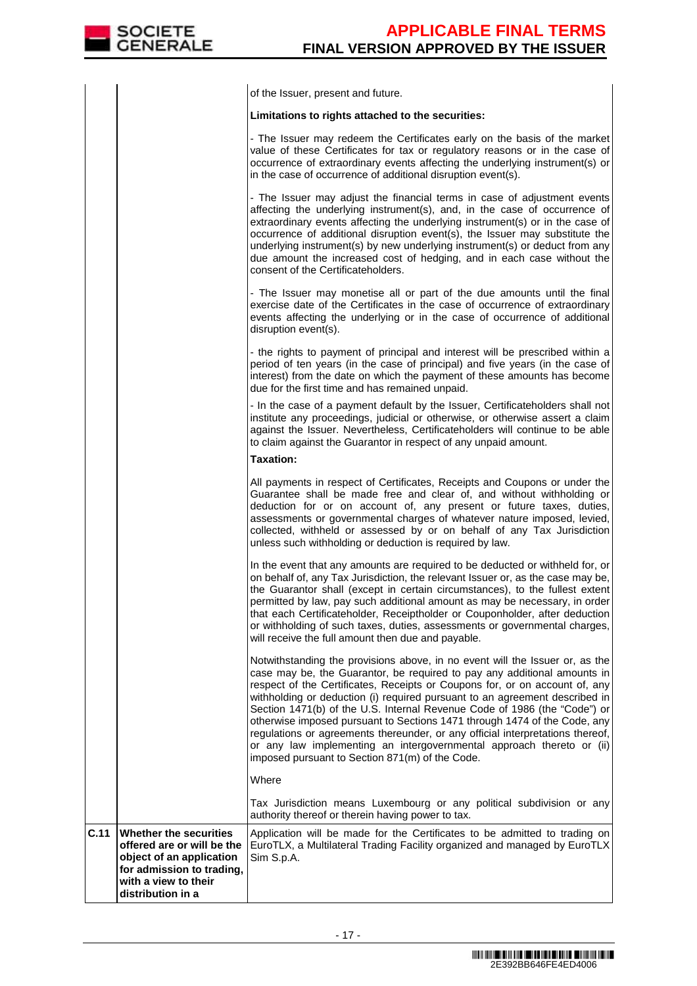

|      |                                                                                                                                                                   | of the Issuer, present and future.                                                                                                                                                                                                                                                                                                                                                                                                                                                                                                                                                                                                                                                             |
|------|-------------------------------------------------------------------------------------------------------------------------------------------------------------------|------------------------------------------------------------------------------------------------------------------------------------------------------------------------------------------------------------------------------------------------------------------------------------------------------------------------------------------------------------------------------------------------------------------------------------------------------------------------------------------------------------------------------------------------------------------------------------------------------------------------------------------------------------------------------------------------|
|      |                                                                                                                                                                   | Limitations to rights attached to the securities:                                                                                                                                                                                                                                                                                                                                                                                                                                                                                                                                                                                                                                              |
|      |                                                                                                                                                                   | - The Issuer may redeem the Certificates early on the basis of the market<br>value of these Certificates for tax or regulatory reasons or in the case of<br>occurrence of extraordinary events affecting the underlying instrument(s) or<br>in the case of occurrence of additional disruption event(s).                                                                                                                                                                                                                                                                                                                                                                                       |
|      |                                                                                                                                                                   | - The Issuer may adjust the financial terms in case of adjustment events<br>affecting the underlying instrument(s), and, in the case of occurrence of<br>extraordinary events affecting the underlying instrument(s) or in the case of<br>occurrence of additional disruption event(s), the Issuer may substitute the<br>underlying instrument(s) by new underlying instrument(s) or deduct from any<br>due amount the increased cost of hedging, and in each case without the<br>consent of the Certificateholders.                                                                                                                                                                           |
|      |                                                                                                                                                                   | - The Issuer may monetise all or part of the due amounts until the final<br>exercise date of the Certificates in the case of occurrence of extraordinary<br>events affecting the underlying or in the case of occurrence of additional<br>disruption event(s).                                                                                                                                                                                                                                                                                                                                                                                                                                 |
|      |                                                                                                                                                                   | - the rights to payment of principal and interest will be prescribed within a<br>period of ten years (in the case of principal) and five years (in the case of<br>interest) from the date on which the payment of these amounts has become<br>due for the first time and has remained unpaid.                                                                                                                                                                                                                                                                                                                                                                                                  |
|      |                                                                                                                                                                   | - In the case of a payment default by the Issuer, Certificateholders shall not<br>institute any proceedings, judicial or otherwise, or otherwise assert a claim<br>against the Issuer. Nevertheless, Certificateholders will continue to be able<br>to claim against the Guarantor in respect of any unpaid amount.                                                                                                                                                                                                                                                                                                                                                                            |
|      |                                                                                                                                                                   | <b>Taxation:</b>                                                                                                                                                                                                                                                                                                                                                                                                                                                                                                                                                                                                                                                                               |
|      |                                                                                                                                                                   | All payments in respect of Certificates, Receipts and Coupons or under the<br>Guarantee shall be made free and clear of, and without withholding or<br>deduction for or on account of, any present or future taxes, duties,<br>assessments or governmental charges of whatever nature imposed, levied,<br>collected, withheld or assessed by or on behalf of any Tax Jurisdiction<br>unless such withholding or deduction is required by law.                                                                                                                                                                                                                                                  |
|      |                                                                                                                                                                   | In the event that any amounts are required to be deducted or withheld for, or<br>on behalf of, any Tax Jurisdiction, the relevant Issuer or, as the case may be,<br>the Guarantor shall (except in certain circumstances), to the fullest extent<br>permitted by law, pay such additional amount as may be necessary, in order<br>that each Certificateholder, Receiptholder or Couponholder, after deduction<br>or withholding of such taxes, duties, assessments or governmental charges,<br>will receive the full amount then due and payable.                                                                                                                                              |
|      |                                                                                                                                                                   | Notwithstanding the provisions above, in no event will the Issuer or, as the<br>case may be, the Guarantor, be required to pay any additional amounts in<br>respect of the Certificates, Receipts or Coupons for, or on account of, any<br>withholding or deduction (i) required pursuant to an agreement described in<br>Section 1471(b) of the U.S. Internal Revenue Code of 1986 (the "Code") or<br>otherwise imposed pursuant to Sections 1471 through 1474 of the Code, any<br>regulations or agreements thereunder, or any official interpretations thereof,<br>or any law implementing an intergovernmental approach thereto or (ii)<br>imposed pursuant to Section 871(m) of the Code. |
|      |                                                                                                                                                                   | Where                                                                                                                                                                                                                                                                                                                                                                                                                                                                                                                                                                                                                                                                                          |
|      |                                                                                                                                                                   | Tax Jurisdiction means Luxembourg or any political subdivision or any<br>authority thereof or therein having power to tax.                                                                                                                                                                                                                                                                                                                                                                                                                                                                                                                                                                     |
| C.11 | <b>Whether the securities</b><br>offered are or will be the<br>object of an application<br>for admission to trading,<br>with a view to their<br>distribution in a | Application will be made for the Certificates to be admitted to trading on<br>EuroTLX, a Multilateral Trading Facility organized and managed by EuroTLX<br>Sim S.p.A.                                                                                                                                                                                                                                                                                                                                                                                                                                                                                                                          |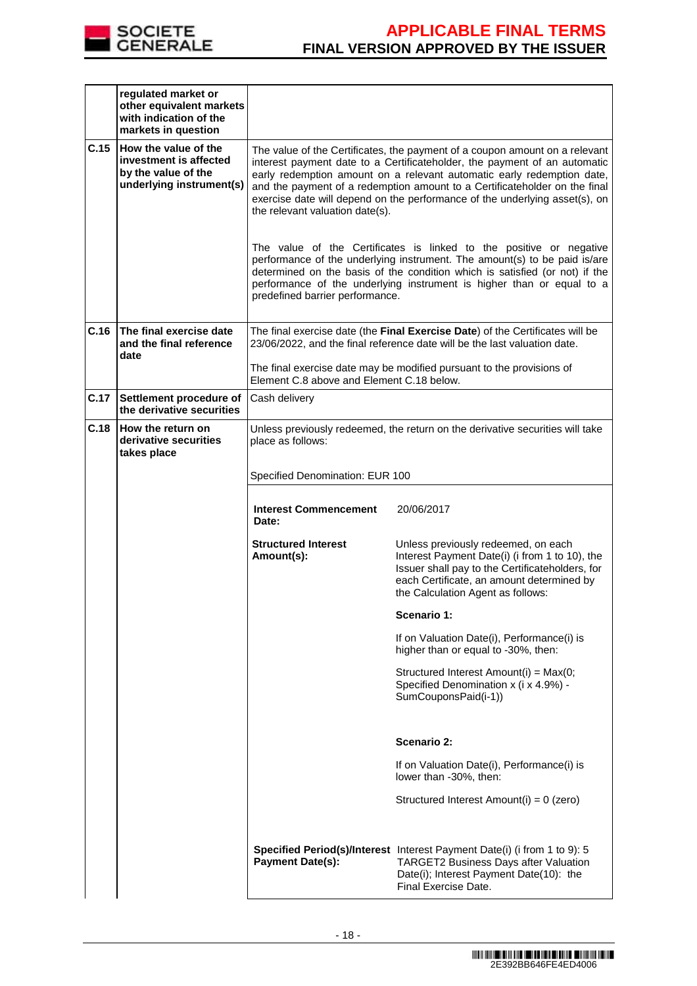

|      | regulated market or<br>other equivalent markets<br>with indication of the<br>markets in question  |                                                                                                                                                                                                                                                                                                                                                                                                                                                                                                                                                                                                                                                                                                                                                |                                                                                                                                                                                                                            |  |
|------|---------------------------------------------------------------------------------------------------|------------------------------------------------------------------------------------------------------------------------------------------------------------------------------------------------------------------------------------------------------------------------------------------------------------------------------------------------------------------------------------------------------------------------------------------------------------------------------------------------------------------------------------------------------------------------------------------------------------------------------------------------------------------------------------------------------------------------------------------------|----------------------------------------------------------------------------------------------------------------------------------------------------------------------------------------------------------------------------|--|
| C.15 | How the value of the<br>investment is affected<br>by the value of the<br>underlying instrument(s) | The value of the Certificates, the payment of a coupon amount on a relevant<br>interest payment date to a Certificateholder, the payment of an automatic<br>early redemption amount on a relevant automatic early redemption date,<br>and the payment of a redemption amount to a Certificateholder on the final<br>exercise date will depend on the performance of the underlying asset(s), on<br>the relevant valuation date(s).<br>The value of the Certificates is linked to the positive or negative<br>performance of the underlying instrument. The amount(s) to be paid is/are<br>determined on the basis of the condition which is satisfied (or not) if the<br>performance of the underlying instrument is higher than or equal to a |                                                                                                                                                                                                                            |  |
|      |                                                                                                   | predefined barrier performance.                                                                                                                                                                                                                                                                                                                                                                                                                                                                                                                                                                                                                                                                                                                |                                                                                                                                                                                                                            |  |
| C.16 | The final exercise date<br>and the final reference<br>date                                        |                                                                                                                                                                                                                                                                                                                                                                                                                                                                                                                                                                                                                                                                                                                                                | The final exercise date (the Final Exercise Date) of the Certificates will be<br>23/06/2022, and the final reference date will be the last valuation date.                                                                 |  |
|      |                                                                                                   | Element C.8 above and Element C.18 below.                                                                                                                                                                                                                                                                                                                                                                                                                                                                                                                                                                                                                                                                                                      | The final exercise date may be modified pursuant to the provisions of                                                                                                                                                      |  |
| C.17 | Settlement procedure of<br>the derivative securities                                              | Cash delivery                                                                                                                                                                                                                                                                                                                                                                                                                                                                                                                                                                                                                                                                                                                                  |                                                                                                                                                                                                                            |  |
| C.18 | How the return on<br>derivative securities<br>takes place                                         | Unless previously redeemed, the return on the derivative securities will take<br>place as follows:                                                                                                                                                                                                                                                                                                                                                                                                                                                                                                                                                                                                                                             |                                                                                                                                                                                                                            |  |
|      |                                                                                                   | Specified Denomination: EUR 100                                                                                                                                                                                                                                                                                                                                                                                                                                                                                                                                                                                                                                                                                                                |                                                                                                                                                                                                                            |  |
|      |                                                                                                   | <b>Interest Commencement</b><br>Date:                                                                                                                                                                                                                                                                                                                                                                                                                                                                                                                                                                                                                                                                                                          | 20/06/2017                                                                                                                                                                                                                 |  |
|      |                                                                                                   | <b>Structured Interest</b><br>Amount(s):                                                                                                                                                                                                                                                                                                                                                                                                                                                                                                                                                                                                                                                                                                       | Unless previously redeemed, on each<br>Interest Payment Date(i) (i from 1 to 10), the<br>Issuer shall pay to the Certificateholders, for<br>each Certificate, an amount determined by<br>the Calculation Agent as follows: |  |
|      |                                                                                                   |                                                                                                                                                                                                                                                                                                                                                                                                                                                                                                                                                                                                                                                                                                                                                | Scenario 1:                                                                                                                                                                                                                |  |
|      |                                                                                                   |                                                                                                                                                                                                                                                                                                                                                                                                                                                                                                                                                                                                                                                                                                                                                | If on Valuation Date(i), Performance(i) is<br>higher than or equal to -30%, then:                                                                                                                                          |  |
|      |                                                                                                   |                                                                                                                                                                                                                                                                                                                                                                                                                                                                                                                                                                                                                                                                                                                                                | Structured Interest Amount(i) = Max(0;<br>Specified Denomination x (i x 4.9%) -<br>SumCouponsPaid(i-1))                                                                                                                    |  |
|      |                                                                                                   |                                                                                                                                                                                                                                                                                                                                                                                                                                                                                                                                                                                                                                                                                                                                                | Scenario 2:                                                                                                                                                                                                                |  |
|      |                                                                                                   |                                                                                                                                                                                                                                                                                                                                                                                                                                                                                                                                                                                                                                                                                                                                                | If on Valuation Date(i), Performance(i) is<br>lower than -30%, then:                                                                                                                                                       |  |
|      |                                                                                                   |                                                                                                                                                                                                                                                                                                                                                                                                                                                                                                                                                                                                                                                                                                                                                | Structured Interest Amount(i) = 0 (zero)                                                                                                                                                                                   |  |
|      |                                                                                                   | <b>Payment Date(s):</b>                                                                                                                                                                                                                                                                                                                                                                                                                                                                                                                                                                                                                                                                                                                        | Specified Period(s)/Interest Interest Payment Date(i) (i from 1 to 9): 5<br><b>TARGET2 Business Days after Valuation</b><br>Date(i); Interest Payment Date(10): the<br>Final Exercise Date.                                |  |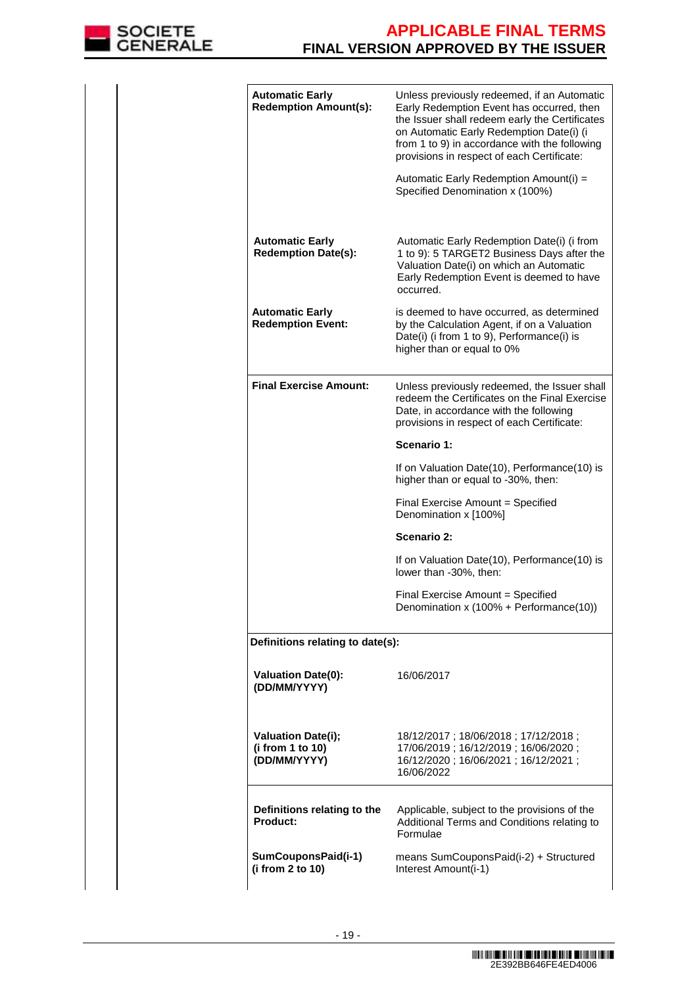

| <b>Automatic Early</b><br><b>Redemption Amount(s):</b>        | Unless previously redeemed, if an Automatic<br>Early Redemption Event has occurred, then<br>the Issuer shall redeem early the Certificates<br>on Automatic Early Redemption Date(i) (i<br>from 1 to 9) in accordance with the following<br>provisions in respect of each Certificate:<br>Automatic Early Redemption Amount(i) =<br>Specified Denomination x (100%) |
|---------------------------------------------------------------|--------------------------------------------------------------------------------------------------------------------------------------------------------------------------------------------------------------------------------------------------------------------------------------------------------------------------------------------------------------------|
| <b>Automatic Early</b><br><b>Redemption Date(s):</b>          | Automatic Early Redemption Date(i) (i from<br>1 to 9): 5 TARGET2 Business Days after the<br>Valuation Date(i) on which an Automatic<br>Early Redemption Event is deemed to have<br>occurred.                                                                                                                                                                       |
| <b>Automatic Early</b><br><b>Redemption Event:</b>            | is deemed to have occurred, as determined<br>by the Calculation Agent, if on a Valuation<br>Date(i) (i from 1 to 9), Performance(i) is<br>higher than or equal to 0%                                                                                                                                                                                               |
| <b>Final Exercise Amount:</b>                                 | Unless previously redeemed, the Issuer shall<br>redeem the Certificates on the Final Exercise<br>Date, in accordance with the following<br>provisions in respect of each Certificate:                                                                                                                                                                              |
|                                                               | Scenario 1:                                                                                                                                                                                                                                                                                                                                                        |
|                                                               | If on Valuation Date(10), Performance(10) is<br>higher than or equal to -30%, then:                                                                                                                                                                                                                                                                                |
|                                                               | Final Exercise Amount = Specified<br>Denomination x [100%]                                                                                                                                                                                                                                                                                                         |
|                                                               | Scenario 2:                                                                                                                                                                                                                                                                                                                                                        |
|                                                               | If on Valuation Date(10), Performance(10) is<br>lower than -30%, then:                                                                                                                                                                                                                                                                                             |
|                                                               | Final Exercise Amount = Specified<br>Denomination x (100% + Performance(10))                                                                                                                                                                                                                                                                                       |
| Definitions relating to date(s):                              |                                                                                                                                                                                                                                                                                                                                                                    |
| <b>Valuation Date(0):</b><br>(DD/MM/YYYY)                     | 16/06/2017                                                                                                                                                                                                                                                                                                                                                         |
| <b>Valuation Date(i);</b><br>(i from 1 to 10)<br>(DD/MM/YYYY) | 18/12/2017; 18/06/2018; 17/12/2018;<br>17/06/2019; 16/12/2019; 16/06/2020;<br>16/12/2020; 16/06/2021; 16/12/2021;<br>16/06/2022                                                                                                                                                                                                                                    |
| Definitions relating to the<br><b>Product:</b>                | Applicable, subject to the provisions of the<br>Additional Terms and Conditions relating to<br>Formulae                                                                                                                                                                                                                                                            |
| SumCouponsPaid(i-1)<br>(i from 2 to 10)                       | means SumCouponsPaid(i-2) + Structured<br>Interest Amount(i-1)                                                                                                                                                                                                                                                                                                     |
|                                                               |                                                                                                                                                                                                                                                                                                                                                                    |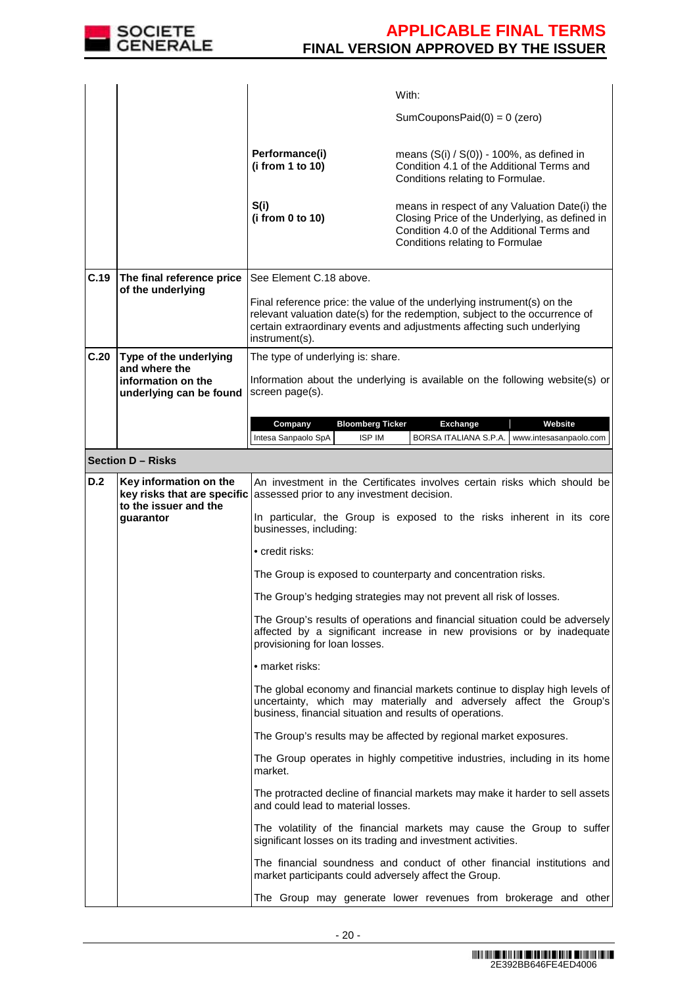

|      |                                                                                |                                                              | With:                                                                                                                                                                           |
|------|--------------------------------------------------------------------------------|--------------------------------------------------------------|---------------------------------------------------------------------------------------------------------------------------------------------------------------------------------|
|      |                                                                                |                                                              | SumCouponsPaid $(0) = 0$ (zero)                                                                                                                                                 |
|      |                                                                                |                                                              |                                                                                                                                                                                 |
|      |                                                                                | Performance(i)<br>(i from 1 to 10)                           | means $(S(i) / S(0))$ - 100%, as defined in<br>Condition 4.1 of the Additional Terms and<br>Conditions relating to Formulae.                                                    |
|      |                                                                                | S(i)<br>(i from 0 to 10)                                     | means in respect of any Valuation Date(i) the<br>Closing Price of the Underlying, as defined in<br>Condition 4.0 of the Additional Terms and<br>Conditions relating to Formulae |
| C.19 | The final reference price                                                      | See Element C.18 above.                                      |                                                                                                                                                                                 |
|      | of the underlying                                                              |                                                              | Final reference price: the value of the underlying instrument(s) on the                                                                                                         |
|      |                                                                                | instrument(s).                                               | relevant valuation date(s) for the redemption, subject to the occurrence of<br>certain extraordinary events and adjustments affecting such underlying                           |
| C.20 | Type of the underlying                                                         | The type of underlying is: share.                            |                                                                                                                                                                                 |
|      | and where the<br>information on the<br>underlying can be found                 | screen page(s).                                              | Information about the underlying is available on the following website(s) or                                                                                                    |
|      |                                                                                | <b>Bloomberg Ticker</b><br>Company                           | <b>Exchange</b><br>Website                                                                                                                                                      |
|      |                                                                                | Intesa Sanpaolo SpA<br><b>ISP IM</b>                         | BORSA ITALIANA S.P.A.<br>www.intesasanpaolo.com                                                                                                                                 |
|      | <b>Section D - Risks</b>                                                       |                                                              |                                                                                                                                                                                 |
| D.2  | Key information on the<br>key risks that are specific<br>to the issuer and the | assessed prior to any investment decision.                   | An investment in the Certificates involves certain risks which should be                                                                                                        |
|      | guarantor                                                                      | businesses, including:                                       | In particular, the Group is exposed to the risks inherent in its core                                                                                                           |
|      |                                                                                | • credit risks:                                              |                                                                                                                                                                                 |
|      |                                                                                |                                                              | The Group is exposed to counterparty and concentration risks.                                                                                                                   |
|      |                                                                                |                                                              | The Group's hedging strategies may not prevent all risk of losses.                                                                                                              |
|      |                                                                                | provisioning for loan losses.                                | The Group's results of operations and financial situation could be adversely<br>affected by a significant increase in new provisions or by inadequate                           |
|      |                                                                                | • market risks:                                              |                                                                                                                                                                                 |
|      |                                                                                | business, financial situation and results of operations.     | The global economy and financial markets continue to display high levels of<br>uncertainty, which may materially and adversely affect the Group's                               |
|      |                                                                                |                                                              | The Group's results may be affected by regional market exposures.                                                                                                               |
|      |                                                                                | market.                                                      | The Group operates in highly competitive industries, including in its home                                                                                                      |
|      |                                                                                | and could lead to material losses.                           | The protracted decline of financial markets may make it harder to sell assets                                                                                                   |
|      |                                                                                | significant losses on its trading and investment activities. | The volatility of the financial markets may cause the Group to suffer                                                                                                           |
|      |                                                                                | market participants could adversely affect the Group.        | The financial soundness and conduct of other financial institutions and                                                                                                         |
|      |                                                                                |                                                              | The Group may generate lower revenues from brokerage and other                                                                                                                  |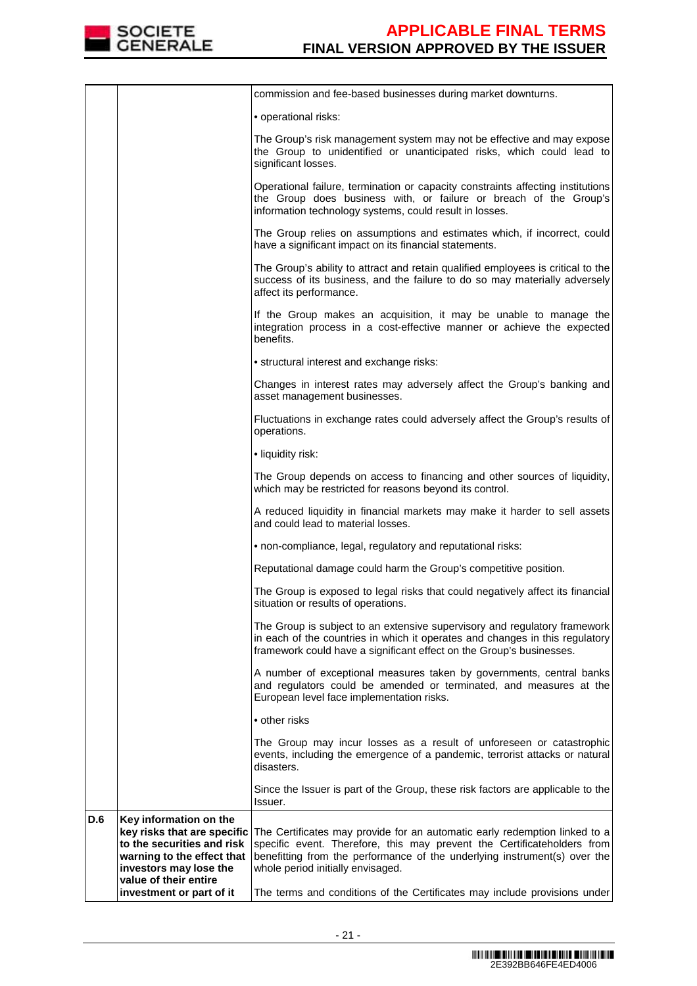

|     |                                                                                                                                                                      | commission and fee-based businesses during market downturns.                                                                                                                                                                                                            |  |
|-----|----------------------------------------------------------------------------------------------------------------------------------------------------------------------|-------------------------------------------------------------------------------------------------------------------------------------------------------------------------------------------------------------------------------------------------------------------------|--|
|     |                                                                                                                                                                      | · operational risks:                                                                                                                                                                                                                                                    |  |
|     |                                                                                                                                                                      | The Group's risk management system may not be effective and may expose<br>the Group to unidentified or unanticipated risks, which could lead to<br>significant losses.                                                                                                  |  |
|     |                                                                                                                                                                      | Operational failure, termination or capacity constraints affecting institutions<br>the Group does business with, or failure or breach of the Group's<br>information technology systems, could result in losses.                                                         |  |
|     |                                                                                                                                                                      | The Group relies on assumptions and estimates which, if incorrect, could<br>have a significant impact on its financial statements.                                                                                                                                      |  |
|     |                                                                                                                                                                      | The Group's ability to attract and retain qualified employees is critical to the<br>success of its business, and the failure to do so may materially adversely<br>affect its performance.                                                                               |  |
|     |                                                                                                                                                                      | If the Group makes an acquisition, it may be unable to manage the<br>integration process in a cost-effective manner or achieve the expected<br>benefits.                                                                                                                |  |
|     |                                                                                                                                                                      | • structural interest and exchange risks:                                                                                                                                                                                                                               |  |
|     |                                                                                                                                                                      | Changes in interest rates may adversely affect the Group's banking and<br>asset management businesses.                                                                                                                                                                  |  |
|     |                                                                                                                                                                      | Fluctuations in exchange rates could adversely affect the Group's results of<br>operations.                                                                                                                                                                             |  |
|     |                                                                                                                                                                      | · liquidity risk:                                                                                                                                                                                                                                                       |  |
|     |                                                                                                                                                                      | The Group depends on access to financing and other sources of liquidity,<br>which may be restricted for reasons beyond its control.                                                                                                                                     |  |
|     |                                                                                                                                                                      | A reduced liquidity in financial markets may make it harder to sell assets<br>and could lead to material losses.                                                                                                                                                        |  |
|     |                                                                                                                                                                      | • non-compliance, legal, regulatory and reputational risks:                                                                                                                                                                                                             |  |
|     |                                                                                                                                                                      | Reputational damage could harm the Group's competitive position.                                                                                                                                                                                                        |  |
|     |                                                                                                                                                                      | The Group is exposed to legal risks that could negatively affect its financial<br>situation or results of operations.                                                                                                                                                   |  |
|     |                                                                                                                                                                      | The Group is subject to an extensive supervisory and regulatory framework<br>in each of the countries in which it operates and changes in this regulatory<br>framework could have a significant effect on the Group's businesses.                                       |  |
|     |                                                                                                                                                                      | A number of exceptional measures taken by governments, central banks<br>and regulators could be amended or terminated, and measures at the<br>European level face implementation risks.                                                                                 |  |
|     |                                                                                                                                                                      | • other risks                                                                                                                                                                                                                                                           |  |
|     |                                                                                                                                                                      | The Group may incur losses as a result of unforeseen or catastrophic<br>events, including the emergence of a pandemic, terrorist attacks or natural<br>disasters.                                                                                                       |  |
|     |                                                                                                                                                                      | Since the Issuer is part of the Group, these risk factors are applicable to the<br>Issuer.                                                                                                                                                                              |  |
| D.6 | Key information on the<br>key risks that are specific<br>to the securities and risk<br>warning to the effect that<br>investors may lose the<br>value of their entire | The Certificates may provide for an automatic early redemption linked to a<br>specific event. Therefore, this may prevent the Certificateholders from<br>benefitting from the performance of the underlying instrument(s) over the<br>whole period initially envisaged. |  |
|     | investment or part of it                                                                                                                                             | The terms and conditions of the Certificates may include provisions under                                                                                                                                                                                               |  |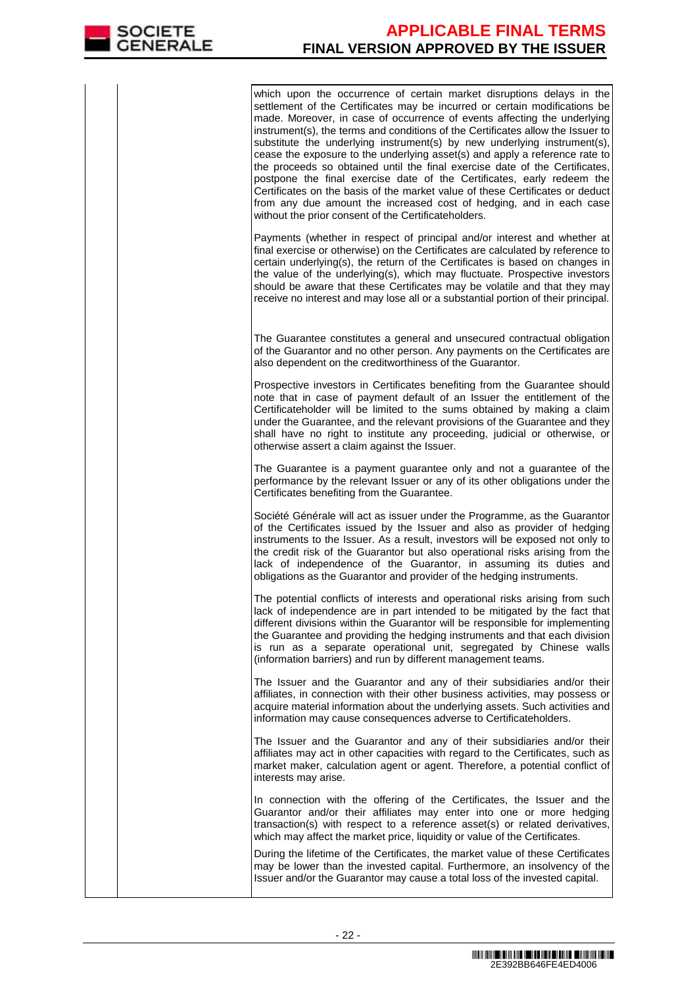which upon the occurrence of certain market disruptions delays in the settlement of the Certificates may be incurred or certain modifications be made. Moreover, in case of occurrence of events affecting the underlying instrument(s), the terms and conditions of the Certificates allow the Issuer to substitute the underlying instrument(s) by new underlying instrument(s), cease the exposure to the underlying asset(s) and apply a reference rate to the proceeds so obtained until the final exercise date of the Certificates, postpone the final exercise date of the Certificates, early redeem the Certificates on the basis of the market value of these Certificates or deduct from any due amount the increased cost of hedging, and in each case without the prior consent of the Certificateholders.

Payments (whether in respect of principal and/or interest and whether at final exercise or otherwise) on the Certificates are calculated by reference to certain underlying(s), the return of the Certificates is based on changes in the value of the underlying(s), which may fluctuate. Prospective investors should be aware that these Certificates may be volatile and that they may receive no interest and may lose all or a substantial portion of their principal.

 The Guarantee constitutes a general and unsecured contractual obligation of the Guarantor and no other person. Any payments on the Certificates are also dependent on the creditworthiness of the Guarantor.

Prospective investors in Certificates benefiting from the Guarantee should note that in case of payment default of an Issuer the entitlement of the Certificateholder will be limited to the sums obtained by making a claim under the Guarantee, and the relevant provisions of the Guarantee and they shall have no right to institute any proceeding, judicial or otherwise, or otherwise assert a claim against the Issuer.

The Guarantee is a payment guarantee only and not a guarantee of the performance by the relevant Issuer or any of its other obligations under the Certificates benefiting from the Guarantee.

Société Générale will act as issuer under the Programme, as the Guarantor of the Certificates issued by the Issuer and also as provider of hedging instruments to the Issuer. As a result, investors will be exposed not only to the credit risk of the Guarantor but also operational risks arising from the lack of independence of the Guarantor, in assuming its duties and obligations as the Guarantor and provider of the hedging instruments.

The potential conflicts of interests and operational risks arising from such lack of independence are in part intended to be mitigated by the fact that different divisions within the Guarantor will be responsible for implementing the Guarantee and providing the hedging instruments and that each division is run as a separate operational unit, segregated by Chinese walls (information barriers) and run by different management teams.

The Issuer and the Guarantor and any of their subsidiaries and/or their affiliates, in connection with their other business activities, may possess or acquire material information about the underlying assets. Such activities and information may cause consequences adverse to Certificateholders.

The Issuer and the Guarantor and any of their subsidiaries and/or their affiliates may act in other capacities with regard to the Certificates, such as market maker, calculation agent or agent. Therefore, a potential conflict of interests may arise.

In connection with the offering of the Certificates, the Issuer and the Guarantor and/or their affiliates may enter into one or more hedging transaction(s) with respect to a reference asset(s) or related derivatives, which may affect the market price, liquidity or value of the Certificates.

 During the lifetime of the Certificates, the market value of these Certificates may be lower than the invested capital. Furthermore, an insolvency of the Issuer and/or the Guarantor may cause a total loss of the invested capital.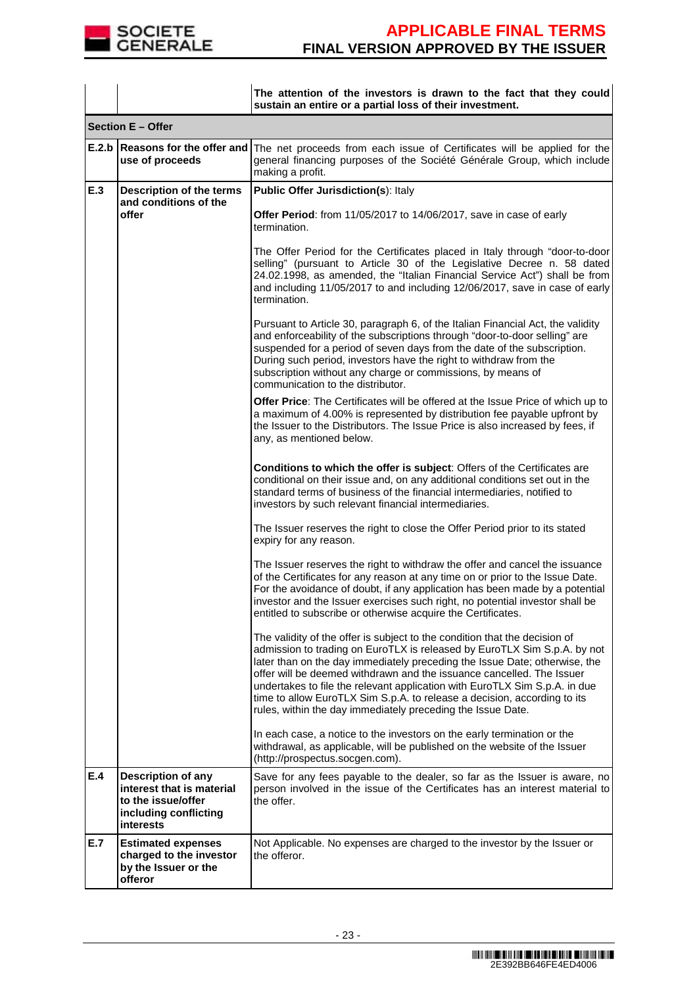

|     |                                                                                                                    | The attention of the investors is drawn to the fact that they could<br>sustain an entire or a partial loss of their investment.                                                                                                                                                                                                                                                                                                                                                                                                        |  |  |  |
|-----|--------------------------------------------------------------------------------------------------------------------|----------------------------------------------------------------------------------------------------------------------------------------------------------------------------------------------------------------------------------------------------------------------------------------------------------------------------------------------------------------------------------------------------------------------------------------------------------------------------------------------------------------------------------------|--|--|--|
|     | <b>Section E - Offer</b>                                                                                           |                                                                                                                                                                                                                                                                                                                                                                                                                                                                                                                                        |  |  |  |
|     | use of proceeds                                                                                                    | E.2.b Reasons for the offer and The net proceeds from each issue of Certificates will be applied for the<br>general financing purposes of the Société Générale Group, which include<br>making a profit.                                                                                                                                                                                                                                                                                                                                |  |  |  |
| E.3 | <b>Description of the terms</b><br>and conditions of the<br>offer                                                  | <b>Public Offer Jurisdiction(s): Italy</b><br>Offer Period: from 11/05/2017 to 14/06/2017, save in case of early<br>termination.                                                                                                                                                                                                                                                                                                                                                                                                       |  |  |  |
|     |                                                                                                                    | The Offer Period for the Certificates placed in Italy through "door-to-door<br>selling" (pursuant to Article 30 of the Legislative Decree n. 58 dated<br>24.02.1998, as amended, the "Italian Financial Service Act") shall be from<br>and including 11/05/2017 to and including 12/06/2017, save in case of early<br>termination.                                                                                                                                                                                                     |  |  |  |
|     |                                                                                                                    | Pursuant to Article 30, paragraph 6, of the Italian Financial Act, the validity<br>and enforceability of the subscriptions through "door-to-door selling" are<br>suspended for a period of seven days from the date of the subscription.<br>During such period, investors have the right to withdraw from the<br>subscription without any charge or commissions, by means of<br>communication to the distributor.                                                                                                                      |  |  |  |
|     |                                                                                                                    | <b>Offer Price:</b> The Certificates will be offered at the Issue Price of which up to<br>a maximum of 4.00% is represented by distribution fee payable upfront by<br>the Issuer to the Distributors. The Issue Price is also increased by fees, if<br>any, as mentioned below.                                                                                                                                                                                                                                                        |  |  |  |
|     |                                                                                                                    | Conditions to which the offer is subject: Offers of the Certificates are<br>conditional on their issue and, on any additional conditions set out in the<br>standard terms of business of the financial intermediaries, notified to<br>investors by such relevant financial intermediaries.                                                                                                                                                                                                                                             |  |  |  |
|     |                                                                                                                    | The Issuer reserves the right to close the Offer Period prior to its stated<br>expiry for any reason.                                                                                                                                                                                                                                                                                                                                                                                                                                  |  |  |  |
|     |                                                                                                                    | The Issuer reserves the right to withdraw the offer and cancel the issuance<br>of the Certificates for any reason at any time on or prior to the Issue Date.<br>For the avoidance of doubt, if any application has been made by a potential<br>investor and the Issuer exercises such right, no potential investor shall be<br>entitled to subscribe or otherwise acquire the Certificates.                                                                                                                                            |  |  |  |
|     |                                                                                                                    | The validity of the offer is subject to the condition that the decision of<br>admission to trading on EuroTLX is released by EuroTLX Sim S.p.A. by not<br>later than on the day immediately preceding the Issue Date; otherwise, the<br>offer will be deemed withdrawn and the issuance cancelled. The Issuer<br>undertakes to file the relevant application with EuroTLX Sim S.p.A. in due<br>time to allow EuroTLX Sim S.p.A. to release a decision, according to its<br>rules, within the day immediately preceding the Issue Date. |  |  |  |
|     |                                                                                                                    | In each case, a notice to the investors on the early termination or the<br>withdrawal, as applicable, will be published on the website of the Issuer<br>(http://prospectus.socgen.com).                                                                                                                                                                                                                                                                                                                                                |  |  |  |
| E.4 | Description of any<br>interest that is material<br>to the issue/offer<br>including conflicting<br><b>interests</b> | Save for any fees payable to the dealer, so far as the Issuer is aware, no<br>person involved in the issue of the Certificates has an interest material to<br>the offer.                                                                                                                                                                                                                                                                                                                                                               |  |  |  |
| E.7 | <b>Estimated expenses</b><br>charged to the investor<br>by the Issuer or the<br>offeror                            | Not Applicable. No expenses are charged to the investor by the Issuer or<br>the offeror.                                                                                                                                                                                                                                                                                                                                                                                                                                               |  |  |  |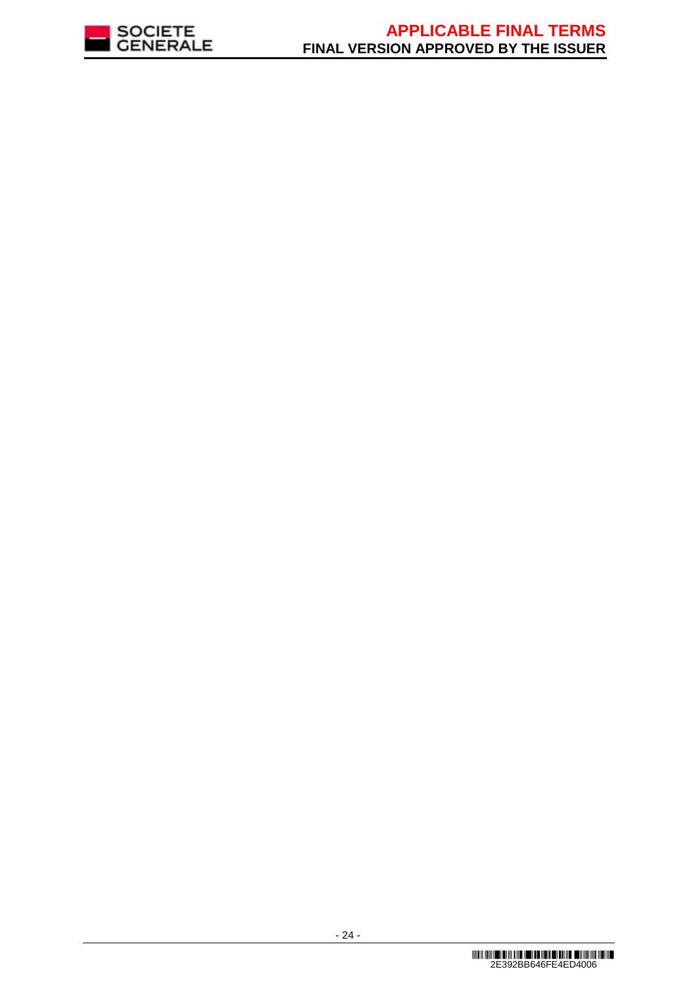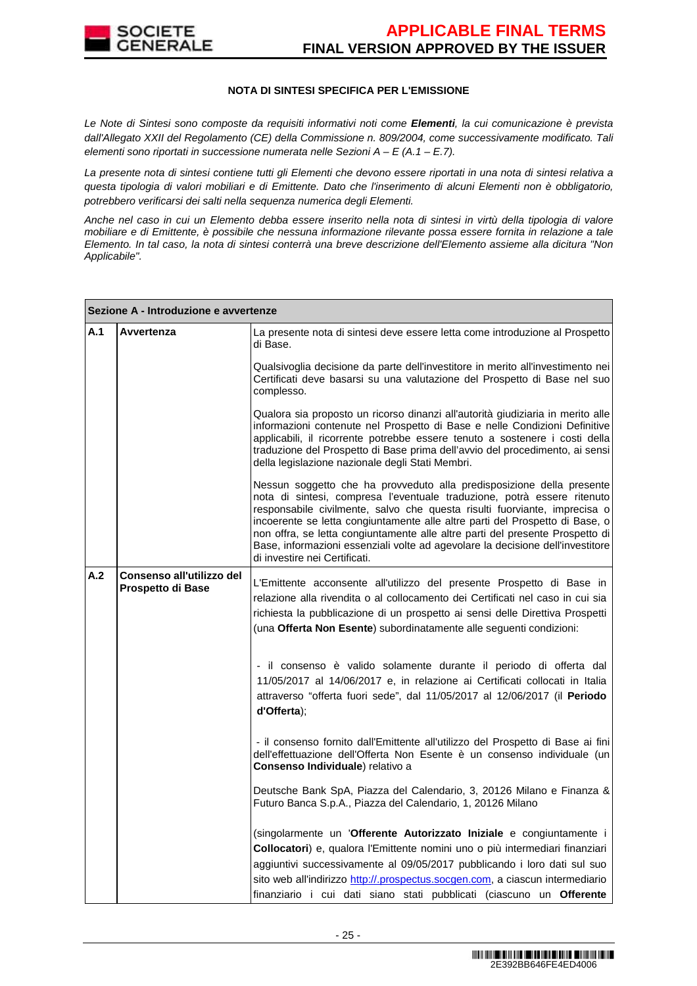

### **NOTA DI SINTESI SPECIFICA PER L'EMISSIONE**

Le Note di Sintesi sono composte da requisiti informativi noti come **Elementi**, la cui comunicazione è prevista dall'Allegato XXII del Regolamento (CE) della Commissione n. 809/2004, come successivamente modificato. Tali elementi sono riportati in successione numerata nelle Sezioni  $A - E(A.1 - E.7)$ .

La presente nota di sintesi contiene tutti gli Elementi che devono essere riportati in una nota di sintesi relativa a questa tipologia di valori mobiliari e di Emittente. Dato che l'inserimento di alcuni Elementi non è obbligatorio, potrebbero verificarsi dei salti nella sequenza numerica degli Elementi.

Anche nel caso in cui un Elemento debba essere inserito nella nota di sintesi in virtù della tipologia di valore mobiliare e di Emittente, è possibile che nessuna informazione rilevante possa essere fornita in relazione a tale Elemento. In tal caso, la nota di sintesi conterrà una breve descrizione dell'Elemento assieme alla dicitura "Non Applicabile".

|     | Sezione A - Introduzione e avvertenze          |                                                                                                                                                                                                                                                                                                                                                                                                                                                                                                                   |  |  |
|-----|------------------------------------------------|-------------------------------------------------------------------------------------------------------------------------------------------------------------------------------------------------------------------------------------------------------------------------------------------------------------------------------------------------------------------------------------------------------------------------------------------------------------------------------------------------------------------|--|--|
| A.1 | Avvertenza                                     | La presente nota di sintesi deve essere letta come introduzione al Prospetto<br>di Base.                                                                                                                                                                                                                                                                                                                                                                                                                          |  |  |
|     |                                                | Qualsivoglia decisione da parte dell'investitore in merito all'investimento nei<br>Certificati deve basarsi su una valutazione del Prospetto di Base nel suo<br>complesso.                                                                                                                                                                                                                                                                                                                                        |  |  |
|     |                                                | Qualora sia proposto un ricorso dinanzi all'autorità giudiziaria in merito alle<br>informazioni contenute nel Prospetto di Base e nelle Condizioni Definitive<br>applicabili, il ricorrente potrebbe essere tenuto a sostenere i costi della<br>traduzione del Prospetto di Base prima dell'avvio del procedimento, ai sensi<br>della legislazione nazionale degli Stati Membri.                                                                                                                                  |  |  |
|     |                                                | Nessun soggetto che ha provveduto alla predisposizione della presente<br>nota di sintesi, compresa l'eventuale traduzione, potrà essere ritenuto<br>responsabile civilmente, salvo che questa risulti fuorviante, imprecisa o<br>incoerente se letta congiuntamente alle altre parti del Prospetto di Base, o<br>non offra, se letta congiuntamente alle altre parti del presente Prospetto di<br>Base, informazioni essenziali volte ad agevolare la decisione dell'investitore<br>di investire nei Certificati. |  |  |
| A.2 | Consenso all'utilizzo del<br>Prospetto di Base | L'Emittente acconsente all'utilizzo del presente Prospetto di Base in<br>relazione alla rivendita o al collocamento dei Certificati nel caso in cui sia<br>richiesta la pubblicazione di un prospetto ai sensi delle Direttiva Prospetti<br>(una Offerta Non Esente) subordinatamente alle seguenti condizioni:                                                                                                                                                                                                   |  |  |
|     |                                                | - il consenso è valido solamente durante il periodo di offerta dal<br>11/05/2017 al 14/06/2017 e, in relazione ai Certificati collocati in Italia<br>attraverso "offerta fuori sede", dal 11/05/2017 al 12/06/2017 (il Periodo<br>d'Offerta);                                                                                                                                                                                                                                                                     |  |  |
|     |                                                | - il consenso fornito dall'Emittente all'utilizzo del Prospetto di Base ai fini<br>dell'effettuazione dell'Offerta Non Esente è un consenso individuale (un<br><b>Consenso Individuale</b> ) relativo a                                                                                                                                                                                                                                                                                                           |  |  |
|     |                                                | Deutsche Bank SpA, Piazza del Calendario, 3, 20126 Milano e Finanza &<br>Futuro Banca S.p.A., Piazza del Calendario, 1, 20126 Milano                                                                                                                                                                                                                                                                                                                                                                              |  |  |
|     |                                                | (singolarmente un 'Offerente Autorizzato Iniziale e congiuntamente i<br>Collocatori) e, qualora l'Emittente nomini uno o più intermediari finanziari<br>aggiuntivi successivamente al 09/05/2017 pubblicando i loro dati sul suo<br>sito web all'indirizzo http://.prospectus.socgen.com, a ciascun intermediario                                                                                                                                                                                                 |  |  |
|     |                                                | finanziario i cui dati siano stati pubblicati (ciascuno un Offerente                                                                                                                                                                                                                                                                                                                                                                                                                                              |  |  |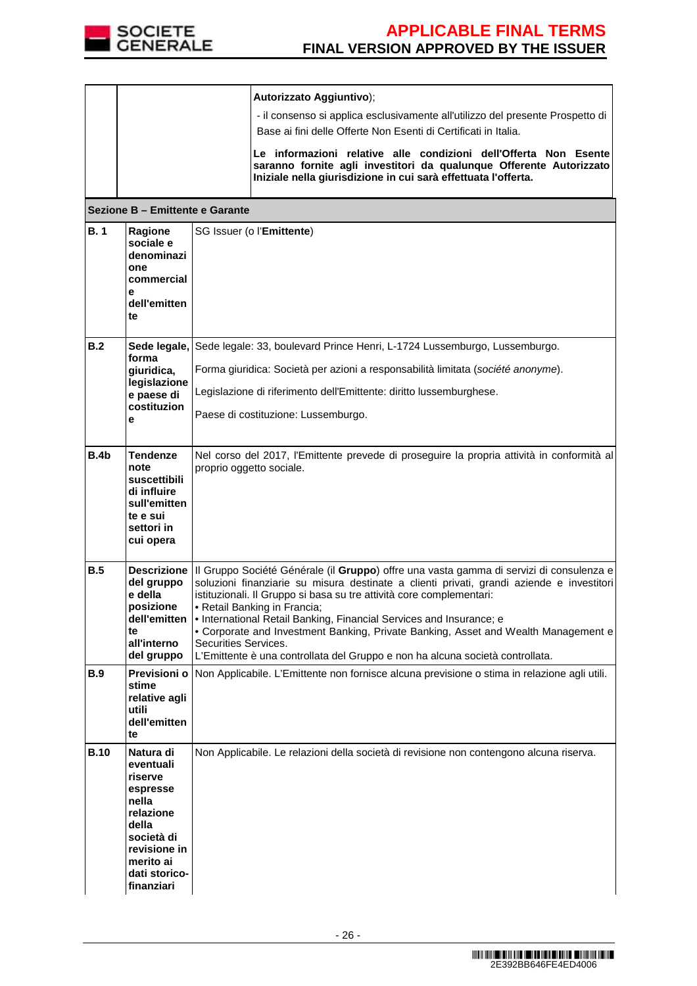

|             |                                                                                                                                                        |                          | Autorizzato Aggiuntivo);<br>- il consenso si applica esclusivamente all'utilizzo del presente Prospetto di<br>Base ai fini delle Offerte Non Esenti di Certificati in Italia.<br>Le informazioni relative alle condizioni dell'Offerta Non Esente<br>saranno fornite agli investitori da qualunque Offerente Autorizzato<br>Iniziale nella giurisdizione in cui sarà effettuata l'offerta.                                                                                                                                                                           |
|-------------|--------------------------------------------------------------------------------------------------------------------------------------------------------|--------------------------|----------------------------------------------------------------------------------------------------------------------------------------------------------------------------------------------------------------------------------------------------------------------------------------------------------------------------------------------------------------------------------------------------------------------------------------------------------------------------------------------------------------------------------------------------------------------|
|             | Sezione B - Emittente e Garante                                                                                                                        |                          |                                                                                                                                                                                                                                                                                                                                                                                                                                                                                                                                                                      |
| <b>B.1</b>  | Ragione<br>sociale e<br>denominazi<br>one<br>commercial<br>е<br>dell'emitten<br>te                                                                     |                          | SG Issuer (o l'Emittente)                                                                                                                                                                                                                                                                                                                                                                                                                                                                                                                                            |
| B.2         | forma                                                                                                                                                  |                          | Sede legale, Sede legale: 33, boulevard Prince Henri, L-1724 Lussemburgo, Lussemburgo.                                                                                                                                                                                                                                                                                                                                                                                                                                                                               |
|             | giuridica,                                                                                                                                             |                          | Forma giuridica: Società per azioni a responsabilità limitata (société anonyme).                                                                                                                                                                                                                                                                                                                                                                                                                                                                                     |
|             | legislazione<br>e paese di                                                                                                                             |                          | Legislazione di riferimento dell'Emittente: diritto lussemburghese.                                                                                                                                                                                                                                                                                                                                                                                                                                                                                                  |
|             | costituzion<br>е                                                                                                                                       |                          | Paese di costituzione: Lussemburgo.                                                                                                                                                                                                                                                                                                                                                                                                                                                                                                                                  |
| B.4b        | Tendenze<br>note<br>suscettibili<br>di influire<br>sull'emitten<br>te e sui<br>settori in<br>cui opera                                                 | proprio oggetto sociale. | Nel corso del 2017, l'Emittente prevede di proseguire la propria attività in conformità al                                                                                                                                                                                                                                                                                                                                                                                                                                                                           |
| <b>B.5</b>  | del gruppo<br>e della<br>nosizione<br>te<br>all'interno<br>del gruppo                                                                                  | Securities Services.     | Descrizione III Gruppo Société Générale (il Gruppo) offre una vasta gamma di servizi di consulenza e<br>soluzioni finanziarie su misura destinate a clienti privati, grandi aziende e investitori<br>istituzionali. Il Gruppo si basa su tre attività core complementari:<br>• Retail Banking in Francia;<br>dell'emitten   International Retail Banking, Financial Services and Insurance; e<br>• Corporate and Investment Banking, Private Banking, Asset and Wealth Management e<br>L'Emittente è una controllata del Gruppo e non ha alcuna società controllata. |
| <b>B.9</b>  | Previsioni o<br>stime<br>relative agli<br>utili<br>dell'emitten<br>te                                                                                  |                          | Non Applicabile. L'Emittente non fornisce alcuna previsione o stima in relazione agli utili.                                                                                                                                                                                                                                                                                                                                                                                                                                                                         |
| <b>B.10</b> | Natura di<br>eventuali<br>riserve<br>espresse<br>nella<br>relazione<br>della<br>società di<br>revisione in<br>merito ai<br>dati storico-<br>finanziari |                          | Non Applicabile. Le relazioni della società di revisione non contengono alcuna riserva.                                                                                                                                                                                                                                                                                                                                                                                                                                                                              |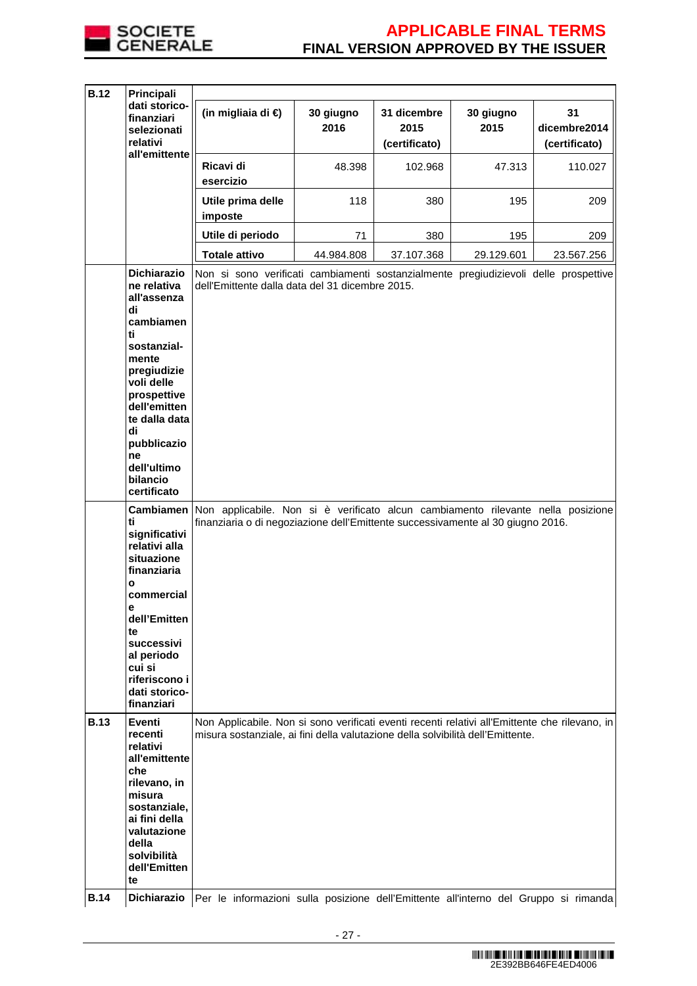

| <b>B.12</b> | Principali                                                                                                                                                                                                                                          |                                                                                                                                                                                   |                   |                                      |                   |                                     |
|-------------|-----------------------------------------------------------------------------------------------------------------------------------------------------------------------------------------------------------------------------------------------------|-----------------------------------------------------------------------------------------------------------------------------------------------------------------------------------|-------------------|--------------------------------------|-------------------|-------------------------------------|
|             | dati storico-<br>finanziari<br>selezionati<br>relativi<br>all'emittente                                                                                                                                                                             | (in migliaia di €)                                                                                                                                                                | 30 giugno<br>2016 | 31 dicembre<br>2015<br>(certificato) | 30 giugno<br>2015 | 31<br>dicembre2014<br>(certificato) |
|             |                                                                                                                                                                                                                                                     | Ricavi di<br>esercizio                                                                                                                                                            | 48.398            | 102.968                              | 47.313            | 110.027                             |
|             |                                                                                                                                                                                                                                                     | Utile prima delle<br>imposte                                                                                                                                                      | 118               | 380                                  | 195               | 209                                 |
|             |                                                                                                                                                                                                                                                     | Utile di periodo                                                                                                                                                                  | 71                | 380                                  | 195               | 209                                 |
|             |                                                                                                                                                                                                                                                     | <b>Totale attivo</b>                                                                                                                                                              | 44.984.808        | 37.107.368                           | 29.129.601        | 23.567.256                          |
|             | <b>Dichiarazio</b><br>ne relativa<br>all'assenza<br>di<br>cambiamen<br>ti<br>sostanzial-<br>mente<br>pregiudizie<br>voli delle<br>prospettive<br>dell'emitten<br>te dalla data<br>di<br>pubblicazio<br>ne<br>dell'ultimo<br>bilancio<br>certificato | Non si sono verificati cambiamenti sostanzialmente pregiudizievoli delle prospettive<br>dell'Emittente dalla data del 31 dicembre 2015.                                           |                   |                                      |                   |                                     |
|             | ti<br>significativi<br>relativi alla<br>situazione<br>finanziaria<br>O                                                                                                                                                                              | Cambiamen Non applicabile. Non si è verificato alcun cambiamento rilevante nella posizione<br>finanziaria o di negoziazione dell'Emittente successivamente al 30 giugno 2016.     |                   |                                      |                   |                                     |
|             | commercial<br>e<br>dell'Emitten<br>te<br>successivi<br>al periodo<br>cui si<br>riferiscono i<br>dati storico-<br>finanziari                                                                                                                         |                                                                                                                                                                                   |                   |                                      |                   |                                     |
| <b>B.13</b> | Eventi<br>recenti<br>relativi<br>all'emittente<br>che<br>rilevano, in<br>misura<br>sostanziale,<br>ai fini della<br>valutazione<br>della<br>solvibilità<br>dell'Emitten<br>te                                                                       | Non Applicabile. Non si sono verificati eventi recenti relativi all'Emittente che rilevano, in<br>misura sostanziale, ai fini della valutazione della solvibilità dell'Emittente. |                   |                                      |                   |                                     |
| <b>B.14</b> | Dichiarazio                                                                                                                                                                                                                                         | Per le informazioni sulla posizione dell'Emittente all'interno del Gruppo si rimanda                                                                                              |                   |                                      |                   |                                     |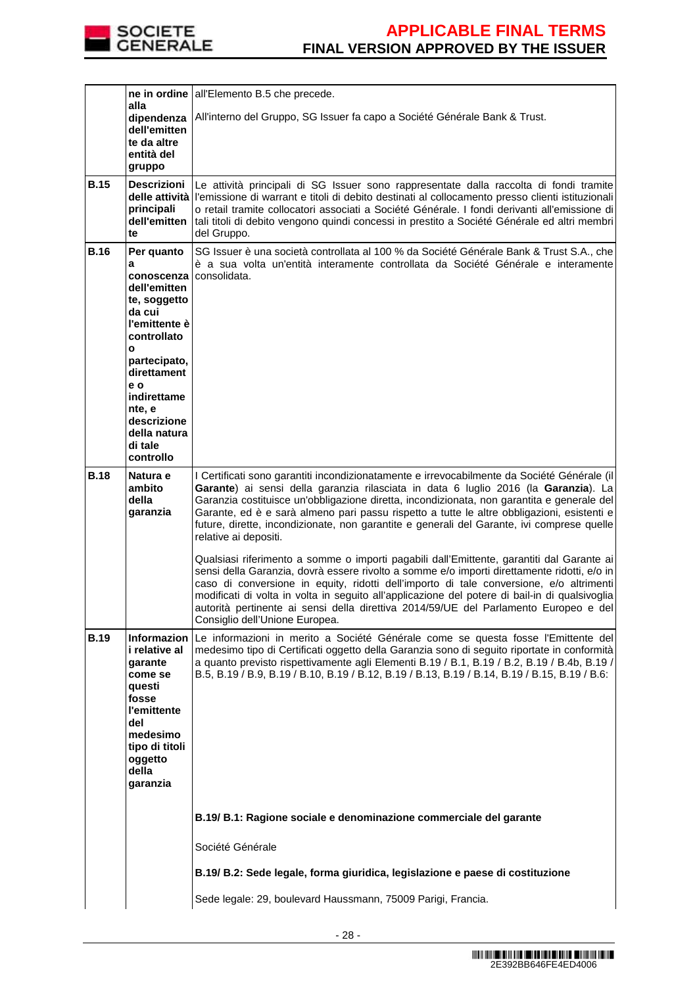

|             | alla                                | ne in ordine all'Elemento B.5 che precede.                                                                                                                                                                       |
|-------------|-------------------------------------|------------------------------------------------------------------------------------------------------------------------------------------------------------------------------------------------------------------|
|             | dipendenza                          | All'interno del Gruppo, SG Issuer fa capo a Société Générale Bank & Trust.                                                                                                                                       |
|             | dell'emitten<br>te da altre         |                                                                                                                                                                                                                  |
|             | entità del                          |                                                                                                                                                                                                                  |
|             | gruppo                              |                                                                                                                                                                                                                  |
| <b>B.15</b> | Descrizioni                         | Le attività principali di SG Issuer sono rappresentate dalla raccolta di fondi tramite                                                                                                                           |
|             | principali                          | delle attività l'emissione di warrant e titoli di debito destinati al collocamento presso clienti istituzionali<br>o retail tramite collocatori associati a Société Générale. I fondi derivanti all'emissione di |
|             | dell'emitten                        | tali titoli di debito vengono quindi concessi in prestito a Société Générale ed altri membri                                                                                                                     |
|             | te                                  | del Gruppo.                                                                                                                                                                                                      |
| <b>B.16</b> | Per quanto<br>a                     | SG Issuer è una società controllata al 100 % da Société Générale Bank & Trust S.A., che<br>è a sua volta un'entità interamente controllata da Société Générale e interamente                                     |
|             | conoscenza                          | consolidata.                                                                                                                                                                                                     |
|             | dell'emitten<br>te, soggetto        |                                                                                                                                                                                                                  |
|             | da cui                              |                                                                                                                                                                                                                  |
|             | l'emittente è<br>controllato        |                                                                                                                                                                                                                  |
|             | $\mathbf{o}$                        |                                                                                                                                                                                                                  |
|             | partecipato,<br>direttament         |                                                                                                                                                                                                                  |
|             | e o                                 |                                                                                                                                                                                                                  |
|             | indirettame<br>nte, e               |                                                                                                                                                                                                                  |
|             | descrizione                         |                                                                                                                                                                                                                  |
|             | della natura<br>di tale             |                                                                                                                                                                                                                  |
|             | controllo                           |                                                                                                                                                                                                                  |
| <b>B.18</b> | Natura e                            | I Certificati sono garantiti incondizionatamente e irrevocabilmente da Société Générale (il                                                                                                                      |
|             | ambito<br>della                     | Garante) ai sensi della garanzia rilasciata in data 6 luglio 2016 (la Garanzia). La<br>Garanzia costituisce un'obbligazione diretta, incondizionata, non garantita e generale del                                |
|             | garanzia                            | Garante, ed è e sarà almeno pari passu rispetto a tutte le altre obbligazioni, esistenti e                                                                                                                       |
|             |                                     | future, dirette, incondizionate, non garantite e generali del Garante, ivi comprese quelle<br>relative ai depositi.                                                                                              |
|             |                                     | Qualsiasi riferimento a somme o importi pagabili dall'Emittente, garantiti dal Garante ai                                                                                                                        |
|             |                                     | sensi della Garanzia, dovrà essere rivolto a somme e/o importi direttamente ridotti, e/o in                                                                                                                      |
|             |                                     | caso di conversione in equity, ridotti dell'importo di tale conversione, e/o altrimenti<br>modificati di volta in volta in seguito all'applicazione del potere di bail-in di qualsivoglia                        |
|             |                                     | autorità pertinente ai sensi della direttiva 2014/59/UE del Parlamento Europeo e del                                                                                                                             |
|             |                                     | Consiglio dell'Unione Europea.                                                                                                                                                                                   |
| <b>B.19</b> | <b>Informazion</b><br>i relative al | Le informazioni in merito a Société Générale come se questa fosse l'Emittente del<br>medesimo tipo di Certificati oggetto della Garanzia sono di seguito riportate in conformità                                 |
|             | garante                             | a quanto previsto rispettivamente agli Elementi B.19 / B.1, B.19 / B.2, B.19 / B.4b, B.19 /                                                                                                                      |
|             | come se<br>questi                   | B.5, B.19 / B.9, B.19 / B.10, B.19 / B.12, B.19 / B.13, B.19 / B.14, B.19 / B.15, B.19 / B.6:                                                                                                                    |
|             | fosse                               |                                                                                                                                                                                                                  |
|             | l'emittente<br>del                  |                                                                                                                                                                                                                  |
|             | medesimo                            |                                                                                                                                                                                                                  |
|             | tipo di titoli<br>oggetto           |                                                                                                                                                                                                                  |
|             | della                               |                                                                                                                                                                                                                  |
|             | garanzia                            |                                                                                                                                                                                                                  |
|             |                                     | B.19/ B.1: Ragione sociale e denominazione commerciale del garante                                                                                                                                               |
|             |                                     | Société Générale                                                                                                                                                                                                 |
|             |                                     | B.19/ B.2: Sede legale, forma giuridica, legislazione e paese di costituzione                                                                                                                                    |
|             |                                     | Sede legale: 29, boulevard Haussmann, 75009 Parigi, Francia.                                                                                                                                                     |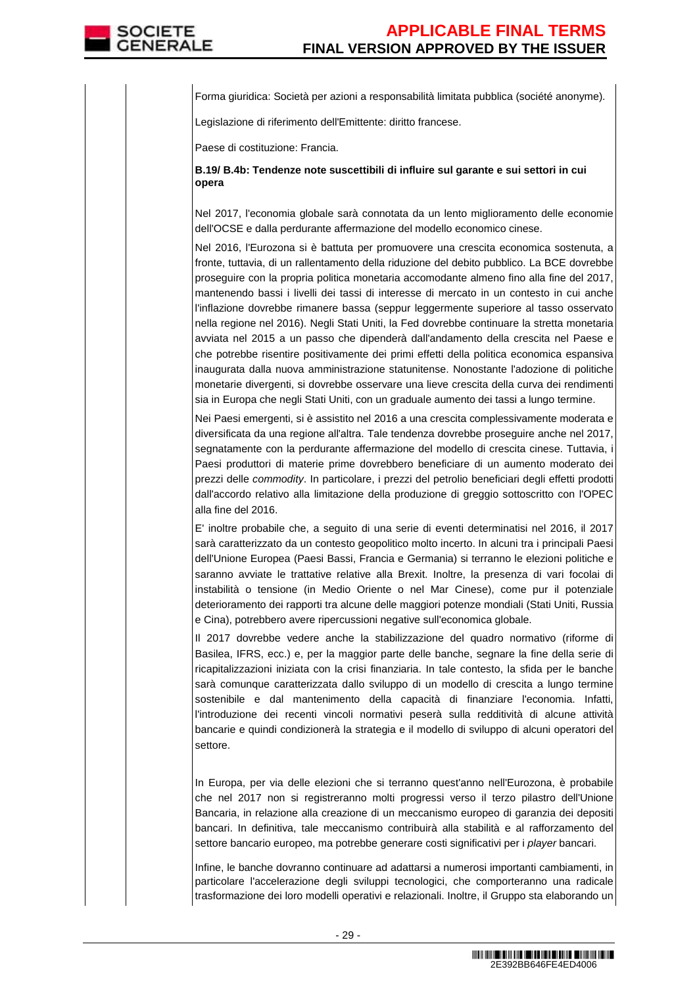Forma giuridica: Società per azioni a responsabilità limitata pubblica (société anonyme).

Legislazione di riferimento dell'Emittente: diritto francese.

Paese di costituzione: Francia.

# **B.19/ B.4b: Tendenze note suscettibili di influire sul garante e sui settori in cui opera**

Nel 2017, l'economia globale sarà connotata da un lento miglioramento delle economie dell'OCSE e dalla perdurante affermazione del modello economico cinese.

Nel 2016, l'Eurozona si è battuta per promuovere una crescita economica sostenuta, a fronte, tuttavia, di un rallentamento della riduzione del debito pubblico. La BCE dovrebbe proseguire con la propria politica monetaria accomodante almeno fino alla fine del 2017, mantenendo bassi i livelli dei tassi di interesse di mercato in un contesto in cui anche l'inflazione dovrebbe rimanere bassa (seppur leggermente superiore al tasso osservato nella regione nel 2016). Negli Stati Uniti, la Fed dovrebbe continuare la stretta monetaria avviata nel 2015 a un passo che dipenderà dall'andamento della crescita nel Paese e che potrebbe risentire positivamente dei primi effetti della politica economica espansiva inaugurata dalla nuova amministrazione statunitense. Nonostante l'adozione di politiche monetarie divergenti, si dovrebbe osservare una lieve crescita della curva dei rendimenti sia in Europa che negli Stati Uniti, con un graduale aumento dei tassi a lungo termine.

Nei Paesi emergenti, si è assistito nel 2016 a una crescita complessivamente moderata e diversificata da una regione all'altra. Tale tendenza dovrebbe proseguire anche nel 2017, segnatamente con la perdurante affermazione del modello di crescita cinese. Tuttavia, i Paesi produttori di materie prime dovrebbero beneficiare di un aumento moderato dei prezzi delle commodity. In particolare, i prezzi del petrolio beneficiari degli effetti prodotti dall'accordo relativo alla limitazione della produzione di greggio sottoscritto con l'OPEC alla fine del 2016.

E' inoltre probabile che, a seguito di una serie di eventi determinatisi nel 2016, il 2017 sarà caratterizzato da un contesto geopolitico molto incerto. In alcuni tra i principali Paesi dell'Unione Europea (Paesi Bassi, Francia e Germania) si terranno le elezioni politiche e saranno avviate le trattative relative alla Brexit. Inoltre, la presenza di vari focolai di instabilità o tensione (in Medio Oriente o nel Mar Cinese), come pur il potenziale deterioramento dei rapporti tra alcune delle maggiori potenze mondiali (Stati Uniti, Russia e Cina), potrebbero avere ripercussioni negative sull'economica globale.

Il 2017 dovrebbe vedere anche la stabilizzazione del quadro normativo (riforme di Basilea, IFRS, ecc.) e, per la maggior parte delle banche, segnare la fine della serie di ricapitalizzazioni iniziata con la crisi finanziaria. In tale contesto, la sfida per le banche sarà comunque caratterizzata dallo sviluppo di un modello di crescita a lungo termine sostenibile e dal mantenimento della capacità di finanziare l'economia. Infatti, l'introduzione dei recenti vincoli normativi peserà sulla redditività di alcune attività bancarie e quindi condizionerà la strategia e il modello di sviluppo di alcuni operatori del settore.

In Europa, per via delle elezioni che si terranno quest'anno nell'Eurozona, è probabile che nel 2017 non si registreranno molti progressi verso il terzo pilastro dell'Unione Bancaria, in relazione alla creazione di un meccanismo europeo di garanzia dei depositi bancari. In definitiva, tale meccanismo contribuirà alla stabilità e al rafforzamento del settore bancario europeo, ma potrebbe generare costi significativi per i *player* bancari.

Infine, le banche dovranno continuare ad adattarsi a numerosi importanti cambiamenti, in particolare l'accelerazione degli sviluppi tecnologici, che comporteranno una radicale trasformazione dei loro modelli operativi e relazionali. Inoltre, il Gruppo sta elaborando un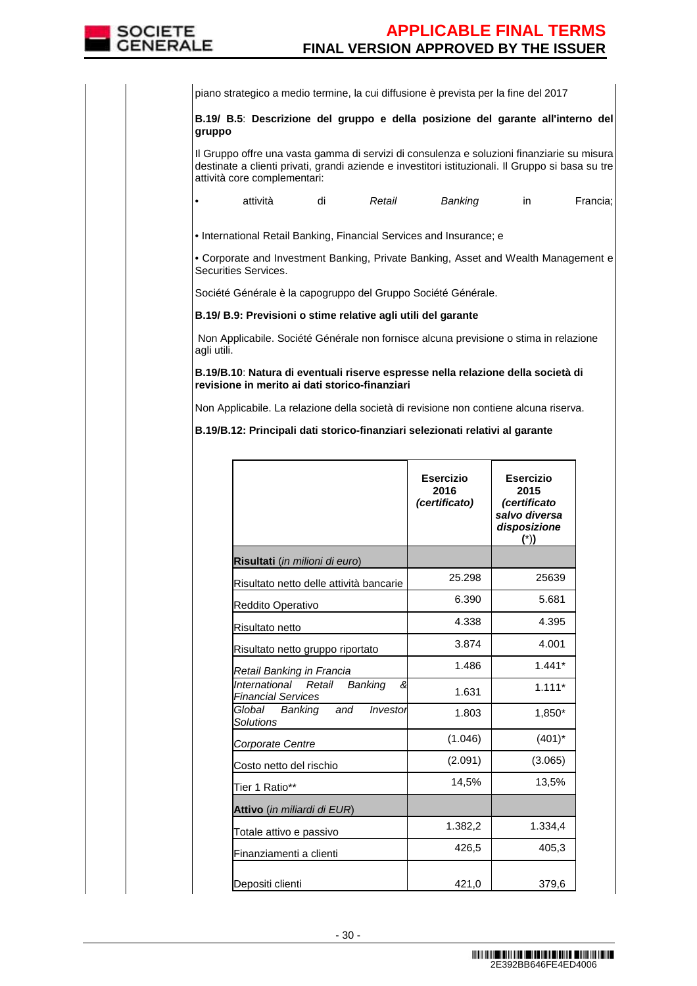

piano strategico a medio termine, la cui diffusione è prevista per la fine del 2017

**B.19/ B.5**: **Descrizione del gruppo e della posizione del garante all'interno del gruppo**

Il Gruppo offre una vasta gamma di servizi di consulenza e soluzioni finanziarie su misura destinate a clienti privati, grandi aziende e investitori istituzionali. Il Gruppo si basa su tre attività core complementari:

• attività di Retail Banking in Francia;

• International Retail Banking, Financial Services and Insurance; e

• Corporate and Investment Banking, Private Banking, Asset and Wealth Management e Securities Services.

Société Générale è la capogruppo del Gruppo Société Générale.

**B.19/ B.9: Previsioni o stime relative agli utili del garante** 

 Non Applicabile. Société Générale non fornisce alcuna previsione o stima in relazione agli utili.

**B.19/B.10**: **Natura di eventuali riserve espresse nella relazione della società di revisione in merito ai dati storico-finanziari**

Non Applicabile. La relazione della società di revisione non contiene alcuna riserva.

**B.19/B.12: Principali dati storico-finanziari selezionati relativi al garante** 

|                                                                      | <b>Esercizio</b><br>2016<br>(certificato) | <b>Esercizio</b><br>2015<br>(certificato<br>salvo diversa<br>disposizione<br>(*) |
|----------------------------------------------------------------------|-------------------------------------------|----------------------------------------------------------------------------------|
| Risultati (in milioni di euro)                                       |                                           |                                                                                  |
| Risultato netto delle attività bancarie                              | 25.298                                    | 25639                                                                            |
| Reddito Operativo                                                    | 6.390                                     | 5.681                                                                            |
| Risultato netto                                                      | 4.338                                     | 4.395                                                                            |
| Risultato netto gruppo riportato                                     | 3.874                                     | 4.001                                                                            |
| Retail Banking in Francia                                            | 1.486                                     | $1.441*$                                                                         |
| International<br>Retail<br>Banking<br>&<br><b>Financial Services</b> | 1.631                                     | $1.111*$                                                                         |
| Global<br>Banking<br>Investor<br>and<br>Solutions                    | 1.803                                     | 1,850*                                                                           |
| Corporate Centre                                                     | (1.046)                                   | $(401)^*$                                                                        |
| Costo netto del rischio                                              | (2.091)                                   | (3.065)                                                                          |
| Tier 1 Ratio**                                                       | 14,5%                                     | 13,5%                                                                            |
| Attivo (in miliardi di EUR)                                          |                                           |                                                                                  |
| Totale attivo e passivo                                              | 1.382,2                                   | 1.334,4                                                                          |
| Finanziamenti a clienti                                              | 426,5                                     | 405,3                                                                            |
| Depositi clienti                                                     | 421,0                                     | 379,6                                                                            |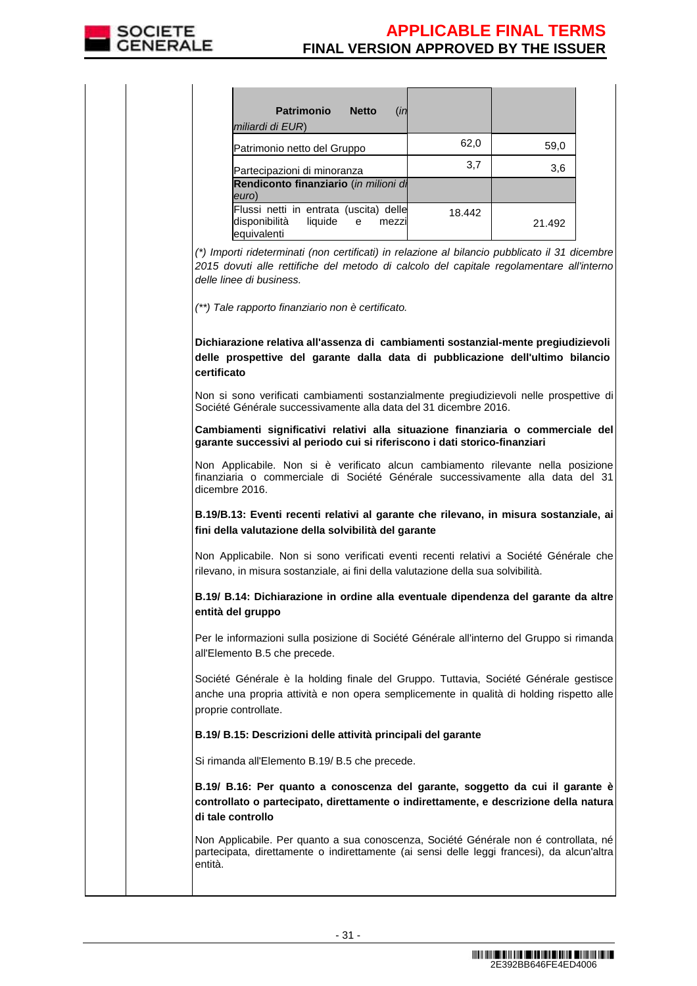

| <b>Patrimonio</b><br><b>Netto</b><br>(in<br>miliardi di EUR)                                                                                                                                                           |        |        |  |
|------------------------------------------------------------------------------------------------------------------------------------------------------------------------------------------------------------------------|--------|--------|--|
| Patrimonio netto del Gruppo                                                                                                                                                                                            | 62,0   | 59,0   |  |
| Partecipazioni di minoranza                                                                                                                                                                                            | 3,7    | 3,6    |  |
| Rendiconto finanziario (in milioni di<br>euro)                                                                                                                                                                         |        |        |  |
| Flussi netti in entrata (uscita) delle<br>disponibilità<br>liquide<br>e<br>mezzi<br>equivalenti                                                                                                                        | 18.442 | 21.492 |  |
| (*) Importi rideterminati (non certificati) in relazione al bilancio pubblicato il 31 dicembre<br>2015 dovuti alle rettifiche del metodo di calcolo del capitale regolamentare all'interno<br>delle linee di business. |        |        |  |
| (**) Tale rapporto finanziario non è certificato.                                                                                                                                                                      |        |        |  |
| Dichiarazione relativa all'assenza di cambiamenti sostanzial-mente pregiudizievoli<br>delle prospettive del garante dalla data di pubblicazione dell'ultimo bilancio<br>certificato                                    |        |        |  |
| Non si sono verificati cambiamenti sostanzialmente pregiudizievoli nelle prospettive di<br>Société Générale successivamente alla data del 31 dicembre 2016.                                                            |        |        |  |
| Cambiamenti significativi relativi alla situazione finanziaria o commerciale del<br>garante successivi al periodo cui si riferiscono i dati storico-finanziari                                                         |        |        |  |
| Non Applicabile. Non si è verificato alcun cambiamento rilevante nella posizione<br>finanziaria o commerciale di Société Générale successivamente alla data del 31<br>dicembre 2016.                                   |        |        |  |
| B.19/B.13: Eventi recenti relativi al garante che rilevano, in misura sostanziale, ai<br>fini della valutazione della solvibilità del garante                                                                          |        |        |  |
| Non Applicabile. Non si sono verificati eventi recenti relativi a Société Générale che<br>rilevano, in misura sostanziale, ai fini della valutazione della sua solvibilità.                                            |        |        |  |
| B.19/ B.14: Dichiarazione in ordine alla eventuale dipendenza del garante da altre<br>entità del gruppo                                                                                                                |        |        |  |
| Per le informazioni sulla posizione di Société Générale all'interno del Gruppo si rimanda<br>all'Elemento B.5 che precede.                                                                                             |        |        |  |
| Société Générale è la holding finale del Gruppo. Tuttavia, Société Générale gestisce<br>anche una propria attività e non opera semplicemente in qualità di holding rispetto alle<br>proprie controllate.               |        |        |  |
| B.19/ B.15: Descrizioni delle attività principali del garante                                                                                                                                                          |        |        |  |
| Si rimanda all'Elemento B.19/ B.5 che precede.                                                                                                                                                                         |        |        |  |
| B.19/ B.16: Per quanto a conoscenza del garante, soggetto da cui il garante è<br>controllato o partecipato, direttamente o indirettamente, e descrizione della natura<br>di tale controllo                             |        |        |  |
| Non Applicabile. Per quanto a sua conoscenza, Société Générale non é controllata, né<br>partecipata, direttamente o indirettamente (ai sensi delle leggi francesi), da alcun'altra<br>entità.                          |        |        |  |
|                                                                                                                                                                                                                        |        |        |  |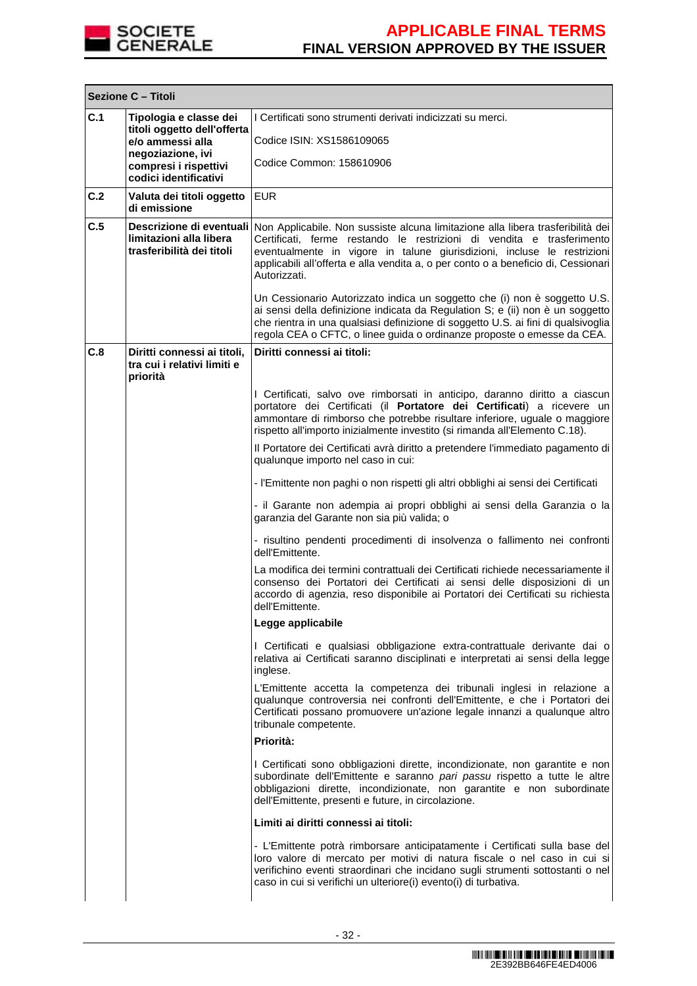

|     | Sezione C - Titoli                                                     |                                                                                                                                                                                                                                                                                                                                                                      |  |  |
|-----|------------------------------------------------------------------------|----------------------------------------------------------------------------------------------------------------------------------------------------------------------------------------------------------------------------------------------------------------------------------------------------------------------------------------------------------------------|--|--|
| C.1 | Tipologia e classe dei<br>titoli oggetto dell'offerta                  | I Certificati sono strumenti derivati indicizzati su merci.                                                                                                                                                                                                                                                                                                          |  |  |
|     | e/o ammessi alla<br>negoziazione, ivi                                  | Codice ISIN: XS1586109065                                                                                                                                                                                                                                                                                                                                            |  |  |
|     | compresi i rispettivi<br>codici identificativi                         | Codice Common: 158610906                                                                                                                                                                                                                                                                                                                                             |  |  |
| C.2 | Valuta dei titoli oggetto<br>di emissione                              | EUR                                                                                                                                                                                                                                                                                                                                                                  |  |  |
| C.5 | limitazioni alla libera<br>trasferibilità dei titoli                   | Descrizione di eventuali   Non Applicabile. Non sussiste alcuna limitazione alla libera trasferibilità dei<br>Certificati, ferme restando le restrizioni di vendita e trasferimento<br>eventualmente in vigore in talune giurisdizioni, incluse le restrizioni<br>applicabili all'offerta e alla vendita a, o per conto o a beneficio di, Cessionari<br>Autorizzati. |  |  |
|     |                                                                        | Un Cessionario Autorizzato indica un soggetto che (i) non è soggetto U.S.<br>ai sensi della definizione indicata da Regulation S; e (ii) non è un soggetto<br>che rientra in una qualsiasi definizione di soggetto U.S. ai fini di qualsivoglia<br>regola CEA o CFTC, o linee guida o ordinanze proposte o emesse da CEA.                                            |  |  |
| C.8 | Diritti connessi ai titoli,<br>tra cui i relativi limiti e<br>priorità | Diritti connessi ai titoli:                                                                                                                                                                                                                                                                                                                                          |  |  |
|     |                                                                        | I Certificati, salvo ove rimborsati in anticipo, daranno diritto a ciascun<br>portatore dei Certificati (il Portatore dei Certificati) a ricevere un<br>ammontare di rimborso che potrebbe risultare inferiore, uguale o maggiore<br>rispetto all'importo inizialmente investito (si rimanda all'Elemento C.18).                                                     |  |  |
|     |                                                                        | Il Portatore dei Certificati avrà diritto a pretendere l'immediato pagamento di<br>qualunque importo nel caso in cui:                                                                                                                                                                                                                                                |  |  |
|     |                                                                        | - l'Emittente non paghi o non rispetti gli altri obblighi ai sensi dei Certificati                                                                                                                                                                                                                                                                                   |  |  |
|     |                                                                        | - il Garante non adempia ai propri obblighi ai sensi della Garanzia o la<br>garanzia del Garante non sia più valida; o                                                                                                                                                                                                                                               |  |  |
|     |                                                                        | - risultino pendenti procedimenti di insolvenza o fallimento nei confronti<br>dell'Emittente.                                                                                                                                                                                                                                                                        |  |  |
|     |                                                                        | La modifica dei termini contrattuali dei Certificati richiede necessariamente il<br>consenso dei Portatori dei Certificati ai sensi delle disposizioni di un<br>accordo di agenzia, reso disponibile ai Portatori dei Certificati su richiesta<br>dell'Emittente.                                                                                                    |  |  |
|     |                                                                        | Legge applicabile                                                                                                                                                                                                                                                                                                                                                    |  |  |
|     |                                                                        | I Certificati e qualsiasi obbligazione extra-contrattuale derivante dai o<br>relativa ai Certificati saranno disciplinati e interpretati ai sensi della legge<br>inglese.                                                                                                                                                                                            |  |  |
|     |                                                                        | L'Emittente accetta la competenza dei tribunali inglesi in relazione a<br>qualunque controversia nei confronti dell'Emittente, e che i Portatori dei<br>Certificati possano promuovere un'azione legale innanzi a qualunque altro<br>tribunale competente.                                                                                                           |  |  |
|     |                                                                        | Priorità:                                                                                                                                                                                                                                                                                                                                                            |  |  |
|     |                                                                        | I Certificati sono obbligazioni dirette, incondizionate, non garantite e non<br>subordinate dell'Emittente e saranno pari passu rispetto a tutte le altre<br>obbligazioni dirette, incondizionate, non garantite e non subordinate<br>dell'Emittente, presenti e future, in circolazione.                                                                            |  |  |
|     |                                                                        | Limiti ai diritti connessi ai titoli:                                                                                                                                                                                                                                                                                                                                |  |  |
|     |                                                                        | - L'Emittente potrà rimborsare anticipatamente i Certificati sulla base del<br>loro valore di mercato per motivi di natura fiscale o nel caso in cui si<br>verifichino eventi straordinari che incidano sugli strumenti sottostanti o nel<br>caso in cui si verifichi un ulteriore(i) evento(i) di turbativa.                                                        |  |  |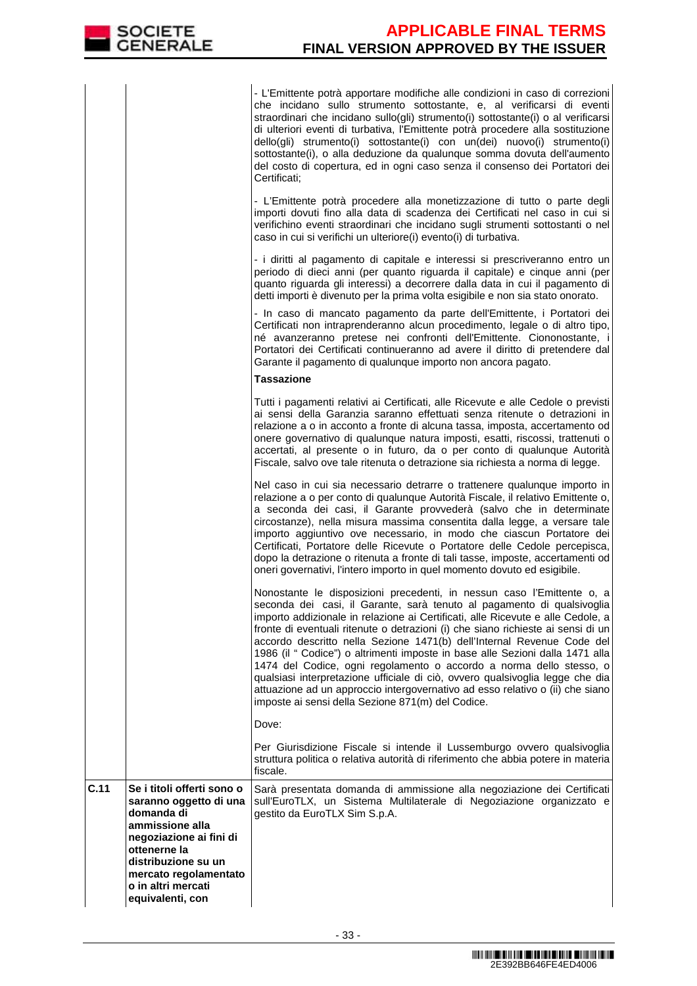| - L'Emittente potrà apportare modifiche alle condizioni in caso di correzioni<br>che incidano sullo strumento sottostante, e, al verificarsi di eventi<br>straordinari che incidano sullo(gli) strumento(i) sottostante(i) o al verificarsi<br>di ulteriori eventi di turbativa, l'Emittente potrà procedere alla sostituzione<br>dello(gli) strumento(i) sottostante(i) con un(dei) nuovo(i) strumento(i)<br>sottostante(i), o alla deduzione da qualunque somma dovuta dell'aumento<br>del costo di copertura, ed in ogni caso senza il consenso dei Portatori dei<br>Certificati;                                                                                                                                                                                             |
|----------------------------------------------------------------------------------------------------------------------------------------------------------------------------------------------------------------------------------------------------------------------------------------------------------------------------------------------------------------------------------------------------------------------------------------------------------------------------------------------------------------------------------------------------------------------------------------------------------------------------------------------------------------------------------------------------------------------------------------------------------------------------------|
| - L'Emittente potrà procedere alla monetizzazione di tutto o parte degli<br>importi dovuti fino alla data di scadenza dei Certificati nel caso in cui si<br>verifichino eventi straordinari che incidano sugli strumenti sottostanti o nel<br>caso in cui si verifichi un ulteriore(i) evento(i) di turbativa.                                                                                                                                                                                                                                                                                                                                                                                                                                                                   |
| - i diritti al pagamento di capitale e interessi si prescriveranno entro un<br>periodo di dieci anni (per quanto riguarda il capitale) e cinque anni (per<br>quanto riguarda gli interessi) a decorrere dalla data in cui il pagamento di<br>detti importi è divenuto per la prima volta esigibile e non sia stato onorato.                                                                                                                                                                                                                                                                                                                                                                                                                                                      |
| - In caso di mancato pagamento da parte dell'Emittente, i Portatori dei<br>Certificati non intraprenderanno alcun procedimento, legale o di altro tipo,<br>né avanzeranno pretese nei confronti dell'Emittente. Ciononostante, i<br>Portatori dei Certificati continueranno ad avere il diritto di pretendere dal<br>Garante il pagamento di qualunque importo non ancora pagato.                                                                                                                                                                                                                                                                                                                                                                                                |
| <b>Tassazione</b>                                                                                                                                                                                                                                                                                                                                                                                                                                                                                                                                                                                                                                                                                                                                                                |
| Tutti i pagamenti relativi ai Certificati, alle Ricevute e alle Cedole o previsti<br>ai sensi della Garanzia saranno effettuati senza ritenute o detrazioni in<br>relazione a o in acconto a fronte di alcuna tassa, imposta, accertamento od<br>onere governativo di qualunque natura imposti, esatti, riscossi, trattenuti o<br>accertati, al presente o in futuro, da o per conto di qualunque Autorità<br>Fiscale, salvo ove tale ritenuta o detrazione sia richiesta a norma di legge.                                                                                                                                                                                                                                                                                      |
| Nel caso in cui sia necessario detrarre o trattenere qualunque importo in<br>relazione a o per conto di qualunque Autorità Fiscale, il relativo Emittente o,<br>a seconda dei casi, il Garante provvederà (salvo che in determinate<br>circostanze), nella misura massima consentita dalla legge, a versare tale<br>importo aggiuntivo ove necessario, in modo che ciascun Portatore dei<br>Certificati, Portatore delle Ricevute o Portatore delle Cedole percepisca,<br>dopo la detrazione o ritenuta a fronte di tali tasse, imposte, accertamenti od<br>oneri governativi, l'intero importo in quel momento dovuto ed esigibile.                                                                                                                                             |
| Nonostante le disposizioni precedenti, in nessun caso l'Emittente o, a<br>seconda dei casi, il Garante, sarà tenuto al pagamento di qualsivoglia<br>importo addizionale in relazione ai Certificati, alle Ricevute e alle Cedole, a<br>fronte di eventuali ritenute o detrazioni (i) che siano richieste ai sensi di un<br>accordo descritto nella Sezione 1471(b) dell'Internal Revenue Code del<br>1986 (il " Codice") o altrimenti imposte in base alle Sezioni dalla 1471 alla<br>1474 del Codice, ogni regolamento o accordo a norma dello stesso, o<br>qualsiasi interpretazione ufficiale di ciò, ovvero qualsivoglia legge che dia<br>attuazione ad un approccio intergovernativo ad esso relativo o (ii) che siano<br>imposte ai sensi della Sezione 871(m) del Codice. |
| Dove:                                                                                                                                                                                                                                                                                                                                                                                                                                                                                                                                                                                                                                                                                                                                                                            |
| Per Giurisdizione Fiscale si intende il Lussemburgo ovvero qualsivoglia<br>struttura politica o relativa autorità di riferimento che abbia potere in materia<br>fiscale.                                                                                                                                                                                                                                                                                                                                                                                                                                                                                                                                                                                                         |
| Sarà presentata domanda di ammissione alla negoziazione dei Certificati<br>sull'EuroTLX, un Sistema Multilaterale di Negoziazione organizzato e<br>gestito da EuroTLX Sim S.p.A.                                                                                                                                                                                                                                                                                                                                                                                                                                                                                                                                                                                                 |
|                                                                                                                                                                                                                                                                                                                                                                                                                                                                                                                                                                                                                                                                                                                                                                                  |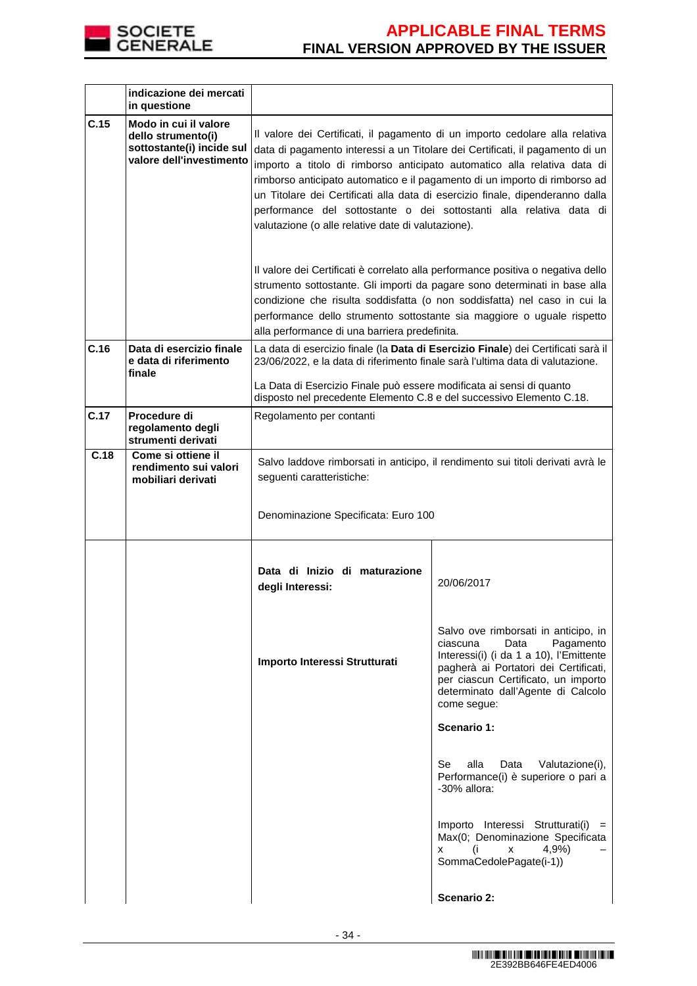

|      | indicazione dei mercati<br>in questione                                                              |                                                                                                                                                                                                                                                                                                                                                                                                                                                                                                                                       |                                                                                                                                                                                                                                                       |  |
|------|------------------------------------------------------------------------------------------------------|---------------------------------------------------------------------------------------------------------------------------------------------------------------------------------------------------------------------------------------------------------------------------------------------------------------------------------------------------------------------------------------------------------------------------------------------------------------------------------------------------------------------------------------|-------------------------------------------------------------------------------------------------------------------------------------------------------------------------------------------------------------------------------------------------------|--|
| C.15 | Modo in cui il valore<br>dello strumento(i)<br>sottostante(i) incide sul<br>valore dell'investimento | Il valore dei Certificati, il pagamento di un importo cedolare alla relativa<br>data di pagamento interessi a un Titolare dei Certificati, il pagamento di un<br>importo a titolo di rimborso anticipato automatico alla relativa data di<br>rimborso anticipato automatico e il pagamento di un importo di rimborso ad<br>un Titolare dei Certificati alla data di esercizio finale, dipenderanno dalla<br>performance del sottostante o dei sottostanti alla relativa data di<br>valutazione (o alle relative date di valutazione). |                                                                                                                                                                                                                                                       |  |
|      |                                                                                                      | Il valore dei Certificati è correlato alla performance positiva o negativa dello<br>strumento sottostante. Gli importi da pagare sono determinati in base alla<br>condizione che risulta soddisfatta (o non soddisfatta) nel caso in cui la<br>performance dello strumento sottostante sia maggiore o uguale rispetto<br>alla performance di una barriera predefinita.                                                                                                                                                                |                                                                                                                                                                                                                                                       |  |
| C.16 | Data di esercizio finale<br>e data di riferimento<br>finale                                          | La data di esercizio finale (la Data di Esercizio Finale) dei Certificati sarà il<br>23/06/2022, e la data di riferimento finale sarà l'ultima data di valutazione.                                                                                                                                                                                                                                                                                                                                                                   |                                                                                                                                                                                                                                                       |  |
|      |                                                                                                      | La Data di Esercizio Finale può essere modificata ai sensi di quanto<br>disposto nel precedente Elemento C.8 e del successivo Elemento C.18.                                                                                                                                                                                                                                                                                                                                                                                          |                                                                                                                                                                                                                                                       |  |
| C.17 | Procedure di<br>regolamento degli<br>strumenti derivati                                              | Regolamento per contanti                                                                                                                                                                                                                                                                                                                                                                                                                                                                                                              |                                                                                                                                                                                                                                                       |  |
| C.18 | Come si ottiene il<br>rendimento sui valori<br>mobiliari derivati                                    | Salvo laddove rimborsati in anticipo, il rendimento sui titoli derivati avrà le<br>seguenti caratteristiche:<br>Denominazione Specificata: Euro 100                                                                                                                                                                                                                                                                                                                                                                                   |                                                                                                                                                                                                                                                       |  |
|      |                                                                                                      | Data di Inizio di maturazione<br>degli Interessi:                                                                                                                                                                                                                                                                                                                                                                                                                                                                                     | 20/06/2017                                                                                                                                                                                                                                            |  |
|      |                                                                                                      | Importo Interessi Strutturati                                                                                                                                                                                                                                                                                                                                                                                                                                                                                                         | Salvo ove rimborsati in anticipo, in<br>ciascuna<br>Data<br>Pagamento<br>Interessi(i) (i da 1 a 10), l'Emittente<br>pagherà ai Portatori dei Certificati,<br>per ciascun Certificato, un importo<br>determinato dall'Agente di Calcolo<br>come segue: |  |
|      |                                                                                                      |                                                                                                                                                                                                                                                                                                                                                                                                                                                                                                                                       | Scenario 1:                                                                                                                                                                                                                                           |  |
|      |                                                                                                      |                                                                                                                                                                                                                                                                                                                                                                                                                                                                                                                                       | alla<br>Se<br>Data<br>Valutazione(i),<br>Performance(i) è superiore o pari a<br>-30% allora:                                                                                                                                                          |  |
|      |                                                                                                      |                                                                                                                                                                                                                                                                                                                                                                                                                                                                                                                                       | Importo Interessi Strutturati(i)<br>Max(0; Denominazione Specificata<br>4,9%)<br>(i<br>x<br>x<br>SommaCedolePagate(i-1))                                                                                                                              |  |
|      |                                                                                                      |                                                                                                                                                                                                                                                                                                                                                                                                                                                                                                                                       | Scenario 2:                                                                                                                                                                                                                                           |  |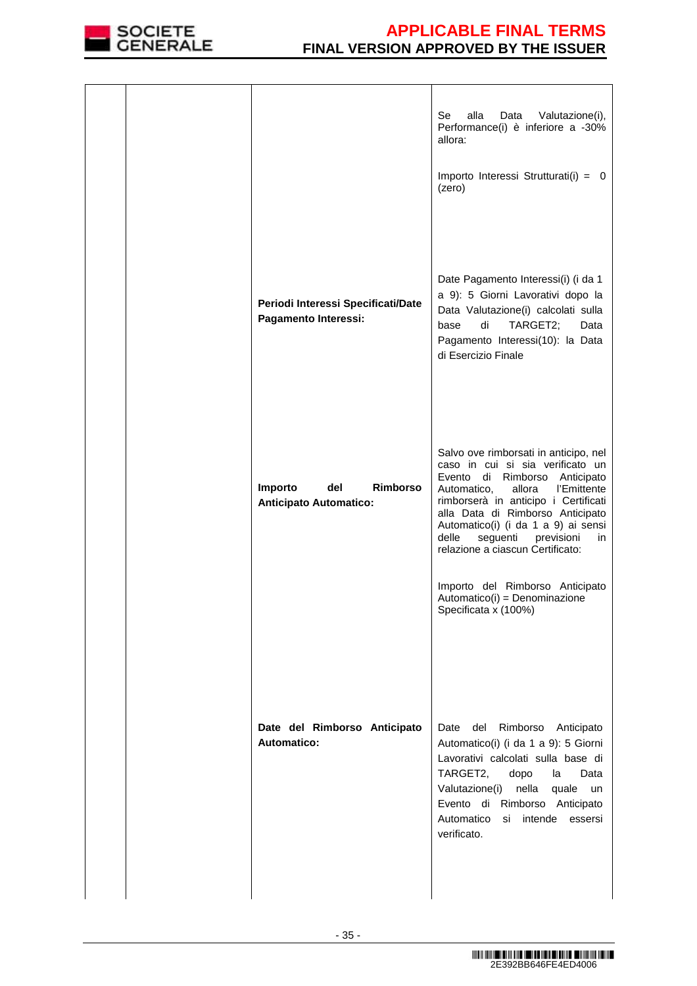

|                                                                    | alla<br>Se<br>Data<br>Valutazione(i),<br>Performance(i) è inferiore a -30%<br>allora:<br>Importo Interessi Strutturati(i) = 0<br>(zero)                                                                                                                                                                                                                                                                                                           |
|--------------------------------------------------------------------|---------------------------------------------------------------------------------------------------------------------------------------------------------------------------------------------------------------------------------------------------------------------------------------------------------------------------------------------------------------------------------------------------------------------------------------------------|
| Periodi Interessi Specificati/Date<br>Pagamento Interessi:         | Date Pagamento Interessi(i) (i da 1<br>a 9): 5 Giorni Lavorativi dopo la<br>Data Valutazione(i) calcolati sulla<br>di<br>TARGET2;<br>base<br>Data<br>Pagamento Interessi(10): la Data<br>di Esercizio Finale                                                                                                                                                                                                                                      |
| Importo<br><b>Rimborso</b><br>del<br><b>Anticipato Automatico:</b> | Salvo ove rimborsati in anticipo, nel<br>caso in cui si sia verificato un<br>Evento<br>di Rimborso Anticipato<br>l'Emittente<br>Automatico,<br>allora<br>rimborserà in anticipo i Certificati<br>alla Data di Rimborso Anticipato<br>Automatico(i) (i da 1 a 9) ai sensi<br>delle<br>seguenti<br>previsioni<br>in<br>relazione a ciascun Certificato:<br>Importo del Rimborso Anticipato<br>Automatico(i) = Denominazione<br>Specificata x (100%) |
| Date del Rimborso Anticipato<br>Automatico:                        | Date<br>del<br>Rimborso Anticipato<br>Automatico(i) (i da 1 a 9): 5 Giorni<br>Lavorativi calcolati sulla base di<br>TARGET2,<br>dopo<br>la<br>Data<br>Valutazione(i) nella quale<br>un<br>Evento di Rimborso Anticipato<br>Automatico<br>si intende<br>essersi<br>verificato.                                                                                                                                                                     |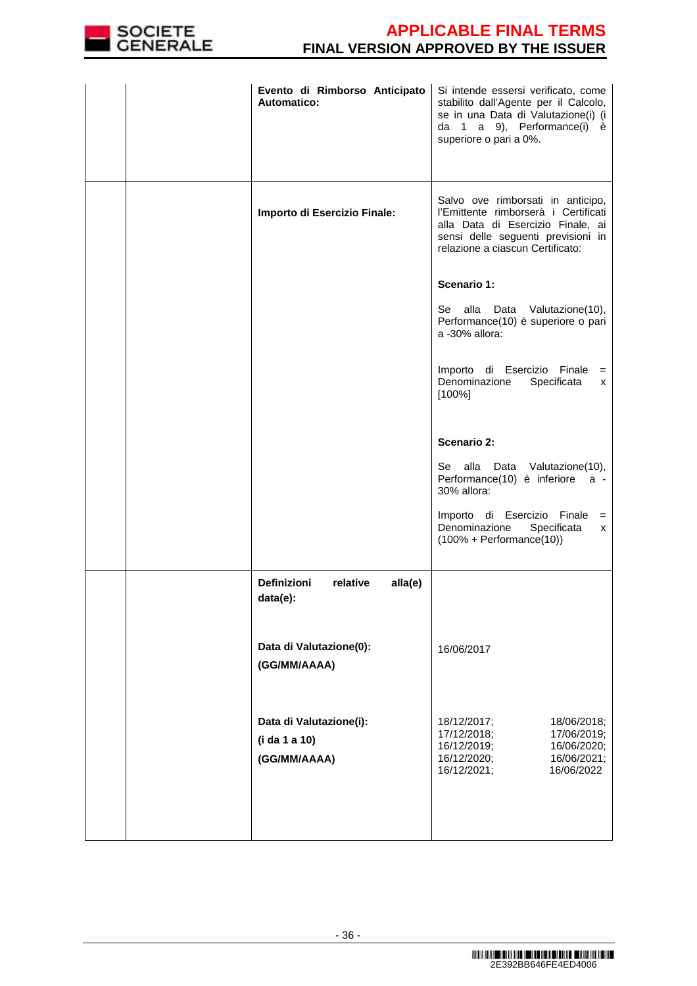

|  | Evento di Rimborso Anticipato<br>Automatico:             | Si intende essersi verificato, come<br>stabilito dall'Agente per il Calcolo,<br>se in una Data di Valutazione(i) (i<br>da 1 a 9), Performance(i) è<br>superiore o pari a 0%.             |
|--|----------------------------------------------------------|------------------------------------------------------------------------------------------------------------------------------------------------------------------------------------------|
|  | Importo di Esercizio Finale:                             | Salvo ove rimborsati in anticipo,<br>l'Emittente rimborserà i Certificati<br>alla Data di Esercizio Finale, ai<br>sensi delle seguenti previsioni in<br>relazione a ciascun Certificato: |
|  |                                                          | Scenario 1:                                                                                                                                                                              |
|  |                                                          | Se alla Data Valutazione(10),<br>Performance(10) è superiore o pari<br>a -30% allora:                                                                                                    |
|  |                                                          | Importo di Esercizio Finale =<br>Denominazione<br>Specificata<br>x<br>$[100\%]$                                                                                                          |
|  |                                                          | <b>Scenario 2:</b>                                                                                                                                                                       |
|  |                                                          | alla Data Valutazione(10),<br>Se<br>Performance(10) è inferiore<br>$a -$<br>30% allora:                                                                                                  |
|  |                                                          | Importo di Esercizio Finale =<br>Denominazione<br>Specificata<br>x<br>$(100\% + Performance(10))$                                                                                        |
|  | Definizioni<br>relative<br>alla(e)<br>data(e):           |                                                                                                                                                                                          |
|  | Data di Valutazione(0):<br>(GG/MM/AAAA)                  | 16/06/2017                                                                                                                                                                               |
|  | Data di Valutazione(i):<br>(i da 1 a 10)<br>(GG/MM/AAAA) | 18/12/2017;<br>18/06/2018;<br>17/12/2018;<br>17/06/2019;<br>16/12/2019;<br>16/06/2020;<br>16/12/2020;<br>16/06/2021;<br>16/12/2021;<br>16/06/2022                                        |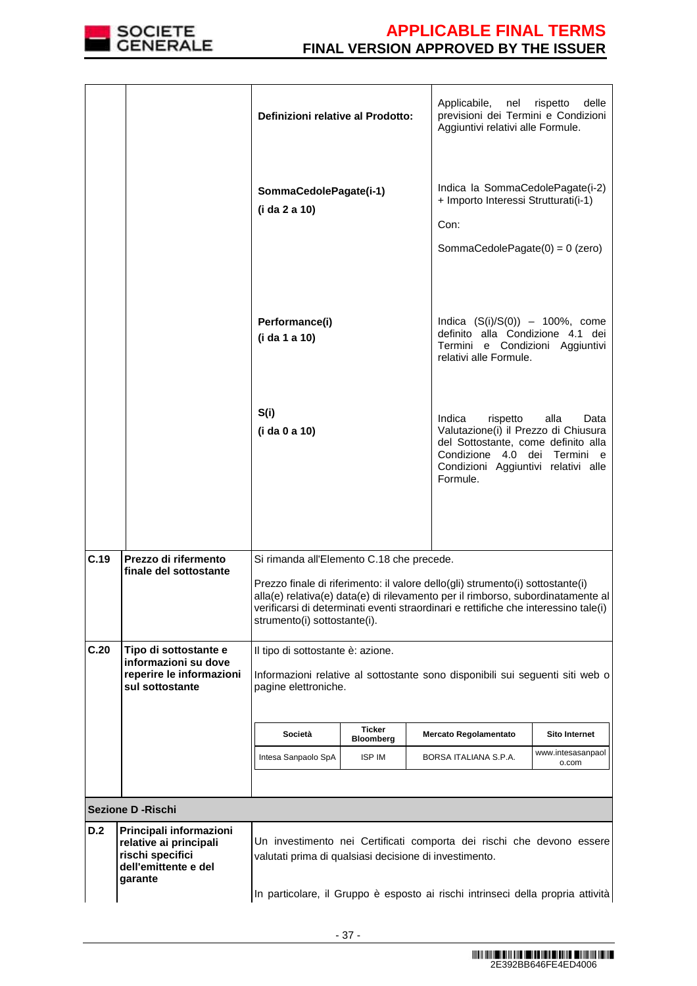

|      |                                                                                                          | Definizioni relative al Prodotto:                                                                                                                                                                                                                                                                                                     |                            |  | Applicabile,<br>nel<br>previsioni dei Termini e Condizioni<br>Aggiuntivi relativi alle Formule.                                                                                      | rispetto<br>delle          |
|------|----------------------------------------------------------------------------------------------------------|---------------------------------------------------------------------------------------------------------------------------------------------------------------------------------------------------------------------------------------------------------------------------------------------------------------------------------------|----------------------------|--|--------------------------------------------------------------------------------------------------------------------------------------------------------------------------------------|----------------------------|
|      |                                                                                                          | SommaCedolePagate(i-1)<br>(i da 2 a 10)                                                                                                                                                                                                                                                                                               |                            |  | Indica la SommaCedolePagate(i-2)<br>+ Importo Interessi Strutturati(i-1)<br>Con:<br>SommaCedolePagate $(0) = 0$ (zero)                                                               |                            |
|      |                                                                                                          | Performance(i)<br>(i da 1 a 10)                                                                                                                                                                                                                                                                                                       |                            |  | Indica $(S(i)/S(0)) - 100\%$ , come<br>definito alla Condizione 4.1 dei<br>Termini e Condizioni Aggiuntivi<br>relativi alle Formule.                                                 |                            |
|      |                                                                                                          | S(i)<br>(i da 0 a 10)                                                                                                                                                                                                                                                                                                                 |                            |  | Indica<br>rispetto<br>Valutazione(i) il Prezzo di Chiusura<br>del Sottostante, come definito alla<br>Condizione 4.0 dei Termini e<br>Condizioni Aggiuntivi relativi alle<br>Formule. | alla<br>Data               |
|      |                                                                                                          |                                                                                                                                                                                                                                                                                                                                       |                            |  |                                                                                                                                                                                      |                            |
| C.19 | Prezzo di rifermento<br>finale del sottostante                                                           | Si rimanda all'Elemento C.18 che precede.<br>Prezzo finale di riferimento: il valore dello(gli) strumento(i) sottostante(i)<br>alla(e) relativa(e) data(e) di rilevamento per il rimborso, subordinatamente al<br>verificarsi di determinati eventi straordinari e rettifiche che interessino tale(i)<br>strumento(i) sottostante(i). |                            |  |                                                                                                                                                                                      |                            |
| C.20 | Tipo di sottostante e<br>informazioni su dove<br>reperire le informazioni<br>sul sottostante             | Il tipo di sottostante è: azione.<br>Informazioni relative al sottostante sono disponibili sui seguenti siti web o<br>pagine elettroniche.                                                                                                                                                                                            |                            |  |                                                                                                                                                                                      |                            |
|      |                                                                                                          | Società                                                                                                                                                                                                                                                                                                                               | <b>Ticker</b><br>Bloomberg |  | Mercato Regolamentato                                                                                                                                                                | <b>Sito Internet</b>       |
|      |                                                                                                          | Intesa Sanpaolo SpA                                                                                                                                                                                                                                                                                                                   | <b>ISP IM</b>              |  | BORSA ITALIANA S.P.A.                                                                                                                                                                | www.intesasanpaol<br>o.com |
|      |                                                                                                          |                                                                                                                                                                                                                                                                                                                                       |                            |  |                                                                                                                                                                                      |                            |
|      | <b>Sezione D - Rischi</b>                                                                                |                                                                                                                                                                                                                                                                                                                                       |                            |  |                                                                                                                                                                                      |                            |
| D.2  | Principali informazioni<br>relative ai principali<br>rischi specifici<br>dell'emittente e del<br>garante | Un investimento nei Certificati comporta dei rischi che devono essere<br>valutati prima di qualsiasi decisione di investimento.                                                                                                                                                                                                       |                            |  |                                                                                                                                                                                      |                            |
|      |                                                                                                          | In particolare, il Gruppo è esposto ai rischi intrinseci della propria attività                                                                                                                                                                                                                                                       |                            |  |                                                                                                                                                                                      |                            |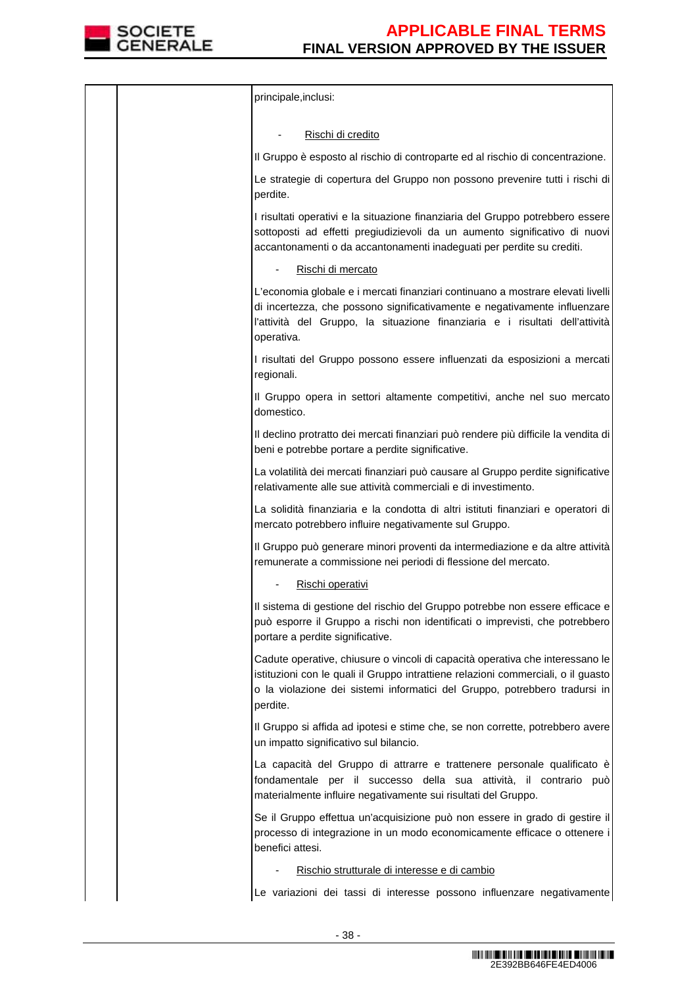

|  | principale, inclusi:                                                                                                                                                                                                                                         |
|--|--------------------------------------------------------------------------------------------------------------------------------------------------------------------------------------------------------------------------------------------------------------|
|  | Rischi di credito                                                                                                                                                                                                                                            |
|  | Il Gruppo è esposto al rischio di controparte ed al rischio di concentrazione.                                                                                                                                                                               |
|  | Le strategie di copertura del Gruppo non possono prevenire tutti i rischi di<br>perdite.                                                                                                                                                                     |
|  | I risultati operativi e la situazione finanziaria del Gruppo potrebbero essere<br>sottoposti ad effetti pregiudizievoli da un aumento significativo di nuovi<br>accantonamenti o da accantonamenti inadeguati per perdite su crediti.                        |
|  | Rischi di mercato<br>$\overline{\phantom{a}}$                                                                                                                                                                                                                |
|  | L'economia globale e i mercati finanziari continuano a mostrare elevati livelli<br>di incertezza, che possono significativamente e negativamente influenzare<br>l'attività del Gruppo, la situazione finanziaria e i risultati dell'attività<br>operativa.   |
|  | I risultati del Gruppo possono essere influenzati da esposizioni a mercati<br>regionali.                                                                                                                                                                     |
|  | Il Gruppo opera in settori altamente competitivi, anche nel suo mercato<br>domestico.                                                                                                                                                                        |
|  | Il declino protratto dei mercati finanziari può rendere più difficile la vendita di<br>beni e potrebbe portare a perdite significative.                                                                                                                      |
|  | La volatilità dei mercati finanziari può causare al Gruppo perdite significative<br>relativamente alle sue attività commerciali e di investimento.                                                                                                           |
|  | La solidità finanziaria e la condotta di altri istituti finanziari e operatori di<br>mercato potrebbero influire negativamente sul Gruppo.                                                                                                                   |
|  | Il Gruppo può generare minori proventi da intermediazione e da altre attività<br>remunerate a commissione nei periodi di flessione del mercato.                                                                                                              |
|  | Rischi operativi                                                                                                                                                                                                                                             |
|  | Il sistema di gestione del rischio del Gruppo potrebbe non essere efficace e<br>può esporre il Gruppo a rischi non identificati o imprevisti, che potrebbero<br>portare a perdite significative.                                                             |
|  | Cadute operative, chiusure o vincoli di capacità operativa che interessano le<br>istituzioni con le quali il Gruppo intrattiene relazioni commerciali, o il guasto<br>o la violazione dei sistemi informatici del Gruppo, potrebbero tradursi in<br>perdite. |
|  | Il Gruppo si affida ad ipotesi e stime che, se non corrette, potrebbero avere<br>un impatto significativo sul bilancio.                                                                                                                                      |
|  | La capacità del Gruppo di attrarre e trattenere personale qualificato è<br>fondamentale per il successo della sua attività, il contrario può<br>materialmente influire negativamente sui risultati del Gruppo.                                               |
|  | Se il Gruppo effettua un'acquisizione può non essere in grado di gestire il<br>processo di integrazione in un modo economicamente efficace o ottenere i<br>benefici attesi.                                                                                  |
|  | Rischio strutturale di interesse e di cambio                                                                                                                                                                                                                 |
|  | Le variazioni dei tassi di interesse possono influenzare negativamente                                                                                                                                                                                       |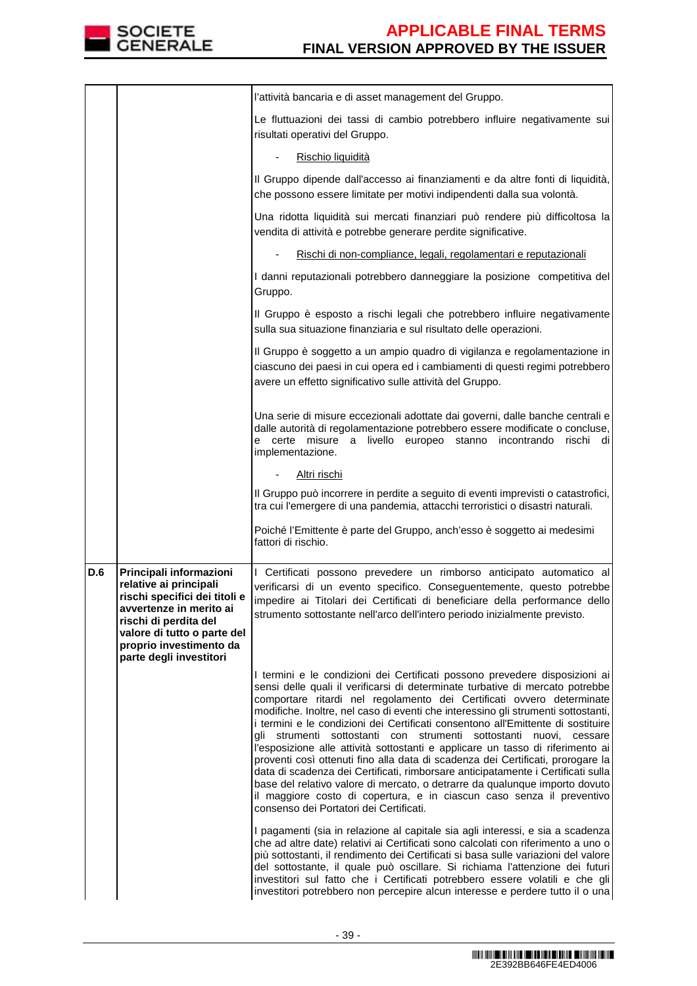

|     |                                                                                                                                                                                                                             | l'attività bancaria e di asset management del Gruppo.                                                                                                                                                                                                                                                                                                                                                                                                                                                                                                                                                                                                                                                                                                                                                                                                                                                                                            |
|-----|-----------------------------------------------------------------------------------------------------------------------------------------------------------------------------------------------------------------------------|--------------------------------------------------------------------------------------------------------------------------------------------------------------------------------------------------------------------------------------------------------------------------------------------------------------------------------------------------------------------------------------------------------------------------------------------------------------------------------------------------------------------------------------------------------------------------------------------------------------------------------------------------------------------------------------------------------------------------------------------------------------------------------------------------------------------------------------------------------------------------------------------------------------------------------------------------|
|     |                                                                                                                                                                                                                             | Le fluttuazioni dei tassi di cambio potrebbero influire negativamente sui<br>risultati operativi del Gruppo.                                                                                                                                                                                                                                                                                                                                                                                                                                                                                                                                                                                                                                                                                                                                                                                                                                     |
|     |                                                                                                                                                                                                                             | Rischio liquidità                                                                                                                                                                                                                                                                                                                                                                                                                                                                                                                                                                                                                                                                                                                                                                                                                                                                                                                                |
|     |                                                                                                                                                                                                                             | Il Gruppo dipende dall'accesso ai finanziamenti e da altre fonti di liquidità,<br>che possono essere limitate per motivi indipendenti dalla sua volontà.                                                                                                                                                                                                                                                                                                                                                                                                                                                                                                                                                                                                                                                                                                                                                                                         |
|     |                                                                                                                                                                                                                             | Una ridotta liquidità sui mercati finanziari può rendere più difficoltosa la<br>vendita di attività e potrebbe generare perdite significative.                                                                                                                                                                                                                                                                                                                                                                                                                                                                                                                                                                                                                                                                                                                                                                                                   |
|     |                                                                                                                                                                                                                             | Rischi di non-compliance, legali, regolamentari e reputazionali                                                                                                                                                                                                                                                                                                                                                                                                                                                                                                                                                                                                                                                                                                                                                                                                                                                                                  |
|     |                                                                                                                                                                                                                             | I danni reputazionali potrebbero danneggiare la posizione competitiva del<br>Gruppo.                                                                                                                                                                                                                                                                                                                                                                                                                                                                                                                                                                                                                                                                                                                                                                                                                                                             |
|     |                                                                                                                                                                                                                             | Il Gruppo è esposto a rischi legali che potrebbero influire negativamente<br>sulla sua situazione finanziaria e sul risultato delle operazioni.                                                                                                                                                                                                                                                                                                                                                                                                                                                                                                                                                                                                                                                                                                                                                                                                  |
|     |                                                                                                                                                                                                                             | Il Gruppo è soggetto a un ampio quadro di vigilanza e regolamentazione in<br>ciascuno dei paesi in cui opera ed i cambiamenti di questi regimi potrebbero<br>avere un effetto significativo sulle attività del Gruppo.                                                                                                                                                                                                                                                                                                                                                                                                                                                                                                                                                                                                                                                                                                                           |
|     |                                                                                                                                                                                                                             | Una serie di misure eccezionali adottate dai governi, dalle banche centrali e<br>dalle autorità di regolamentazione potrebbero essere modificate o concluse,<br>certe misure a livello europeo stanno incontrando<br>rischi di<br>implementazione.                                                                                                                                                                                                                                                                                                                                                                                                                                                                                                                                                                                                                                                                                               |
|     |                                                                                                                                                                                                                             | Altri rischi                                                                                                                                                                                                                                                                                                                                                                                                                                                                                                                                                                                                                                                                                                                                                                                                                                                                                                                                     |
|     |                                                                                                                                                                                                                             | Il Gruppo può incorrere in perdite a seguito di eventi imprevisti o catastrofici,<br>tra cui l'emergere di una pandemia, attacchi terroristici o disastri naturali.                                                                                                                                                                                                                                                                                                                                                                                                                                                                                                                                                                                                                                                                                                                                                                              |
|     |                                                                                                                                                                                                                             | Poiché l'Emittente è parte del Gruppo, anch'esso è soggetto ai medesimi<br>fattori di rischio.                                                                                                                                                                                                                                                                                                                                                                                                                                                                                                                                                                                                                                                                                                                                                                                                                                                   |
| D.6 | Principali informazioni<br>relative ai principali<br>rischi specifici dei titoli e<br>avvertenze in merito ai<br>rischi di perdita del<br>valore di tutto o parte del<br>proprio investimento da<br>parte degli investitori | I Certificati possono prevedere un rimborso anticipato automatico al<br>verificarsi di un evento specifico. Conseguentemente, questo potrebbe<br>impedire ai Titolari dei Certificati di beneficiare della performance dello<br>strumento sottostante nell'arco dell'intero periodo inizialmente previsto.                                                                                                                                                                                                                                                                                                                                                                                                                                                                                                                                                                                                                                       |
|     |                                                                                                                                                                                                                             | I termini e le condizioni dei Certificati possono prevedere disposizioni ai<br>sensi delle quali il verificarsi di determinate turbative di mercato potrebbe<br>comportare ritardi nel regolamento dei Certificati ovvero determinate<br>modifiche. Inoltre, nel caso di eventi che interessino gli strumenti sottostanti,<br>i termini e le condizioni dei Certificati consentono all'Emittente di sostituire<br>gli strumenti sottostanti con strumenti sottostanti nuovi, cessare<br>l'esposizione alle attività sottostanti e applicare un tasso di riferimento ai<br>proventi così ottenuti fino alla data di scadenza dei Certificati, prorogare la<br>data di scadenza dei Certificati, rimborsare anticipatamente i Certificati sulla<br>base del relativo valore di mercato, o detrarre da qualunque importo dovuto<br>il maggiore costo di copertura, e in ciascun caso senza il preventivo<br>consenso dei Portatori dei Certificati. |
|     |                                                                                                                                                                                                                             | I pagamenti (sia in relazione al capitale sia agli interessi, e sia a scadenza<br>che ad altre date) relativi ai Certificati sono calcolati con riferimento a uno o<br>più sottostanti, il rendimento dei Certificati si basa sulle variazioni del valore<br>del sottostante, il quale può oscillare. Si richiama l'attenzione dei futuri<br>investitori sul fatto che i Certificati potrebbero essere volatili e che gli<br>investitori potrebbero non percepire alcun interesse e perdere tutto il o una                                                                                                                                                                                                                                                                                                                                                                                                                                       |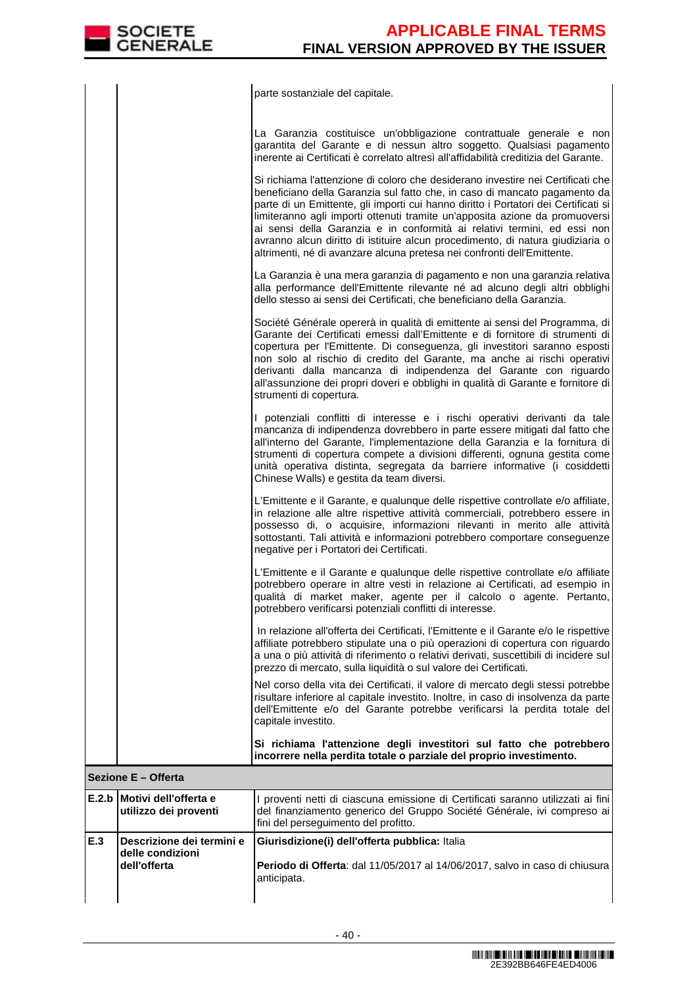|     |                                                      | parte sostanziale del capitale.                                                                                                                                                                                                                                                                                                                                                                                                                                                                                                                                             |
|-----|------------------------------------------------------|-----------------------------------------------------------------------------------------------------------------------------------------------------------------------------------------------------------------------------------------------------------------------------------------------------------------------------------------------------------------------------------------------------------------------------------------------------------------------------------------------------------------------------------------------------------------------------|
|     |                                                      | La Garanzia costituisce un'obbligazione contrattuale generale e non<br>garantita del Garante e di nessun altro soggetto. Qualsiasi pagamento<br>inerente ai Certificati è correlato altresì all'affidabilità creditizia del Garante.                                                                                                                                                                                                                                                                                                                                        |
|     |                                                      | Si richiama l'attenzione di coloro che desiderano investire nei Certificati che<br>beneficiano della Garanzia sul fatto che, in caso di mancato pagamento da<br>parte di un Emittente, gli importi cui hanno diritto i Portatori dei Certificati si<br>limiteranno agli importi ottenuti tramite un'apposita azione da promuoversi<br>ai sensi della Garanzia e in conformità ai relativi termini, ed essi non<br>avranno alcun diritto di istituire alcun procedimento, di natura giudiziaria o<br>altrimenti, né di avanzare alcuna pretesa nei confronti dell'Emittente. |
|     |                                                      | La Garanzia è una mera garanzia di pagamento e non una garanzia relativa<br>alla performance dell'Emittente rilevante né ad alcuno degli altri obblighi<br>dello stesso ai sensi dei Certificati, che beneficiano della Garanzia.                                                                                                                                                                                                                                                                                                                                           |
|     |                                                      | Société Générale opererà in qualità di emittente ai sensi del Programma, di<br>Garante dei Certificati emessi dall'Emittente e di fornitore di strumenti di<br>copertura per l'Emittente. Di conseguenza, gli investitori saranno esposti<br>non solo al rischio di credito del Garante, ma anche ai rischi operativi<br>derivanti dalla mancanza di indipendenza del Garante con riguardo<br>all'assunzione dei propri doveri e obblighi in qualità di Garante e fornitore di<br>strumenti di copertura.                                                                   |
|     |                                                      | I potenziali conflitti di interesse e i rischi operativi derivanti da tale<br>mancanza di indipendenza dovrebbero in parte essere mitigati dal fatto che<br>all'interno del Garante, l'implementazione della Garanzia e la fornitura di<br>strumenti di copertura compete a divisioni differenti, ognuna gestita come<br>unità operativa distinta, segregata da barriere informative (i cosiddetti<br>Chinese Walls) e gestita da team diversi.                                                                                                                             |
|     |                                                      | L'Emittente e il Garante, e qualunque delle rispettive controllate e/o affiliate,<br>in relazione alle altre rispettive attività commerciali, potrebbero essere in<br>possesso di, o acquisire, informazioni rilevanti in merito alle attività<br>sottostanti. Tali attività e informazioni potrebbero comportare conseguenze<br>negative per i Portatori dei Certificati.                                                                                                                                                                                                  |
|     |                                                      | L'Emittente e il Garante e qualunque delle rispettive controllate e/o affiliate<br>potrebbero operare in altre vesti in relazione ai Certificati, ad esempio in<br>qualità di market maker, agente per il calcolo o agente. Pertanto,<br>potrebbero verificarsi potenziali conflitti di interesse.                                                                                                                                                                                                                                                                          |
|     |                                                      | In relazione all'offerta dei Certificati, l'Emittente e il Garante e/o le rispettive<br>affiliate potrebbero stipulate una o più operazioni di copertura con riguardo<br>a una o più attività di riferimento o relativi derivati, suscettibili di incidere sul<br>prezzo di mercato, sulla liquidità o sul valore dei Certificati.                                                                                                                                                                                                                                          |
|     |                                                      | Nel corso della vita dei Certificati, il valore di mercato degli stessi potrebbe<br>risultare inferiore al capitale investito. Inoltre, in caso di insolvenza da parte<br>dell'Emittente e/o del Garante potrebbe verificarsi la perdita totale del<br>capitale investito.                                                                                                                                                                                                                                                                                                  |
|     |                                                      | Si richiama l'attenzione degli investitori sul fatto che potrebbero<br>incorrere nella perdita totale o parziale del proprio investimento.                                                                                                                                                                                                                                                                                                                                                                                                                                  |
|     | Sezione E - Offerta                                  |                                                                                                                                                                                                                                                                                                                                                                                                                                                                                                                                                                             |
|     | E.2.b Motivi dell'offerta e<br>utilizzo dei proventi | I proventi netti di ciascuna emissione di Certificati saranno utilizzati ai fini<br>del finanziamento generico del Gruppo Société Générale, ivi compreso ai<br>fini del perseguimento del profitto.                                                                                                                                                                                                                                                                                                                                                                         |
| E.3 | Descrizione dei termini e<br>delle condizioni        | Giurisdizione(i) dell'offerta pubblica: Italia                                                                                                                                                                                                                                                                                                                                                                                                                                                                                                                              |
|     | dell'offerta                                         | Periodo di Offerta: dal 11/05/2017 al 14/06/2017, salvo in caso di chiusura<br>anticipata.                                                                                                                                                                                                                                                                                                                                                                                                                                                                                  |